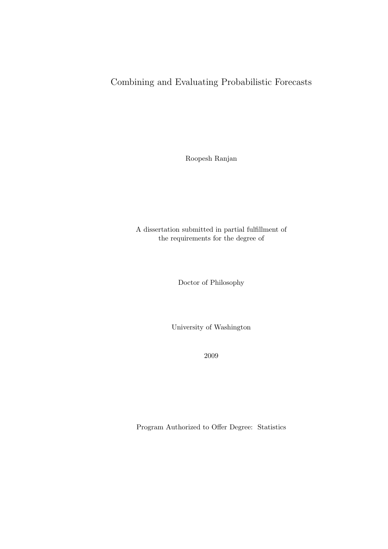# Combining and Evaluating Probabilistic Forecasts

Roopesh Ranjan

A dissertation submitted in partial fulfillment of the requirements for the degree of

Doctor of Philosophy

University of Washington

2009

Program Authorized to Offer Degree: Statistics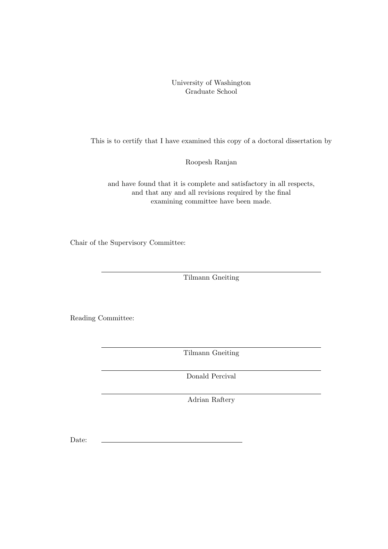### University of Washington Graduate School

This is to certify that I have examined this copy of a doctoral dissertation by

Roopesh Ranjan

and have found that it is complete and satisfactory in all respects, and that any and all revisions required by the final examining committee have been made.

Chair of the Supervisory Committee:

Tilmann Gneiting

Reading Committee:

Tilmann Gneiting

Donald Percival

Adrian Raftery

Date: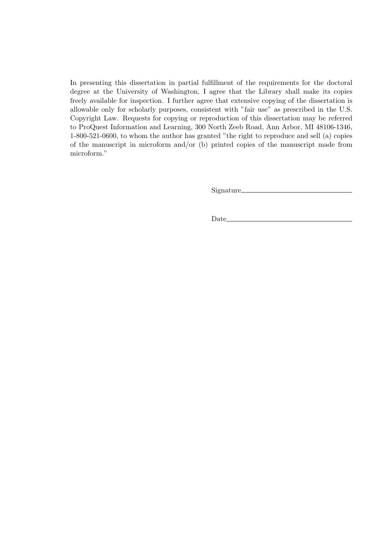In presenting this dissertation in partial fulfillment of the requirements for the doctoral degree at the University of Washington, I agree that the Library shall make its copies freely available for inspection. I further agree that extensive copying of the dissertation is allowable only for scholarly purposes, consistent with "fair use" as prescribed in the U.S. Copyright Law. Requests for copying or reproduction of this dissertation may be referred to ProQuest Information and Learning, 300 North Zeeb Road, Ann Arbor, MI 48106-1346, 1-800-521-0600, to whom the author has granted "the right to reproduce and sell (a) copies of the manuscript in microform and/or (b) printed copies of the manuscript made from microform."

Signature

Date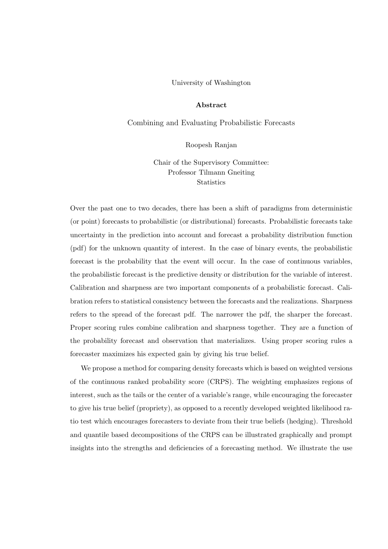#### University of Washington

#### Abstract

Combining and Evaluating Probabilistic Forecasts

#### Roopesh Ranjan

Chair of the Supervisory Committee: Professor Tilmann Gneiting **Statistics** 

Over the past one to two decades, there has been a shift of paradigms from deterministic (or point) forecasts to probabilistic (or distributional) forecasts. Probabilistic forecasts take uncertainty in the prediction into account and forecast a probability distribution function (pdf) for the unknown quantity of interest. In the case of binary events, the probabilistic forecast is the probability that the event will occur. In the case of continuous variables, the probabilistic forecast is the predictive density or distribution for the variable of interest. Calibration and sharpness are two important components of a probabilistic forecast. Calibration refers to statistical consistency between the forecasts and the realizations. Sharpness refers to the spread of the forecast pdf. The narrower the pdf, the sharper the forecast. Proper scoring rules combine calibration and sharpness together. They are a function of the probability forecast and observation that materializes. Using proper scoring rules a forecaster maximizes his expected gain by giving his true belief.

We propose a method for comparing density forecasts which is based on weighted versions of the continuous ranked probability score (CRPS). The weighting emphasizes regions of interest, such as the tails or the center of a variable's range, while encouraging the forecaster to give his true belief (propriety), as opposed to a recently developed weighted likelihood ratio test which encourages forecasters to deviate from their true beliefs (hedging). Threshold and quantile based decompositions of the CRPS can be illustrated graphically and prompt insights into the strengths and deficiencies of a forecasting method. We illustrate the use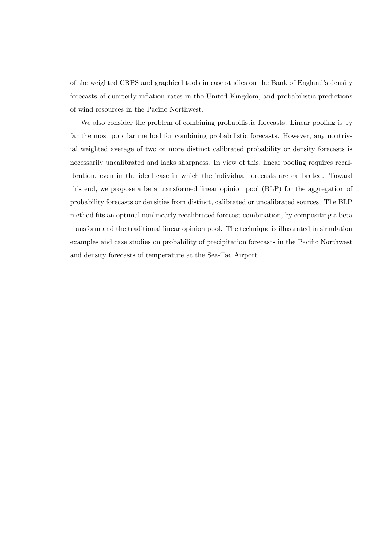of the weighted CRPS and graphical tools in case studies on the Bank of England's density forecasts of quarterly inflation rates in the United Kingdom, and probabilistic predictions of wind resources in the Pacific Northwest.

We also consider the problem of combining probabilistic forecasts. Linear pooling is by far the most popular method for combining probabilistic forecasts. However, any nontrivial weighted average of two or more distinct calibrated probability or density forecasts is necessarily uncalibrated and lacks sharpness. In view of this, linear pooling requires recalibration, even in the ideal case in which the individual forecasts are calibrated. Toward this end, we propose a beta transformed linear opinion pool (BLP) for the aggregation of probability forecasts or densities from distinct, calibrated or uncalibrated sources. The BLP method fits an optimal nonlinearly recalibrated forecast combination, by compositing a beta transform and the traditional linear opinion pool. The technique is illustrated in simulation examples and case studies on probability of precipitation forecasts in the Pacific Northwest and density forecasts of temperature at the Sea-Tac Airport.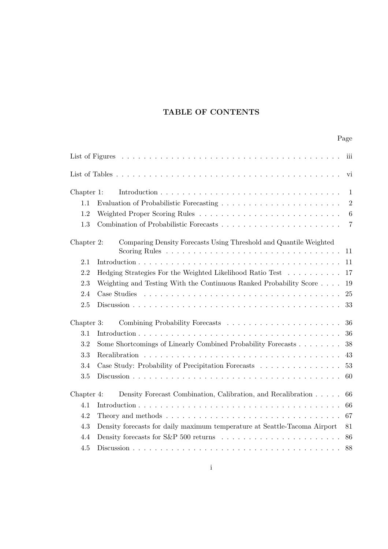# TABLE OF CONTENTS

|            |                                                                           | Page           |
|------------|---------------------------------------------------------------------------|----------------|
|            |                                                                           | iii            |
|            |                                                                           | vi             |
| Chapter 1: |                                                                           | $\mathbf{1}$   |
| 1.1        |                                                                           | $\overline{2}$ |
| 1.2        |                                                                           | 6              |
| 1.3        |                                                                           | $\overline{7}$ |
| Chapter 2: | Comparing Density Forecasts Using Threshold and Quantile Weighted         | 11             |
| 2.1        |                                                                           | 11             |
| 2.2        | Hedging Strategies For the Weighted Likelihood Ratio Test                 | 17             |
| 2.3        | Weighting and Testing With the Continuous Ranked Probability Score        | 19             |
| 2.4        |                                                                           | 25             |
| 2.5        |                                                                           | 33             |
| Chapter 3: |                                                                           | 36             |
| 3.1        |                                                                           | 36             |
| 3.2        | Some Shortcomings of Linearly Combined Probability Forecasts              | 38             |
| 3.3        |                                                                           | 43             |
| 3.4        | Case Study: Probability of Precipitation Forecasts                        | 53             |
| 3.5        |                                                                           | 60             |
| Chapter 4: | Density Forecast Combination, Calibration, and Recalibration              | 66             |
| 4.1        |                                                                           | 66             |
| 4.2        |                                                                           | 67             |
| 4.3        | Density forecasts for daily maximum temperature at Seattle-Tacoma Airport | 81             |
| 4.4        |                                                                           | 86             |
| 4.5        |                                                                           | 88             |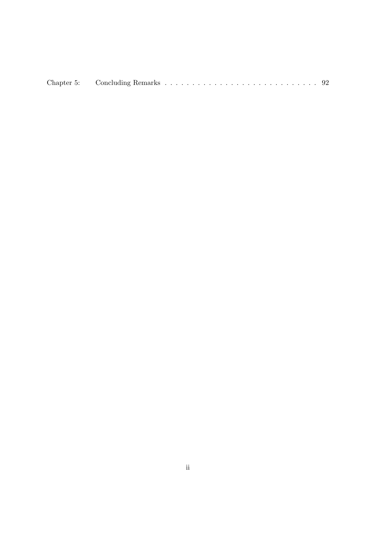|--|--|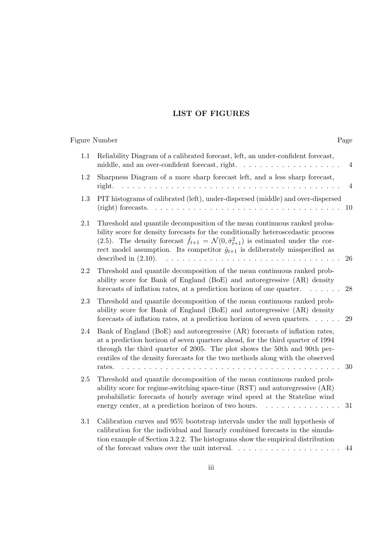### LIST OF FIGURES

Figure Number Page

# 1.1 Reliability Diagram of a calibrated forecast, left, an under-confident forecast, middle, and an over-confident forecast, right. . . . . . . . . . . . . . . . . . 4 1.2 Sharpness Diagram of a more sharp forecast left, and a less sharp forecast, right. . . . . . . . . . . . . . . . . . . . . . . . . . . . . . . . . . . . . . . . . 4

### 1.3 PIT histograms of calibrated (left), under-dispersed (middle) and over-dispersed (right) forecasts. . . . . . . . . . . . . . . . . . . . . . . . . . . . . . . . . . . 10

| 2.1 | Threshold and quantile decomposition of the mean continuous ranked proba-                                      |
|-----|----------------------------------------------------------------------------------------------------------------|
|     | bility score for density forecasts for the conditionally heteroscedastic process                               |
|     | (2.5). The density forecast $\hat{f}_{t+1} = \mathcal{N}(0, \hat{\sigma}_{t+1}^2)$ is estimated under the cor- |
|     | rect model assumption. Its competitor $\hat{q}_{t+1}$ is deliberately misspecified as                          |
|     |                                                                                                                |
|     | 2.2 Threshold and quantile decomposition of the mean continuous ranked prob-                                   |
|     | ability score for Bank of England (BoE) and autoregressive (AR) density                                        |

### 2.3 Threshold and quantile decomposition of the mean continuous ranked probability score for Bank of England (BoE) and autoregressive (AR) density forecasts of inflation rates, at a prediction horizon of seven quarters. . . . . . 29

forecasts of inflation rates, at a prediction horizon of one quarter. . . . . . . 28

### 2.4 Bank of England (BoE) and autoregressive (AR) forecasts of inflation rates, at a prediction horizon of seven quarters ahead, for the third quarter of 1994 through the third quarter of 2005. The plot shows the 50th and 90th percentiles of the density forecasts for the two methods along with the observed rates. . . . . . . . . . . . . . . . . . . . . . . . . . . . . . . . . . . . . . . . . 30

### 2.5 Threshold and quantile decomposition of the mean continuous ranked probability score for regime-switching space-time (RST) and autoregressive (AR) probabilistic forecasts of hourly average wind speed at the Stateline wind energy center, at a prediction horizon of two hours. . . . . . . . . . . . . . . 31

3.1 Calibration curves and 95% bootstrap intervals under the null hypothesis of calibration for the individual and linearly combined forecasts in the simulation example of Section 3.2.2. The histograms show the empirical distribution of the forecast values over the unit interval. . . . . . . . . . . . . . . . . . . . 44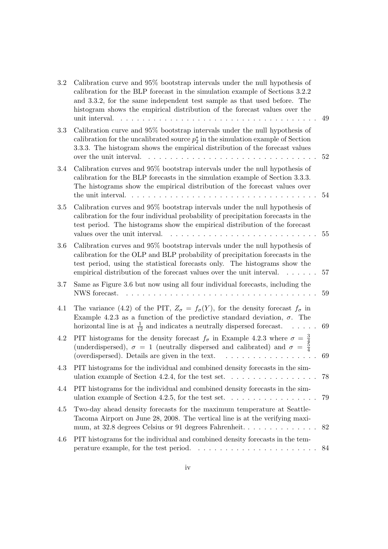| 3.2 | Calibration curve and 95% bootstrap intervals under the null hypothesis of<br>calibration for the BLP forecast in the simulation example of Sections 3.2.2<br>and 3.3.2, for the same independent test sample as that used before. The<br>histogram shows the empirical distribution of the forecast values over the<br>unit interval. | 49 |
|-----|----------------------------------------------------------------------------------------------------------------------------------------------------------------------------------------------------------------------------------------------------------------------------------------------------------------------------------------|----|
| 3.3 | Calibration curve and 95% bootstrap intervals under the null hypothesis of<br>calibration for the uncalibrated source $p_2^*$ in the simulation example of Section<br>3.3.3. The histogram shows the empirical distribution of the forecast values<br>over the unit interval.                                                          | 52 |
| 3.4 | Calibration curves and 95% bootstrap intervals under the null hypothesis of<br>calibration for the BLP forecasts in the simulation example of Section 3.3.3.<br>The histograms show the empirical distribution of the forecast values over<br>the unit interval.                                                                       | 54 |
| 3.5 | Calibration curves and 95% bootstrap intervals under the null hypothesis of<br>calibration for the four individual probability of precipitation forecasts in the<br>test period. The histograms show the empirical distribution of the forecast<br>values over the unit interval.                                                      | 55 |
| 3.6 | Calibration curves and 95% bootstrap intervals under the null hypothesis of<br>calibration for the OLP and BLP probability of precipitation forecasts in the<br>test period, using the statistical forecasts only. The histograms show the<br>empirical distribution of the forecast values over the unit interval.<br>a a caracter    | 57 |
| 3.7 | Same as Figure 3.6 but now using all four individual forecasts, including the<br>NWS forecast.<br>.<br>$\mathbf{L}$                                                                                                                                                                                                                    | 59 |
| 4.1 | The variance (4.2) of the PIT, $Z_{\sigma} = f_{\sigma}(Y)$ , for the density forecast $f_{\sigma}$ in<br>Example 4.2.3 as a function of the predictive standard deviation, $\sigma$ . The<br>horizontal line is at $\frac{1}{12}$ and indicates a neutrally dispersed forecast.                                                       | 69 |
| 4.2 | PIT histograms for the density forecast $f_{\sigma}$ in Example 4.2.3 where $\sigma = \frac{3}{4}$<br>(underdispersed), $\sigma = 1$ (neutrally dispersed and calibrated) and $\sigma = \frac{3}{4}$<br>(overdispersed). Details are given in the text.                                                                                | 69 |
| 4.3 | PIT histograms for the individual and combined density forecasts in the sim-                                                                                                                                                                                                                                                           | 78 |
| 4.4 | PIT histograms for the individual and combined density forecasts in the sim-                                                                                                                                                                                                                                                           | 79 |
| 4.5 | Two-day ahead density forecasts for the maximum temperature at Seattle-<br>Tacoma Airport on June 28, 2008. The vertical line is at the verifying maxi-<br>mum, at 32.8 degrees Celsius or 91 degrees Fahrenheit                                                                                                                       | 82 |
| 4.6 | PIT histograms for the individual and combined density forecasts in the tem-                                                                                                                                                                                                                                                           | 84 |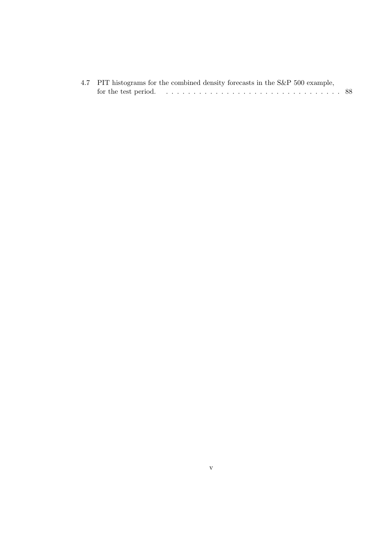| 4.7 PIT histograms for the combined density forecasts in the S&P 500 example, |  |
|-------------------------------------------------------------------------------|--|
|                                                                               |  |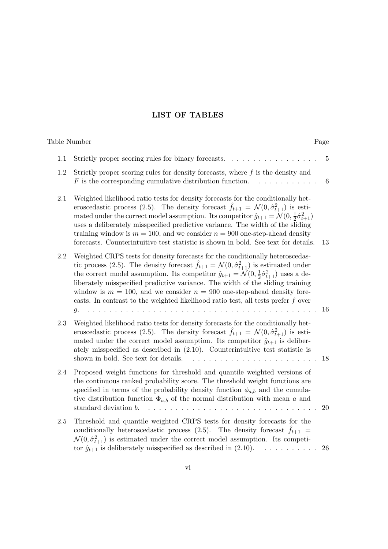## LIST OF TABLES

| Table Number |                                                                                                                                                                                                                                                                                                                                                                                                                                                                                                                                                                                                                                                                            | Page            |
|--------------|----------------------------------------------------------------------------------------------------------------------------------------------------------------------------------------------------------------------------------------------------------------------------------------------------------------------------------------------------------------------------------------------------------------------------------------------------------------------------------------------------------------------------------------------------------------------------------------------------------------------------------------------------------------------------|-----------------|
| 1.1          | Strictly proper scoring rules for binary forecasts.                                                                                                                                                                                                                                                                                                                                                                                                                                                                                                                                                                                                                        | 5               |
| 1.2          | Strictly proper scoring rules for density forecasts, where $f$ is the density and<br>$F$ is the corresponding cumulative distribution function.<br>and a straight and                                                                                                                                                                                                                                                                                                                                                                                                                                                                                                      | $6\phantom{.}6$ |
| $2.1\,$      | Weighted likelihood ratio tests for density forecasts for the conditionally het-<br>eroscedastic process (2.5). The density forecast $\hat{f}_{t+1} = \mathcal{N}(0, \hat{\sigma}_{t+1}^2)$ is esti-<br>mated under the correct model assumption. Its competitor $\hat{g}_{t+1} = \mathcal{N}(0, \frac{1}{2}\hat{\sigma}_{t+1}^2)$<br>uses a deliberately misspecified predictive variance. The width of the sliding<br>training window is $m = 100$ , and we consider $n = 900$ one-step-ahead density<br>forecasts. Counterintuitive test statistic is shown in bold. See text for details.                                                                              | 13              |
| $2.2\,$      | Weighted CRPS tests for density forecasts for the conditionally heteroscedas-<br>tic process (2.5). The density forecast $\hat{f}_{t+1} = \mathcal{N}(0, \hat{\sigma}_{t+1}^2)$ is estimated under<br>the correct model assumption. Its competitor $\hat{g}_{t+1} = \mathcal{N}(0, \frac{1}{2}\hat{\sigma}_{t+1}^2)$ uses a de-<br>liberately misspecified predictive variance. The width of the sliding training<br>window is $m = 100$ , and we consider $n = 900$ one-step-ahead density fore-<br>casts. In contrast to the weighted likelihood ratio test, all tests prefer $f$ over<br>$\mathbf{1}$ and $\mathbf{1}$ and $\mathbf{1}$ and $\mathbf{1}$<br>$q_{\star}$ | 16              |
| 2.3          | Weighted likelihood ratio tests for density forecasts for the conditionally het-<br>eroscedastic process (2.5). The density forecast $\hat{f}_{t+1} = \mathcal{N}(0, \hat{\sigma}_{t+1}^2)$ is esti-<br>mated under the correct model assumption. Its competitor $\hat{g}_{t+1}$ is deliber-<br>ately misspecified as described in $(2.10)$ . Counterintuitive test statistic is<br>shown in bold. See text for details.                                                                                                                                                                                                                                                   | 18              |
| 2.4          | Proposed weight functions for threshold and quantile weighted versions of<br>the continuous ranked probability score. The threshold weight functions are<br>specified in terms of the probability density function $\phi_{a,b}$ and the cumula-<br>tive distribution function $\Phi_{a,b}$ of the normal distribution with mean a and<br>standard deviation b.<br>.                                                                                                                                                                                                                                                                                                        | 20              |
| 2.5          | Threshold and quantile weighted CRPS tests for density forecasts for the<br>conditionally heteroscedastic process (2.5). The density forecast $\hat{f}_{t+1}$ =<br>$\mathcal{N}(0, \hat{\sigma}_{t+1}^2)$ is estimated under the correct model assumption. Its competi-<br>tor $\hat{g}_{t+1}$ is deliberately misspecified as described in (2.10).                                                                                                                                                                                                                                                                                                                        | 26              |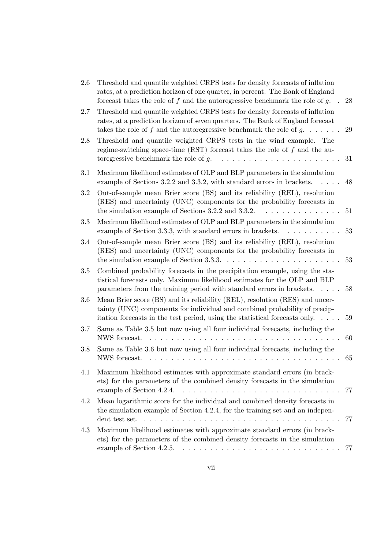| 2.6 | Threshold and quantile weighted CRPS tests for density forecasts of inflation<br>rates, at a prediction horizon of one quarter, in percent. The Bank of England<br>forecast takes the role of $f$ and the autoregressive benchmark the role of $g$ .                 | 28       |
|-----|----------------------------------------------------------------------------------------------------------------------------------------------------------------------------------------------------------------------------------------------------------------------|----------|
| 2.7 | Threshold and quantile weighted CRPS tests for density forecasts of inflation<br>rates, at a prediction horizon of seven quarters. The Bank of England forecast<br>takes the role of f and the autoregressive benchmark the role of $g$                              | 29       |
| 2.8 | Threshold and quantile weighted CRPS tests in the wind example.<br>The<br>regime-switching space-time (RST) forecast takes the role of $f$ and the au-<br>toregressive benchmark the role of $g$ .<br>.                                                              | 31       |
| 3.1 | Maximum likelihood estimates of OLP and BLP parameters in the simulation<br>example of Sections 3.2.2 and 3.3.2, with standard errors in brackets.<br>$\cdots$                                                                                                       | 48       |
| 3.2 | Out-of-sample mean Brier score (BS) and its reliability (REL), resolution<br>(RES) and uncertainty (UNC) components for the probability forecasts in<br>the simulation example of Sections 3.2.2 and 3.3.2.<br>.                                                     | $51\,$   |
| 3.3 | Maximum likelihood estimates of OLP and BLP parameters in the simulation<br>example of Section 3.3.3, with standard errors in brackets.<br>.                                                                                                                         | 53       |
| 3.4 | Out-of-sample mean Brier score (BS) and its reliability (REL), resolution<br>(RES) and uncertainty (UNC) components for the probability forecasts in<br>the simulation example of Section 3.3.3.<br>.                                                                | 53       |
| 3.5 | Combined probability forecasts in the precipitation example, using the sta-<br>tistical forecasts only. Maximum likelihood estimates for the OLP and BLP<br>parameters from the training period with standard errors in brackets.                                    | 58       |
| 3.6 | Mean Brier score (BS) and its reliability (REL), resolution (RES) and uncer-<br>tainty (UNC) components for individual and combined probability of precip-<br>itation forecasts in the test period, using the statistical forecasts only                             | 59       |
| 3.7 | Same as Table 3.5 but now using all four individual forecasts, including the<br>NWS forecast.<br>$\begin{array}{cccccccccccccc} . & . & . & . & . & . & . & . & . & . & . & . & . \end{array}$                                                                       | 60       |
| 3.8 | Same as Table 3.6 but now using all four individual forecasts, including the<br>NWS forecast.<br>and a car                                                                                                                                                           | 65       |
| 4.1 | Maximum likelihood estimates with approximate standard errors (in brack-<br>ets) for the parameters of the combined density forecasts in the simulation<br>example of Section 4.2.4.                                                                                 | 77       |
| 4.2 | Mean logarithmic score for the individual and combined density forecasts in<br>the simulation example of Section 4.2.4, for the training set and an indepen-                                                                                                         |          |
| 4.3 | Maximum likelihood estimates with approximate standard errors (in brack-<br>ets) for the parameters of the combined density forecasts in the simulation<br>example of Section 4.2.5. $\dots \dots \dots \dots \dots \dots \dots \dots \dots \dots \dots \dots \dots$ | 77<br>77 |
|     |                                                                                                                                                                                                                                                                      |          |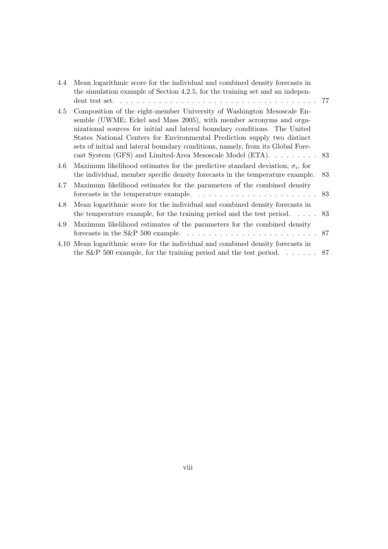| 4.4 | Mean logarithmic score for the individual and combined density forecasts in<br>the simulation example of Section 4.2.5, for the training set and an indepen-                                                                                                                                                                                                                                                                                             |     |
|-----|----------------------------------------------------------------------------------------------------------------------------------------------------------------------------------------------------------------------------------------------------------------------------------------------------------------------------------------------------------------------------------------------------------------------------------------------------------|-----|
| 4.5 | Composition of the eight-member University of Washington Mesoscale En-<br>semble (UWME; Eckel and Mass 2005), with member acronyms and orga-<br>nizational sources for initial and lateral boundary conditions. The United<br>States National Centers for Environmental Prediction supply two distinct<br>sets of initial and lateral boundary conditions, namely, from its Global Fore-<br>cast System (GFS) and Limited-Area Mesoscale Model (ETA). 83 |     |
| 4.6 | Maximum likelihood estimates for the predictive standard deviation, $\sigma_i$ , for<br>the individual, member specific density forecasts in the temperature example.                                                                                                                                                                                                                                                                                    | -83 |
| 4.7 | Maximum likelihood estimates for the parameters of the combined density<br>forecasts in the temperature example. $\dots \dots \dots \dots \dots \dots \dots \dots \dots$ 83                                                                                                                                                                                                                                                                              |     |
| 4.8 | Mean logarithmic score for the individual and combined density forecasts in<br>the temperature example, for the training period and the test period 83                                                                                                                                                                                                                                                                                                   |     |
| 4.9 | Maximum likelihood estimates of the parameters for the combined density<br>forecasts in the S&P 500 example. $\ldots \ldots \ldots \ldots \ldots \ldots \ldots \ldots \ldots 87$                                                                                                                                                                                                                                                                         |     |
|     | 4.10 Mean logarithmic score for the individual and combined density forecasts in                                                                                                                                                                                                                                                                                                                                                                         |     |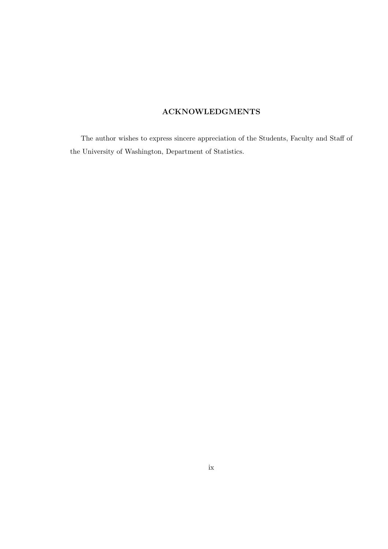## ACKNOWLEDGMENTS

The author wishes to express sincere appreciation of the Students, Faculty and Staff of the University of Washington, Department of Statistics.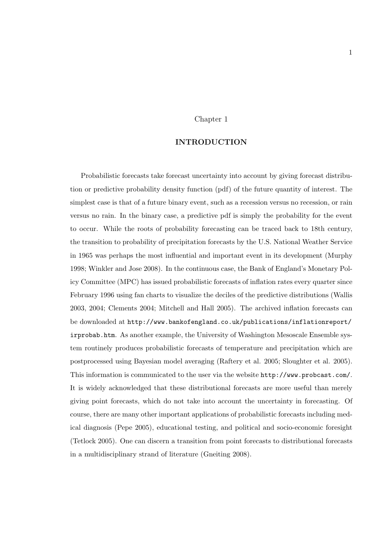#### Chapter 1

#### INTRODUCTION

Probabilistic forecasts take forecast uncertainty into account by giving forecast distribution or predictive probability density function (pdf) of the future quantity of interest. The simplest case is that of a future binary event, such as a recession versus no recession, or rain versus no rain. In the binary case, a predictive pdf is simply the probability for the event to occur. While the roots of probability forecasting can be traced back to 18th century, the transition to probability of precipitation forecasts by the U.S. National Weather Service in 1965 was perhaps the most influential and important event in its development (Murphy 1998; Winkler and Jose 2008). In the continuous case, the Bank of England's Monetary Policy Committee (MPC) has issued probabilistic forecasts of inflation rates every quarter since February 1996 using fan charts to visualize the deciles of the predictive distributions (Wallis 2003, 2004; Clements 2004; Mitchell and Hall 2005). The archived inflation forecasts can be downloaded at http://www.bankofengland.co.uk/publications/inflationreport/ irprobab.htm. As another example, the University of Washington Mesoscale Ensemble system routinely produces probabilistic forecasts of temperature and precipitation which are postprocessed using Bayesian model averaging (Raftery et al. 2005; Sloughter et al. 2005). This information is communicated to the user via the website http://www.probcast.com/. It is widely acknowledged that these distributional forecasts are more useful than merely giving point forecasts, which do not take into account the uncertainty in forecasting. Of course, there are many other important applications of probabilistic forecasts including medical diagnosis (Pepe 2005), educational testing, and political and socio-economic foresight (Tetlock 2005). One can discern a transition from point forecasts to distributional forecasts in a multidisciplinary strand of literature (Gneiting 2008).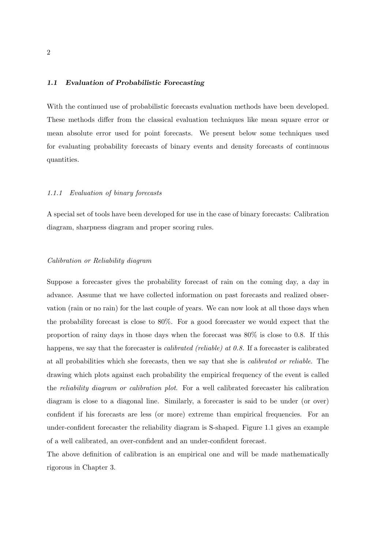#### 1.1 Evaluation of Probabilistic Forecasting

With the continued use of probabilistic forecasts evaluation methods have been developed. These methods differ from the classical evaluation techniques like mean square error or mean absolute error used for point forecasts. We present below some techniques used for evaluating probability forecasts of binary events and density forecasts of continuous quantities.

#### 1.1.1 Evaluation of binary forecasts

A special set of tools have been developed for use in the case of binary forecasts: Calibration diagram, sharpness diagram and proper scoring rules.

#### Calibration or Reliability diagram

Suppose a forecaster gives the probability forecast of rain on the coming day, a day in advance. Assume that we have collected information on past forecasts and realized observation (rain or no rain) for the last couple of years. We can now look at all those days when the probability forecast is close to 80%. For a good forecaster we would expect that the proportion of rainy days in those days when the forecast was 80% is close to 0.8. If this happens, we say that the forecaster is *calibrated (reliable) at 0.8*. If a forecaster is calibrated at all probabilities which she forecasts, then we say that she is calibrated or reliable. The drawing which plots against each probability the empirical frequency of the event is called the reliability diagram or calibration plot. For a well calibrated forecaster his calibration diagram is close to a diagonal line. Similarly, a forecaster is said to be under (or over) confident if his forecasts are less (or more) extreme than empirical frequencies. For an under-confident forecaster the reliability diagram is S-shaped. Figure 1.1 gives an example of a well calibrated, an over-confident and an under-confident forecast.

The above definition of calibration is an empirical one and will be made mathematically rigorous in Chapter 3.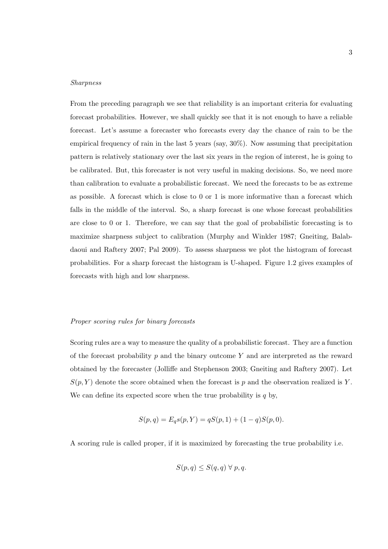#### Sharpness

From the preceding paragraph we see that reliability is an important criteria for evaluating forecast probabilities. However, we shall quickly see that it is not enough to have a reliable forecast. Let's assume a forecaster who forecasts every day the chance of rain to be the empirical frequency of rain in the last 5 years (say, 30%). Now assuming that precipitation pattern is relatively stationary over the last six years in the region of interest, he is going to be calibrated. But, this forecaster is not very useful in making decisions. So, we need more than calibration to evaluate a probabilistic forecast. We need the forecasts to be as extreme as possible. A forecast which is close to 0 or 1 is more informative than a forecast which falls in the middle of the interval. So, a sharp forecast is one whose forecast probabilities are close to 0 or 1. Therefore, we can say that the goal of probabilistic forecasting is to maximize sharpness subject to calibration (Murphy and Winkler 1987; Gneiting, Balabdaoui and Raftery 2007; Pal 2009). To assess sharpness we plot the histogram of forecast probabilities. For a sharp forecast the histogram is U-shaped. Figure 1.2 gives examples of forecasts with high and low sharpness.

#### Proper scoring rules for binary forecasts

Scoring rules are a way to measure the quality of a probabilistic forecast. They are a function of the forecast probability  $p$  and the binary outcome  $Y$  and are interpreted as the reward obtained by the forecaster (Jolliffe and Stephenson 2003; Gneiting and Raftery 2007). Let  $S(p, Y)$  denote the score obtained when the forecast is p and the observation realized is Y. We can define its expected score when the true probability is  $q$  by,

$$
S(p,q) = E_q s(p,Y) = qS(p,1) + (1-q)S(p,0).
$$

A scoring rule is called proper, if it is maximized by forecasting the true probability i.e.

$$
S(p,q) \leq S(q,q) \ \forall \ p,q.
$$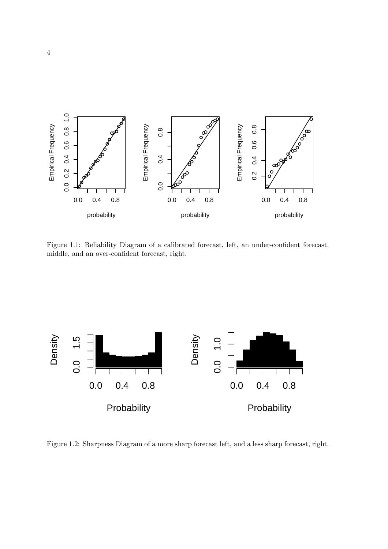

Figure 1.1: Reliability Diagram of a calibrated forecast, left, an under-confident forecast, middle, and an over-confident forecast, right.



Figure 1.2: Sharpness Diagram of a more sharp forecast left, and a less sharp forecast, right.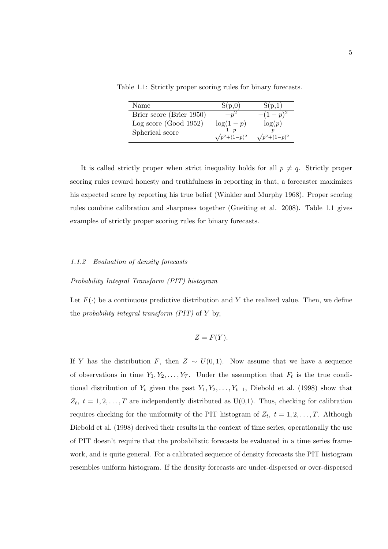Table 1.1: Strictly proper scoring rules for binary forecasts.

| Name                     | S(p,0)     | S(p,1)      |
|--------------------------|------------|-------------|
| Brier score (Brier 1950) |            | $- (1-p)^2$ |
| Log score (Good $1952$ ) | $log(1-p)$ | log(p)      |
| Spherical score          |            |             |

It is called strictly proper when strict inequality holds for all  $p \neq q$ . Strictly proper scoring rules reward honesty and truthfulness in reporting in that, a forecaster maximizes his expected score by reporting his true belief (Winkler and Murphy 1968). Proper scoring rules combine calibration and sharpness together (Gneiting et al. 2008). Table 1.1 gives examples of strictly proper scoring rules for binary forecasts.

#### 1.1.2 Evaluation of density forecasts

#### Probability Integral Transform (PIT) histogram

Let  $F(\cdot)$  be a continuous predictive distribution and Y the realized value. Then, we define the *probability integral transform (PIT)* of  $Y$  by,

$$
Z = F(Y).
$$

If Y has the distribution F, then  $Z \sim U(0, 1)$ . Now assume that we have a sequence of observations in time  $Y_1, Y_2, \ldots, Y_T$ . Under the assumption that  $F_t$  is the true conditional distribution of  $Y_t$  given the past  $Y_1, Y_2, \ldots, Y_{t-1}$ , Diebold et al. (1998) show that  $Z_t$ ,  $t = 1, 2, \ldots, T$  are independently distributed as  $U(0,1)$ . Thus, checking for calibration requires checking for the uniformity of the PIT histogram of  $Z_t$ ,  $t = 1, 2, \ldots, T$ . Although Diebold et al. (1998) derived their results in the context of time series, operationally the use of PIT doesn't require that the probabilistic forecasts be evaluated in a time series framework, and is quite general. For a calibrated sequence of density forecasts the PIT histogram resembles uniform histogram. If the density forecasts are under-dispersed or over-dispersed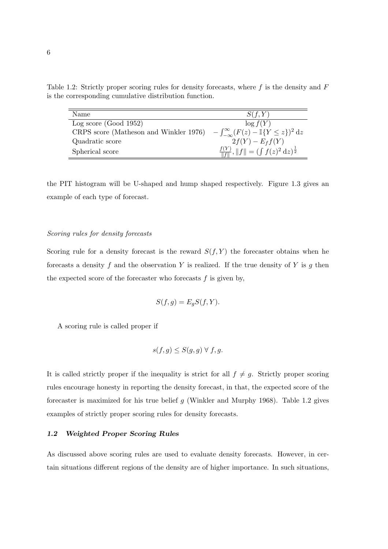Table 1.2: Strictly proper scoring rules for density forecasts, where  $f$  is the density and  $F$ is the corresponding cumulative distribution function.

| Name                                   | S(f,Y)                                                          |
|----------------------------------------|-----------------------------------------------------------------|
| Log score $(Good 1952)$                | $\log f(Y)$                                                     |
| CRPS score (Matheson and Winkler 1976) | $-\int_{-\infty}^{\infty} (F(z) - \mathbb{I}\{Y \leq z\})^2 dz$ |
| Quadratic score                        | $2f(Y) - E_f f(Y)$                                              |
| Spherical score                        | $\frac{f(Y)}{\ f\ }, \ f\  = (\int f(z)^2 dz)^{\frac{1}{2}}$    |

the PIT histogram will be U-shaped and hump shaped respectively. Figure 1.3 gives an example of each type of forecast.

#### Scoring rules for density forecasts

Scoring rule for a density forecast is the reward  $S(f, Y)$  the forecaster obtains when he forecasts a density f and the observation Y is realized. If the true density of Y is g then the expected score of the forecaster who forecasts  $f$  is given by,

$$
S(f,g) = E_g S(f, Y).
$$

A scoring rule is called proper if

$$
s(f,g) \le S(g,g) \,\forall\, f,g.
$$

It is called strictly proper if the inequality is strict for all  $f \neq g$ . Strictly proper scoring rules encourage honesty in reporting the density forecast, in that, the expected score of the forecaster is maximized for his true belief g (Winkler and Murphy 1968). Table 1.2 gives examples of strictly proper scoring rules for density forecasts.

#### 1.2 Weighted Proper Scoring Rules

As discussed above scoring rules are used to evaluate density forecasts. However, in certain situations different regions of the density are of higher importance. In such situations,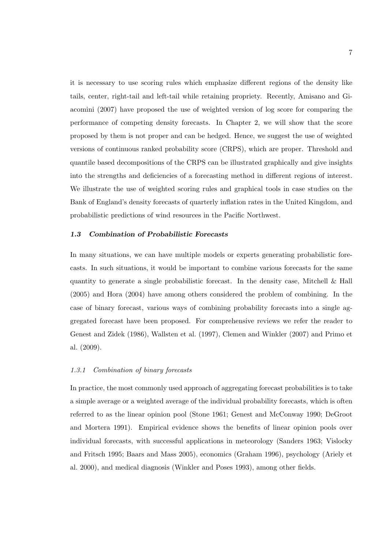it is necessary to use scoring rules which emphasize different regions of the density like tails, center, right-tail and left-tail while retaining propriety. Recently, Amisano and Giacomini (2007) have proposed the use of weighted version of log score for comparing the performance of competing density forecasts. In Chapter 2, we will show that the score proposed by them is not proper and can be hedged. Hence, we suggest the use of weighted versions of continuous ranked probability score (CRPS), which are proper. Threshold and quantile based decompositions of the CRPS can be illustrated graphically and give insights into the strengths and deficiencies of a forecasting method in different regions of interest. We illustrate the use of weighted scoring rules and graphical tools in case studies on the Bank of England's density forecasts of quarterly inflation rates in the United Kingdom, and probabilistic predictions of wind resources in the Pacific Northwest.

#### 1.3 Combination of Probabilistic Forecasts

In many situations, we can have multiple models or experts generating probabilistic forecasts. In such situations, it would be important to combine various forecasts for the same quantity to generate a single probabilistic forecast. In the density case, Mitchell & Hall (2005) and Hora (2004) have among others considered the problem of combining. In the case of binary forecast, various ways of combining probability forecasts into a single aggregated forecast have been proposed. For comprehensive reviews we refer the reader to Genest and Zidek (1986), Wallsten et al. (1997), Clemen and Winkler (2007) and Primo et al. (2009).

#### 1.3.1 Combination of binary forecasts

In practice, the most commonly used approach of aggregating forecast probabilities is to take a simple average or a weighted average of the individual probability forecasts, which is often referred to as the linear opinion pool (Stone 1961; Genest and McConway 1990; DeGroot and Mortera 1991). Empirical evidence shows the benefits of linear opinion pools over individual forecasts, with successful applications in meteorology (Sanders 1963; Vislocky and Fritsch 1995; Baars and Mass 2005), economics (Graham 1996), psychology (Ariely et al. 2000), and medical diagnosis (Winkler and Poses 1993), among other fields.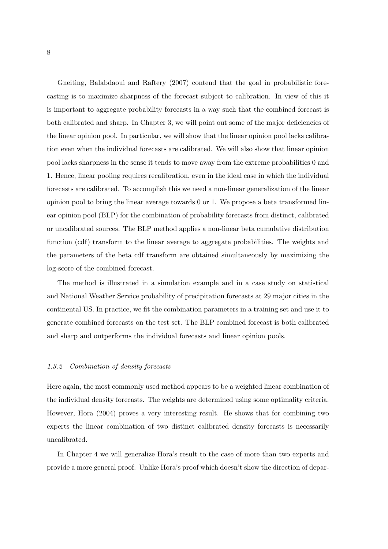Gneiting, Balabdaoui and Raftery (2007) contend that the goal in probabilistic forecasting is to maximize sharpness of the forecast subject to calibration. In view of this it is important to aggregate probability forecasts in a way such that the combined forecast is both calibrated and sharp. In Chapter 3, we will point out some of the major deficiencies of the linear opinion pool. In particular, we will show that the linear opinion pool lacks calibration even when the individual forecasts are calibrated. We will also show that linear opinion pool lacks sharpness in the sense it tends to move away from the extreme probabilities 0 and 1. Hence, linear pooling requires recalibration, even in the ideal case in which the individual forecasts are calibrated. To accomplish this we need a non-linear generalization of the linear opinion pool to bring the linear average towards 0 or 1. We propose a beta transformed linear opinion pool (BLP) for the combination of probability forecasts from distinct, calibrated or uncalibrated sources. The BLP method applies a non-linear beta cumulative distribution function (cdf) transform to the linear average to aggregate probabilities. The weights and the parameters of the beta cdf transform are obtained simultaneously by maximizing the log-score of the combined forecast.

The method is illustrated in a simulation example and in a case study on statistical and National Weather Service probability of precipitation forecasts at 29 major cities in the continental US. In practice, we fit the combination parameters in a training set and use it to generate combined forecasts on the test set. The BLP combined forecast is both calibrated and sharp and outperforms the individual forecasts and linear opinion pools.

#### 1.3.2 Combination of density forecasts

Here again, the most commonly used method appears to be a weighted linear combination of the individual density forecasts. The weights are determined using some optimality criteria. However, Hora (2004) proves a very interesting result. He shows that for combining two experts the linear combination of two distinct calibrated density forecasts is necessarily uncalibrated.

In Chapter 4 we will generalize Hora's result to the case of more than two experts and provide a more general proof. Unlike Hora's proof which doesn't show the direction of depar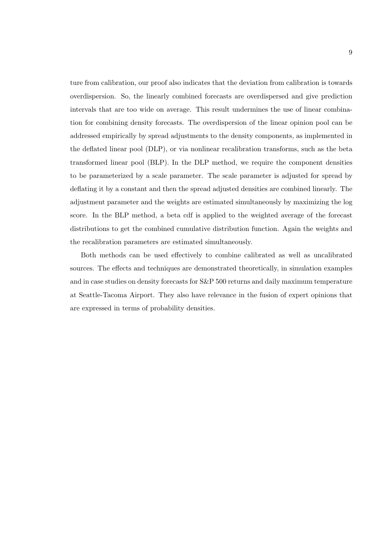ture from calibration, our proof also indicates that the deviation from calibration is towards overdispersion. So, the linearly combined forecasts are overdispersed and give prediction intervals that are too wide on average. This result undermines the use of linear combination for combining density forecasts. The overdispersion of the linear opinion pool can be addressed empirically by spread adjustments to the density components, as implemented in the deflated linear pool (DLP), or via nonlinear recalibration transforms, such as the beta transformed linear pool (BLP). In the DLP method, we require the component densities to be parameterized by a scale parameter. The scale parameter is adjusted for spread by deflating it by a constant and then the spread adjusted densities are combined linearly. The adjustment parameter and the weights are estimated simultaneously by maximizing the log score. In the BLP method, a beta cdf is applied to the weighted average of the forecast distributions to get the combined cumulative distribution function. Again the weights and the recalibration parameters are estimated simultaneously.

Both methods can be used effectively to combine calibrated as well as uncalibrated sources. The effects and techniques are demonstrated theoretically, in simulation examples and in case studies on density forecasts for S&P 500 returns and daily maximum temperature at Seattle-Tacoma Airport. They also have relevance in the fusion of expert opinions that are expressed in terms of probability densities.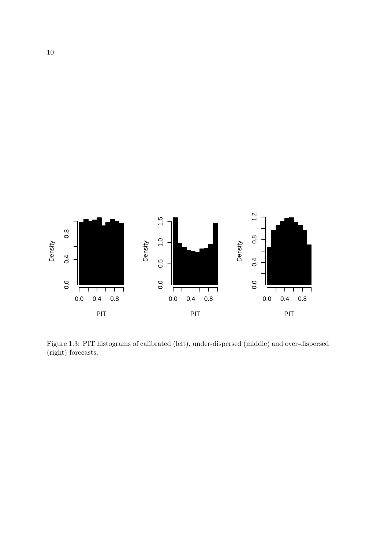

Figure 1.3: PIT histograms of calibrated (left), under-dispersed (middle) and over-dispersed (right) forecasts.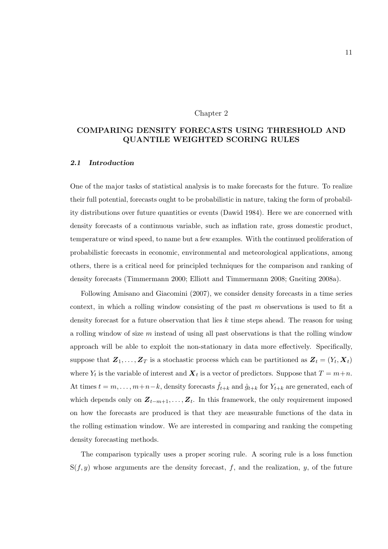#### Chapter 2

### COMPARING DENSITY FORECASTS USING THRESHOLD AND QUANTILE WEIGHTED SCORING RULES

#### 2.1 Introduction

One of the major tasks of statistical analysis is to make forecasts for the future. To realize their full potential, forecasts ought to be probabilistic in nature, taking the form of probability distributions over future quantities or events (Dawid 1984). Here we are concerned with density forecasts of a continuous variable, such as inflation rate, gross domestic product, temperature or wind speed, to name but a few examples. With the continued proliferation of probabilistic forecasts in economic, environmental and meteorological applications, among others, there is a critical need for principled techniques for the comparison and ranking of density forecasts (Timmermann 2000; Elliott and Timmermann 2008; Gneiting 2008a).

Following Amisano and Giacomini (2007), we consider density forecasts in a time series context, in which a rolling window consisting of the past m observations is used to fit a density forecast for a future observation that lies k time steps ahead. The reason for using a rolling window of size m instead of using all past observations is that the rolling window approach will be able to exploit the non-stationary in data more effectively. Specifically, suppose that  $\mathbf{Z}_1, \ldots, \mathbf{Z}_T$  is a stochastic process which can be partitioned as  $\mathbf{Z}_t = (Y_t, \mathbf{X}_t)$ where  $Y_t$  is the variable of interest and  $\boldsymbol{X}_t$  is a vector of predictors. Suppose that  $T = m+n$ . At times  $t = m, \ldots, m+n-k$ , density forecasts  $\hat{f}_{t+k}$  and  $\hat{g}_{t+k}$  for  $Y_{t+k}$  are generated, each of which depends only on  $\mathbf{Z}_{t-m+1}, \ldots, \mathbf{Z}_{t}$ . In this framework, the only requirement imposed on how the forecasts are produced is that they are measurable functions of the data in the rolling estimation window. We are interested in comparing and ranking the competing density forecasting methods.

The comparison typically uses a proper scoring rule. A scoring rule is a loss function  $S(f, y)$  whose arguments are the density forecast, f, and the realization, y, of the future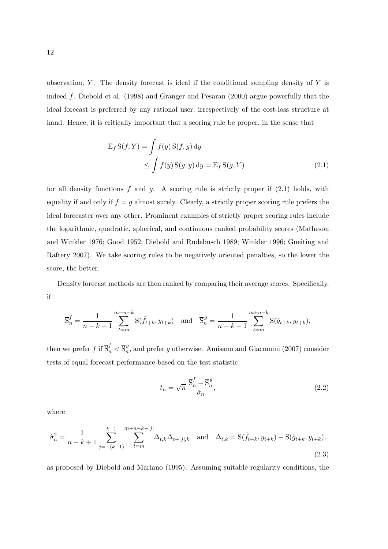observation, Y. The density forecast is ideal if the conditional sampling density of  $Y$  is indeed f. Diebold et al. (1998) and Granger and Pesaran (2000) argue powerfully that the ideal forecast is preferred by any rational user, irrespectively of the cost-loss structure at hand. Hence, it is critically important that a scoring rule be proper, in the sense that

$$
\mathbb{E}_f S(f, Y) = \int f(y) S(f, y) dy
$$
  
\n
$$
\leq \int f(y) S(g, y) dy = \mathbb{E}_f S(g, Y)
$$
\n(2.1)

for all density functions f and q. A scoring rule is strictly proper if  $(2.1)$  holds, with equality if and only if  $f = g$  almost surely. Clearly, a strictly proper scoring rule prefers the ideal forecaster over any other. Prominent examples of strictly proper scoring rules include the logarithmic, quadratic, spherical, and continuous ranked probability scores (Matheson and Winkler 1976; Good 1952; Diebold and Rudebusch 1989; Winkler 1996; Gneiting and Raftery 2007). We take scoring rules to be negatively oriented penalties, so the lower the score, the better.

Density forecast methods are then ranked by comparing their average scores. Specifically, if

$$
\overline{S}_n^f = \frac{1}{n-k+1} \sum_{t=m}^{m+n-k} S(\hat{f}_{t+k}, y_{t+k}) \text{ and } \overline{S}_n^g = \frac{1}{n-k+1} \sum_{t=m}^{m+n-k} S(\hat{g}_{t+k}, y_{t+k}),
$$

then we prefer  $f$  if  $\overline{S}_n^f < \overline{S}_n^g$  $_n^9$ , and prefer g otherwise. Amisano and Giacomini (2007) consider tests of equal forecast performance based on the test statistic

$$
t_n = \sqrt{n} \frac{\overline{\mathbf{S}}_n^f - \overline{\mathbf{S}}_n^g}{\hat{\sigma}_n},\tag{2.2}
$$

where

$$
\hat{\sigma}_n^2 = \frac{1}{n-k+1} \sum_{j=-(k-1)}^{k-1} \sum_{t=m}^{m+n-k-|j|} \Delta_{t,k} \Delta_{t+|j|,k} \quad \text{and} \quad \Delta_{t,k} = \mathcal{S}(\hat{f}_{t+k}, y_{t+k}) - \mathcal{S}(\hat{g}_{t+k}, y_{t+k}),\tag{2.3}
$$

as proposed by Diebold and Mariano (1995). Assuming suitable regularity conditions, the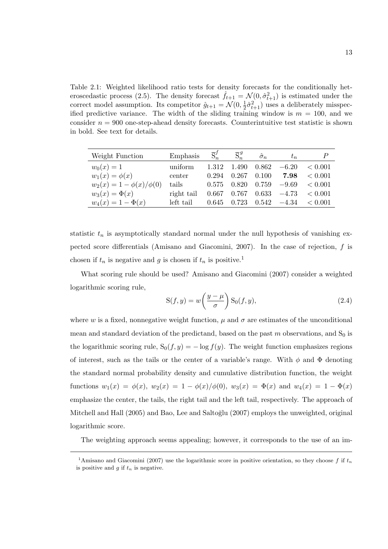Table 2.1: Weighted likelihood ratio tests for density forecasts for the conditionally heteroscedastic process (2.5). The density forecast  $\hat{f}_{t+1} = \mathcal{N}(0, \hat{\sigma}_{t+1}^2)$  is estimated under the correct model assumption. Its competitor  $\hat{g}_{t+1} = \mathcal{N}(0, \frac{1}{2})$  $\frac{1}{2}\hat{\sigma}_{t+1}^2$ ) uses a deliberately misspecified predictive variance. The width of the sliding training window is  $m = 100$ , and we consider  $n = 900$  one-step-ahead density forecasts. Counterintuitive test statistic is shown in bold. See text for details.

| Weight Function                | Emphasis   | $\overline{S}_n^f$ | $\overline{S}_n^g$ | $\hat{\sigma}_n$    | $t_n$   |              |
|--------------------------------|------------|--------------------|--------------------|---------------------|---------|--------------|
| $w_0(x) = 1$                   | uniform    | 1.312              | 1.490              | 0.862               | $-6.20$ | < 0.001      |
| $w_1(x) = \phi(x)$             | center     | 0.294              | 0.267              | 0.100               | 7.98    | < 0.001      |
| $w_2(x) = 1 - \phi(x)/\phi(0)$ | tails      | 0.575              |                    | $0.820 \quad 0.759$ | $-9.69$ | < 0.001      |
| $w_3(x) = \Phi(x)$             | right tail |                    | $0.667$ $0.767$    | 0.633               | $-4.73$ | < 0.001      |
| $w_4(x) = 1 - \Phi(x)$         | left tail  | 0.645              | 0.723              | $0.542\,$           | $-4.34$ | $\leq 0.001$ |

statistic  $t_n$  is asymptotically standard normal under the null hypothesis of vanishing expected score differentials (Amisano and Giacomini, 2007). In the case of rejection, f is chosen if  $t_n$  is negative and g is chosen if  $t_n$  is positive.<sup>1</sup>

What scoring rule should be used? Amisano and Giacomini (2007) consider a weighted logarithmic scoring rule,  $\overline{a}$  $\mathbf{r}$ 

$$
S(f, y) = w\left(\frac{y - \mu}{\sigma}\right) S_0(f, y), \qquad (2.4)
$$

where w is a fixed, nonnegative weight function,  $\mu$  and  $\sigma$  are estimates of the unconditional mean and standard deviation of the predictand, based on the past  $m$  observations, and  $S_0$  is the logarithmic scoring rule,  $S_0(f, y) = -\log f(y)$ . The weight function emphasizes regions of interest, such as the tails or the center of a variable's range. With  $\phi$  and  $\Phi$  denoting the standard normal probability density and cumulative distribution function, the weight functions  $w_1(x) = \phi(x)$ ,  $w_2(x) = 1 - \phi(x)/\phi(0)$ ,  $w_3(x) = \Phi(x)$  and  $w_4(x) = 1 - \Phi(x)$ emphasize the center, the tails, the right tail and the left tail, respectively. The approach of Mitchell and Hall (2005) and Bao, Lee and Saltoğlu (2007) employs the unweighted, original logarithmic score.

The weighting approach seems appealing; however, it corresponds to the use of an im-

<sup>&</sup>lt;sup>1</sup>Amisano and Giacomini (2007) use the logarithmic score in positive orientation, so they choose f if  $t_n$ is positive and  $q$  if  $t_n$  is negative.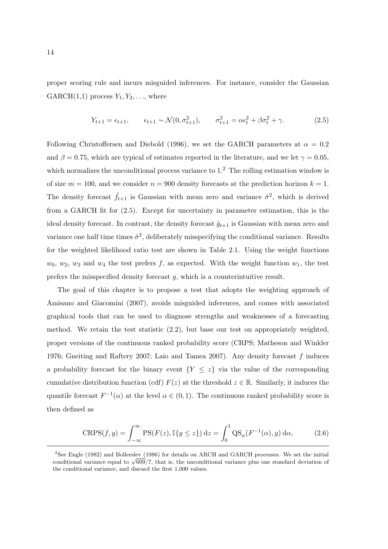proper scoring rule and incurs misguided inferences. For instance, consider the Gaussian GARCH $(1,1)$  process  $Y_1, Y_2, \ldots$ , where

$$
Y_{t+1} = \epsilon_{t+1}, \qquad \epsilon_{t+1} \sim \mathcal{N}(0, \sigma_{t+1}^2), \qquad \sigma_{t+1}^2 = \alpha \epsilon_t^2 + \beta \sigma_t^2 + \gamma. \tag{2.5}
$$

Following Christoffersen and Diebold (1996), we set the GARCH parameters at  $\alpha = 0.2$ and  $\beta = 0.75$ , which are typical of estimates reported in the literature, and we let  $\gamma = 0.05$ , which normalizes the unconditional process variance to  $1<sup>2</sup>$ . The rolling estimation window is of size  $m = 100$ , and we consider  $n = 900$  density forecasts at the prediction horizon  $k = 1$ . The density forecast  $\hat{f}_{t+1}$  is Gaussian with mean zero and variance  $\hat{\sigma}^2$ , which is derived from a GARCH fit for (2.5). Except for uncertainty in parameter estimation, this is the ideal density forecast. In contrast, the density forecast  $\hat{g}_{t+1}$  is Gaussian with mean zero and variance one half time times  $\hat{\sigma}^2$ , deliberately misspecifying the conditional variance. Results for the weighted likelihood ratio test are shown in Table 2.1. Using the weight functions  $w_0, w_2, w_3$  and  $w_4$  the test prefers f, as expected. With the weight function  $w_1$ , the test prefers the misspecified density forecast g, which is a counterintuitive result.

The goal of this chapter is to propose a test that adopts the weighting approach of Amisano and Giacomini (2007), avoids misguided inferences, and comes with associated graphical tools that can be used to diagnose strengths and weaknesses of a forecasting method. We retain the test statistic (2.2), but base our test on appropriately weighted, proper versions of the continuous ranked probability score (CRPS; Matheson and Winkler 1976; Gneiting and Raftery 2007; Laio and Tamea 2007). Any density forecast f induces a probability forecast for the binary event  ${Y \leq z}$  via the value of the corresponding cumulative distribution function (cdf)  $F(z)$  at the threshold  $z \in \mathbb{R}$ . Similarly, it induces the quantile forecast  $F^{-1}(\alpha)$  at the level  $\alpha \in (0,1)$ . The continuous ranked probability score is then defined as

$$
CRPS(f, y) = \int_{-\infty}^{\infty} PS(F(z), \mathbb{I}\{y \le z\}) dz = \int_{0}^{1} QS_{\alpha}(F^{-1}(\alpha), y) d\alpha,
$$
 (2.6)

<sup>2</sup>See Engle (1982) and Bollerslev (1986) for details on ARCH and GARCH processes. We set the initial See Engle (1982) and Bollerslev (1986) for details on ARCH and GARCH processes. We set the initial conditional variance equal to  $\sqrt{609}/7$ , that is, the unconditional variance plus one standard deviation of the conditional variance, and discard the first 1,000 values.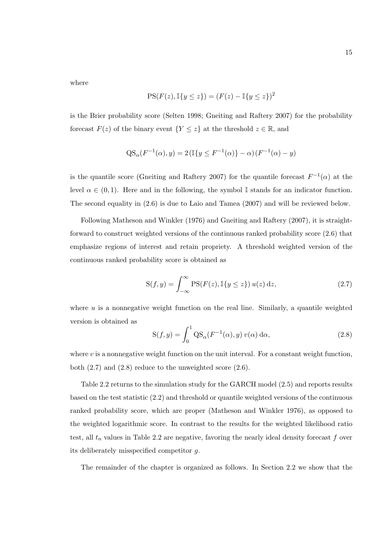where

$$
PS(F(z), \mathbb{I}\{y \le z\}) = (F(z) - \mathbb{I}\{y \le z\})^2
$$

is the Brier probability score (Selten 1998; Gneiting and Raftery 2007) for the probability forecast  $F(z)$  of the binary event  $\{Y \leq z\}$  at the threshold  $z \in \mathbb{R}$ , and

$$
QS_{\alpha}(F^{-1}(\alpha), y) = 2(\mathbb{I}\{y \le F^{-1}(\alpha)\} - \alpha)(F^{-1}(\alpha) - y)
$$

is the quantile score (Gneiting and Raftery 2007) for the quantile forecast  $F^{-1}(\alpha)$  at the level  $\alpha \in (0,1)$ . Here and in the following, the symbol I stands for an indicator function. The second equality in (2.6) is due to Laio and Tamea (2007) and will be reviewed below.

Following Matheson and Winkler (1976) and Gneiting and Raftery (2007), it is straightforward to construct weighted versions of the continuous ranked probability score (2.6) that emphasize regions of interest and retain propriety. A threshold weighted version of the continuous ranked probability score is obtained as

$$
S(f, y) = \int_{-\infty}^{\infty} PS(F(z), \mathbb{I}\{y \le z\}) u(z) dz,
$$
\n(2.7)

where  $u$  is a nonnegative weight function on the real line. Similarly, a quantile weighted version is obtained as

$$
S(f, y) = \int_0^1 \text{QS}_{\alpha}(F^{-1}(\alpha), y) v(\alpha) d\alpha,
$$
\n(2.8)

where  $v$  is a nonnegative weight function on the unit interval. For a constant weight function, both (2.7) and (2.8) reduce to the unweighted score (2.6).

Table 2.2 returns to the simulation study for the GARCH model (2.5) and reports results based on the test statistic (2.2) and threshold or quantile weighted versions of the continuous ranked probability score, which are proper (Matheson and Winkler 1976), as opposed to the weighted logarithmic score. In contrast to the results for the weighted likelihood ratio test, all  $t_n$  values in Table 2.2 are negative, favoring the nearly ideal density forecast f over its deliberately misspecified competitor g.

The remainder of the chapter is organized as follows. In Section 2.2 we show that the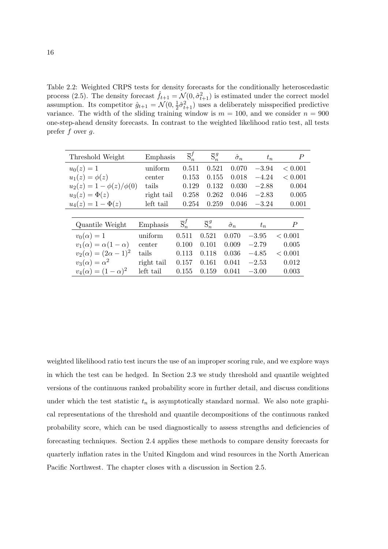Table 2.2: Weighted CRPS tests for density forecasts for the conditionally heteroscedastic process (2.5). The density forecast  $\hat{f}_{t+1} = \mathcal{N}(0, \hat{\sigma}_{t+1}^2)$  is estimated under the correct model assumption. Its competitor  $\hat{g}_{t+1} = \mathcal{N}(0, \frac{1}{2})$  $\frac{1}{2}\hat{\sigma}_{t+1}^2$ ) uses a deliberately misspecified predictive variance. The width of the sliding training window is  $m = 100$ , and we consider  $n = 900$ one-step-ahead density forecasts. In contrast to the weighted likelihood ratio test, all tests prefer  $f$  over  $g$ .

| Threshold Weight                 | Emphasis   | $\overline{S}_n^f$ | $\overline{S}_n^g$ | $\hat{\sigma}_n$ | $t_n$   | $\, P \,$      |
|----------------------------------|------------|--------------------|--------------------|------------------|---------|----------------|
| $u_0(z) = 1$                     | uniform    | 0.511              | 0.521              | 0.070            | $-3.94$ | < 0.001        |
| $u_1(z) = \phi(z)$               | center     | 0.153              | 0.155              | 0.018            | $-4.24$ | < 0.001        |
| $u_2(z) = 1 - \phi(z)/\phi(0)$   | tails      | 0.129              | 0.132              | 0.030            | $-2.88$ | 0.004          |
| $u_3(z) = \Phi(z)$               | right tail | 0.258              | 0.262              | 0.046            | $-2.83$ | 0.005          |
| $u_4(z) = 1 - \Phi(z)$           | left tail  | 0.254              | 0.259              | 0.046            | $-3.24$ | 0.001          |
|                                  |            |                    |                    |                  |         |                |
| Quantile Weight                  | Emphasis   | $\overline{S}_n^f$ | $\overline{S}_n^g$ | $\hat{\sigma}_n$ | $t_n$   | $\overline{P}$ |
| $v_0(\alpha) = 1$                | uniform    | 0.511              | 0.521              | 0.070            | $-3.95$ | < 0.001        |
| $v_1(\alpha) = \alpha(1-\alpha)$ | center     | 0.100              | 0.101              | 0.009            | $-2.79$ | 0.005          |
| $v_2(\alpha) = (2\alpha - 1)^2$  | tails      | 0.113              | 0.118              | 0.036            | $-4.85$ | < 0.001        |
| $v_3(\alpha) = \alpha^2$         | right tail | 0.157              | 0.161              | 0.041            | $-2.53$ | 0.012          |
| $v_4(\alpha) = (1 - \alpha)^2$   | left tail  | 0.155              | 0.159              | 0.041            | $-3.00$ | 0.003          |

weighted likelihood ratio test incurs the use of an improper scoring rule, and we explore ways in which the test can be hedged. In Section 2.3 we study threshold and quantile weighted versions of the continuous ranked probability score in further detail, and discuss conditions under which the test statistic  $t_n$  is asymptotically standard normal. We also note graphical representations of the threshold and quantile decompositions of the continuous ranked probability score, which can be used diagnostically to assess strengths and deficiencies of forecasting techniques. Section 2.4 applies these methods to compare density forecasts for quarterly inflation rates in the United Kingdom and wind resources in the North American Pacific Northwest. The chapter closes with a discussion in Section 2.5.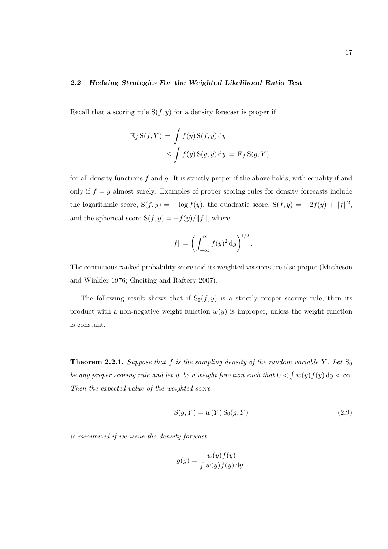### 2.2 Hedging Strategies For the Weighted Likelihood Ratio Test

Recall that a scoring rule  $S(f, y)$  for a density forecast is proper if

$$
\mathbb{E}_f S(f, Y) = \int f(y) S(f, y) dy
$$
  
\n
$$
\leq \int f(y) S(g, y) dy = \mathbb{E}_f S(g, Y)
$$

for all density functions  $f$  and  $g$ . It is strictly proper if the above holds, with equality if and only if  $f = g$  almost surely. Examples of proper scoring rules for density forecasts include the logarithmic score,  $S(f, y) = -\log f(y)$ , the quadratic score,  $S(f, y) = -2f(y) + ||f||^2$ , and the spherical score  $S(f, y) = -f(y)/||f||$ , where

$$
||f|| = \left(\int_{-\infty}^{\infty} f(y)^2 dy\right)^{1/2}.
$$

The continuous ranked probability score and its weighted versions are also proper (Matheson and Winkler 1976; Gneiting and Raftery 2007).

The following result shows that if  $S_0(f, y)$  is a strictly proper scoring rule, then its product with a non-negative weight function  $w(y)$  is improper, unless the weight function is constant.

**Theorem 2.2.1.** Suppose that f is the sampling density of the random variable Y. Let  $S_0$ be any proper scoring rule and let  $w$  be a weight function such that  $0 <$ R  $w(y) f(y) dy < \infty$ . Then the expected value of the weighted score

$$
S(g, Y) = w(Y) S_0(g, Y)
$$
\n
$$
(2.9)
$$

is minimized if we issue the density forecast

$$
g(y) = \frac{w(y)f(y)}{\int w(y)f(y) \, dy}.
$$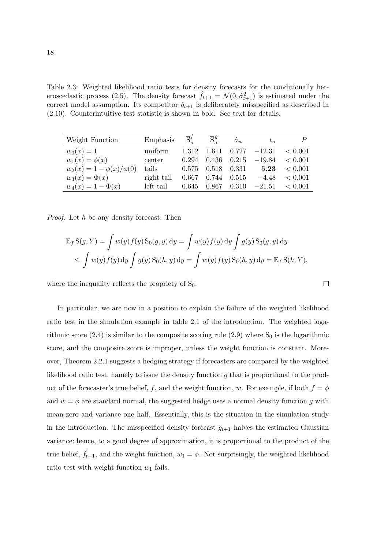Table 2.3: Weighted likelihood ratio tests for density forecasts for the conditionally heteroscedastic process (2.5). The density forecast  $\hat{f}_{t+1} = \mathcal{N}(0, \hat{\sigma}_{t+1}^2)$  is estimated under the correct model assumption. Its competitor  $\hat{g}_{t+1}$  is deliberately misspecified as described in (2.10). Counterintuitive test statistic is shown in bold. See text for details.

| Weight Function                | Emphasis   | $\overline{S}_n^f$ | $\overline{S}_n^g$ | $\hat{\sigma}_n$ | $t_n$          |         |
|--------------------------------|------------|--------------------|--------------------|------------------|----------------|---------|
| $w_0(x) = 1$                   | uniform    | 1.312              | 1.611              |                  | $0.727 -12.31$ | < 0.001 |
| $w_1(x) = \phi(x)$             | center     | 0.294              | 0.436              | 0.215            | $-19.84$       | < 0.001 |
| $w_2(x) = 1 - \phi(x)/\phi(0)$ | tails      | 0.575              |                    | $0.518$ $0.331$  | 5.23           | < 0.001 |
| $w_3(x) = \Phi(x)$             | right tail | 0.667              | 0.744              | 0.515            | $-4.48$        | < 0.001 |
| $w_4(x) = 1 - \Phi(x)$         | left tail  | 0.645              | 0.867              | 0.310            | $-21.51$       | < 0.001 |

Proof. Let h be any density forecast. Then

$$
\mathbb{E}_f S(g, Y) = \int w(y) f(y) S_0(g, y) dy = \int w(y) f(y) dy \int g(y) S_0(g, y) dy
$$
  
\n
$$
\leq \int w(y) f(y) dy \int g(y) S_0(h, y) dy = \int w(y) f(y) S_0(h, y) dy = \mathbb{E}_f S(h, Y),
$$

 $\Box$ 

where the inequality reflects the propriety of  $S_0$ .

In particular, we are now in a position to explain the failure of the weighted likelihood ratio test in the simulation example in table 2.1 of the introduction. The weighted logarithmic score (2.4) is similar to the composite scoring rule (2.9) where  $S_0$  is the logarithmic score, and the composite score is improper, unless the weight function is constant. Moreover, Theorem 2.2.1 suggests a hedging strategy if forecasters are compared by the weighted likelihood ratio test, namely to issue the density function g that is proportional to the product of the forecaster's true belief, f, and the weight function, w. For example, if both  $f = \phi$ and  $w = \phi$  are standard normal, the suggested hedge uses a normal density function g with mean zero and variance one half. Essentially, this is the situation in the simulation study in the introduction. The misspecified density forecast  $\hat{g}_{t+1}$  halves the estimated Gaussian variance; hence, to a good degree of approximation, it is proportional to the product of the true belief,  $f_{t+1}$ , and the weight function,  $w_1 = \phi$ . Not surprisingly, the weighted likelihood ratio test with weight function  $w_1$  fails.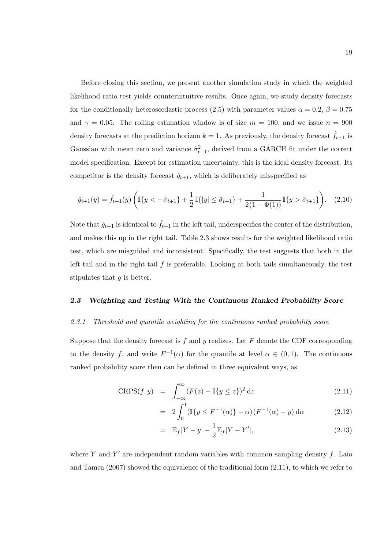Before closing this section, we present another simulation study in which the weighted likelihood ratio test yields counterintuitive results. Once again, we study density forecasts for the conditionally heteroscedastic process (2.5) with parameter values  $\alpha = 0.2$ ,  $\beta = 0.75$ and  $\gamma = 0.05$ . The rolling estimation window is of size  $m = 100$ , and we issue  $n = 900$ density forecasts at the prediction horizon  $k = 1$ . As previously, the density forecast  $\hat{f}_{t+1}$  is Gaussian with mean zero and variance  $\hat{\sigma}_{t+1}^2$ , derived from a GARCH fit under the correct model specification. Except for estimation uncertainty, this is the ideal density forecast. Its competitor is the density forecast  $\hat{g}_{t+1}$ , which is deliberately misspecified as

$$
\hat{g}_{t+1}(y) = \hat{f}_{t+1}(y) \left( \mathbb{I}\{y < -\hat{\sigma}_{t+1}\} + \frac{1}{2} \mathbb{I}\{|y| \le \hat{\sigma}_{t+1}\} + \frac{1}{2(1 - \Phi(1))} \mathbb{I}\{y > \hat{\sigma}_{t+1}\} \right). \tag{2.10}
$$

Note that  $\hat{g}_{t+1}$  is identical to  $\hat{f}_{t+1}$  in the left tail, underspecifies the center of the distribution, and makes this up in the right tail. Table 2.3 shows results for the weighted likelihood ratio test, which are misguided and inconsistent. Specifically, the test suggests that both in the left tail and in the right tail  $f$  is preferable. Looking at both tails simultaneously, the test stipulates that  $q$  is better.

#### 2.3 Weighting and Testing With the Continuous Ranked Probability Score

#### 2.3.1 Threshold and quantile weighting for the continuous ranked probability score

Suppose that the density forecast is f and y realizes. Let  $F$  denote the CDF corresponding to the density f, and write  $F^{-1}(\alpha)$  for the quantile at level  $\alpha \in (0,1)$ . The continuous ranked probability score then can be defined in three equivalent ways, as

$$
CRPS(f, y) = \int_{-\infty}^{\infty} (F(z) - \mathbb{I}\{y \le z\})^2 dz \qquad (2.11)
$$

$$
= 2 \int_0^1 (\mathbb{I}\{y \le F^{-1}(\alpha)\} - \alpha) (F^{-1}(\alpha) - y) d\alpha \qquad (2.12)
$$

$$
= \mathbb{E}_f |Y - y| - \frac{1}{2} \mathbb{E}_f |Y - Y'|,
$$
\n(2.13)

where Y and Y' are independent random variables with common sampling density  $f$ . Laio and Tamea (2007) showed the equivalence of the traditional form (2.11), to which we refer to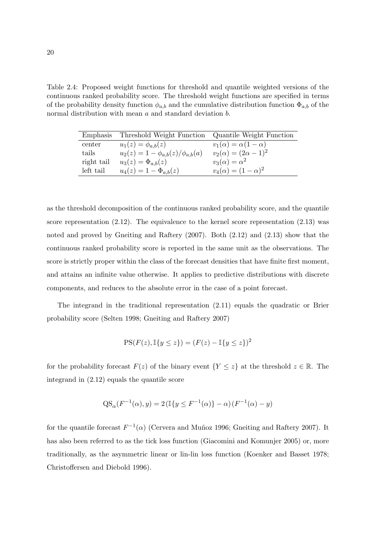Table 2.4: Proposed weight functions for threshold and quantile weighted versions of the continuous ranked probability score. The threshold weight functions are specified in terms of the probability density function  $\phi_{a,b}$  and the cumulative distribution function  $\Phi_{a,b}$  of the normal distribution with mean a and standard deviation b.

| Emphasis   | Threshold Weight Function                  | Quantile Weight Function         |
|------------|--------------------------------------------|----------------------------------|
| center     | $u_1(z) = \phi_{a,b}(z)$                   | $v_1(\alpha) = \alpha(1-\alpha)$ |
| tails      | $u_2(z) = 1 - \phi_{a,b}(z)/\phi_{a,b}(a)$ | $v_2(\alpha) = (2\alpha - 1)^2$  |
| right tail | $u_3(z) = \Phi_{a,b}(z)$                   | $v_3(\alpha) = \alpha^2$         |
| left tail  | $u_4(z) = 1 - \Phi_{a,b}(z)$               | $v_4(\alpha) = (1 - \alpha)^2$   |

as the threshold decomposition of the continuous ranked probability score, and the quantile score representation (2.12). The equivalence to the kernel score representation (2.13) was noted and proved by Gneiting and Raftery (2007). Both (2.12) and (2.13) show that the continuous ranked probability score is reported in the same unit as the observations. The score is strictly proper within the class of the forecast densities that have finite first moment, and attains an infinite value otherwise. It applies to predictive distributions with discrete components, and reduces to the absolute error in the case of a point forecast.

The integrand in the traditional representation (2.11) equals the quadratic or Brier probability score (Selten 1998; Gneiting and Raftery 2007)

$$
PS(F(z), \mathbb{I}\{y \le z\}) = (F(z) - \mathbb{I}\{y \le z\})^2
$$

for the probability forecast  $F(z)$  of the binary event  ${Y \leq z}$  at the threshold  $z \in \mathbb{R}$ . The integrand in (2.12) equals the quantile score

$$
QS_{\alpha}(F^{-1}(\alpha), y) = 2(\mathbb{I}\{y \le F^{-1}(\alpha)\} - \alpha)(F^{-1}(\alpha) - y)
$$

for the quantile forecast  $F^{-1}(\alpha)$  (Cervera and Muñoz 1996; Gneiting and Raftery 2007). It has also been referred to as the tick loss function (Giacomini and Komunjer 2005) or, more traditionally, as the asymmetric linear or lin-lin loss function (Koenker and Basset 1978; Christoffersen and Diebold 1996).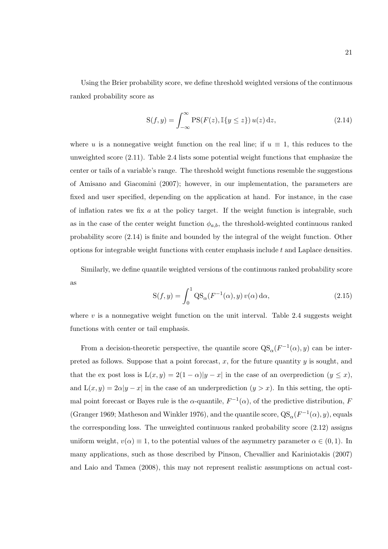Using the Brier probability score, we define threshold weighted versions of the continuous ranked probability score as

$$
S(f, y) = \int_{-\infty}^{\infty} PS(F(z), \mathbb{I}\{y \le z\}) u(z) dz,
$$
\n(2.14)

where u is a nonnegative weight function on the real line; if  $u \equiv 1$ , this reduces to the unweighted score (2.11). Table 2.4 lists some potential weight functions that emphasize the center or tails of a variable's range. The threshold weight functions resemble the suggestions of Amisano and Giacomini (2007); however, in our implementation, the parameters are fixed and user specified, depending on the application at hand. For instance, in the case of inflation rates we fix  $a$  at the policy target. If the weight function is integrable, such as in the case of the center weight function  $\phi_{a,b}$ , the threshold-weighted continuous ranked probability score (2.14) is finite and bounded by the integral of the weight function. Other options for integrable weight functions with center emphasis include t and Laplace densities.

Similarly, we define quantile weighted versions of the continuous ranked probability score as

$$
S(f, y) = \int_0^1 QS_\alpha(F^{-1}(\alpha), y) v(\alpha) d\alpha,
$$
\n(2.15)

where  $v$  is a nonnegative weight function on the unit interval. Table 2.4 suggests weight functions with center or tail emphasis.

From a decision-theoretic perspective, the quantile score  $QS_{\alpha}(F^{-1}(\alpha), y)$  can be interpreted as follows. Suppose that a point forecast,  $x$ , for the future quantity  $y$  is sought, and that the ex post loss is  $L(x, y) = 2(1 - \alpha)|y - x|$  in the case of an overprediction  $(y \leq x)$ , and  $L(x, y) = 2\alpha |y - x|$  in the case of an underprediction  $(y > x)$ . In this setting, the optimal point forecast or Bayes rule is the  $\alpha$ -quantile,  $F^{-1}(\alpha)$ , of the predictive distribution, F (Granger 1969; Matheson and Winkler 1976), and the quantile score,  $QS_{\alpha}(F^{-1}(\alpha), y)$ , equals the corresponding loss. The unweighted continuous ranked probability score (2.12) assigns uniform weight,  $v(\alpha) \equiv 1$ , to the potential values of the asymmetry parameter  $\alpha \in (0,1)$ . In many applications, such as those described by Pinson, Chevallier and Kariniotakis (2007) and Laio and Tamea (2008), this may not represent realistic assumptions on actual cost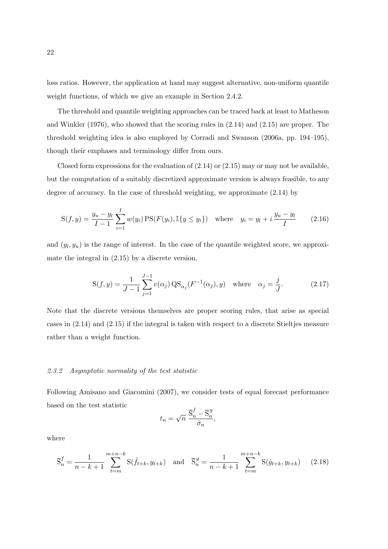loss ratios. However, the application at hand may suggest alternative, non-uniform quantile weight functions, of which we give an example in Section 2.4.2.

The threshold and quantile weighting approaches can be traced back at least to Matheson and Winkler (1976), who showed that the scoring rules in (2.14) and (2.15) are proper. The threshold weighting idea is also employed by Corradi and Swanson (2006a, pp. 194–195), though their emphases and terminology differ from ours.

Closed form expressions for the evaluation of  $(2.14)$  or  $(2.15)$  may or may not be available, but the computation of a suitably discretized approximate version is always feasible, to any degree of accuracy. In the case of threshold weighting, we approximate (2.14) by

$$
S(f, y) = \frac{y_u - y_l}{I - 1} \sum_{i=1}^{I} w(y_i) \, \text{PS}(F(y_i), \mathbb{I}\{y \le y_i\}) \quad \text{where} \quad y_i = y_l + i \, \frac{y_u - y_l}{I} \tag{2.16}
$$

and  $(y_l, y_u)$  is the range of interest. In the case of the quantile weighted score, we approximate the integral in (2.15) by a discrete version,

$$
S(f, y) = \frac{1}{J - 1} \sum_{j=1}^{J - 1} v(\alpha_j) QS_{\alpha_j}(F^{-1}(\alpha_j), y) \text{ where } \alpha_j = \frac{j}{J}.
$$
 (2.17)

Note that the discrete versions themselves are proper scoring rules, that arise as special cases in (2.14) and (2.15) if the integral is taken with respect to a discrete Stieltjes measure rather than a weight function.

# 2.3.2 Asymptotic normality of the test statistic

Following Amisano and Giacomini (2007), we consider tests of equal forecast performance based on the test statistic

$$
t_n = \sqrt{n} \; \frac{\overline{\mathbf{S}}_n^f - \overline{\mathbf{S}}_n^g}{\hat{\sigma}_n},
$$

where

$$
\overline{S}_n^f = \frac{1}{n-k+1} \sum_{t=m}^{m+n-k} S(\hat{f}_{t+k}, y_{t+k}) \text{ and } \overline{S}_n^g = \frac{1}{n-k+1} \sum_{t=m}^{m+n-k} S(\hat{g}_{t+k}, y_{t+k}) \quad (2.18)
$$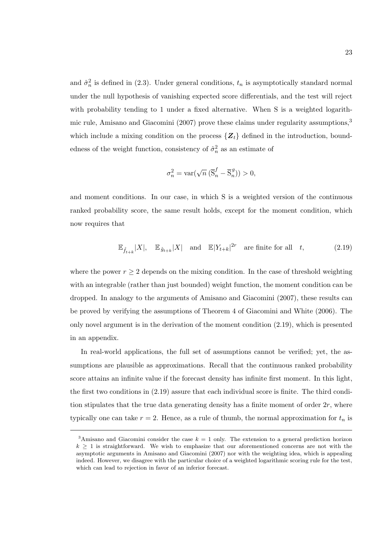and  $\hat{\sigma}_n^2$  is defined in (2.3). Under general conditions,  $t_n$  is asymptotically standard normal under the null hypothesis of vanishing expected score differentials, and the test will reject with probability tending to 1 under a fixed alternative. When S is a weighted logarithmic rule, Amisano and Giacomini (2007) prove these claims under regularity assumptions,<sup>3</sup> which include a mixing condition on the process  $\{Z_t\}$  defined in the introduction, boundedness of the weight function, consistency of  $\hat{\sigma}_n^2$  as an estimate of

$$
\sigma_n^2 = \text{var}(\sqrt{n} \left( \overline{S}_n^f - \overline{S}_n^g \right)) > 0,
$$

and moment conditions. In our case, in which S is a weighted version of the continuous ranked probability score, the same result holds, except for the moment condition, which now requires that

$$
\mathbb{E}_{\hat{f}_{t+k}}|X|, \quad \mathbb{E}_{\hat{g}_{t+k}}|X| \quad \text{and} \quad \mathbb{E}|Y_{t+k}|^{2r} \quad \text{are finite for all} \quad t,
$$
\n
$$
(2.19)
$$

where the power  $r \geq 2$  depends on the mixing condition. In the case of threshold weighting with an integrable (rather than just bounded) weight function, the moment condition can be dropped. In analogy to the arguments of Amisano and Giacomini (2007), these results can be proved by verifying the assumptions of Theorem 4 of Giacomini and White (2006). The only novel argument is in the derivation of the moment condition (2.19), which is presented in an appendix.

In real-world applications, the full set of assumptions cannot be verified; yet, the assumptions are plausible as approximations. Recall that the continuous ranked probability score attains an infinite value if the forecast density has infinite first moment. In this light, the first two conditions in (2.19) assure that each individual score is finite. The third condition stipulates that the true data generating density has a finite moment of order  $2r$ , where typically one can take  $r = 2$ . Hence, as a rule of thumb, the normal approximation for  $t_n$  is

<sup>&</sup>lt;sup>3</sup>Amisano and Giacomini consider the case  $k = 1$  only. The extension to a general prediction horizon  $k > 1$  is straightforward. We wish to emphasize that our aforementioned concerns are not with the asymptotic arguments in Amisano and Giacomini (2007) nor with the weighting idea, which is appealing indeed. However, we disagree with the particular choice of a weighted logarithmic scoring rule for the test, which can lead to rejection in favor of an inferior forecast.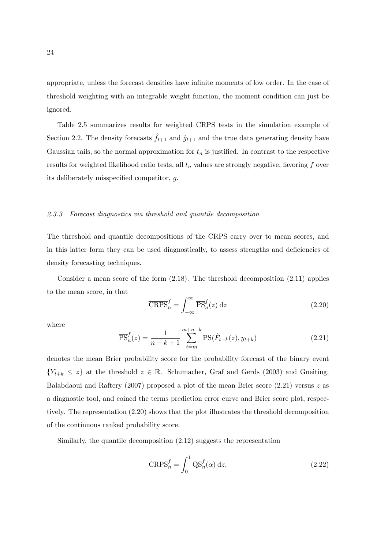appropriate, unless the forecast densities have infinite moments of low order. In the case of threshold weighting with an integrable weight function, the moment condition can just be ignored.

Table 2.5 summarizes results for weighted CRPS tests in the simulation example of Section 2.2. The density forecasts  $\hat{f}_{t+1}$  and  $\hat{g}_{t+1}$  and the true data generating density have Gaussian tails, so the normal approximation for  $t_n$  is justified. In contrast to the respective results for weighted likelihood ratio tests, all  $t_n$  values are strongly negative, favoring  $f$  over its deliberately misspecified competitor, g.

#### 2.3.3 Forecast diagnostics via threshold and quantile decomposition

The threshold and quantile decompositions of the CRPS carry over to mean scores, and in this latter form they can be used diagnostically, to assess strengths and deficiencies of density forecasting techniques.

Consider a mean score of the form (2.18). The threshold decomposition (2.11) applies to the mean score, in that  $r^{\infty}$ 

$$
\overline{\text{CRPS}}_n^f = \int_{-\infty}^{\infty} \overline{\text{PS}}_n^f(z) \, \mathrm{d}z \tag{2.20}
$$

where

$$
\overline{\text{PS}}_n^f(z) = \frac{1}{n - k + 1} \sum_{t=m}^{m+n-k} \text{PS}(\hat{F}_{t+k}(z), y_{t+k}) \tag{2.21}
$$

denotes the mean Brier probability score for the probability forecast of the binary event  ${Y_{t+k} \leq z}$  at the threshold  $z \in \mathbb{R}$ . Schumacher, Graf and Gerds (2003) and Gneiting, Balabdaoui and Raftery (2007) proposed a plot of the mean Brier score  $(2.21)$  versus z as a diagnostic tool, and coined the terms prediction error curve and Brier score plot, respectively. The representation (2.20) shows that the plot illustrates the threshold decomposition of the continuous ranked probability score.

Similarly, the quantile decomposition (2.12) suggests the representation

$$
\overline{\text{CRPS}}_n^f = \int_0^1 \overline{\text{QS}}_n^f(\alpha) \, \text{d}z,\tag{2.22}
$$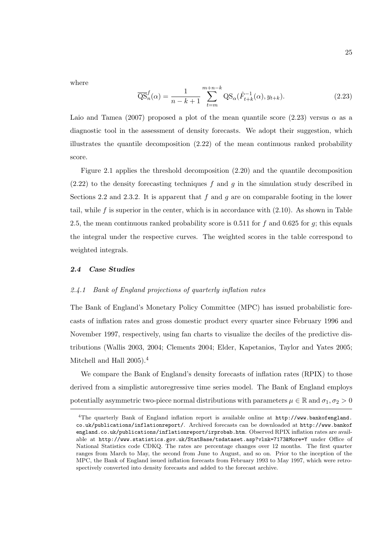where

$$
\overline{\text{QS}}_n^f(\alpha) = \frac{1}{n - k + 1} \sum_{t=m}^{m+n-k} \text{QS}_{\alpha}(\hat{F}_{t+k}^{-1}(\alpha), y_{t+k}). \tag{2.23}
$$

Laio and Tamea (2007) proposed a plot of the mean quantile score (2.23) versus  $\alpha$  as a diagnostic tool in the assessment of density forecasts. We adopt their suggestion, which illustrates the quantile decomposition (2.22) of the mean continuous ranked probability score.

Figure 2.1 applies the threshold decomposition  $(2.20)$  and the quantile decomposition  $(2.22)$  to the density forecasting techniques f and g in the simulation study described in Sections 2.2 and 2.3.2. It is apparent that f and g are on comparable footing in the lower tail, while f is superior in the center, which is in accordance with  $(2.10)$ . As shown in Table 2.5, the mean continuous ranked probability score is 0.511 for f and 0.625 for q; this equals the integral under the respective curves. The weighted scores in the table correspond to weighted integrals.

### 2.4 Case Studies

# 2.4.1 Bank of England projections of quarterly inflation rates

The Bank of England's Monetary Policy Committee (MPC) has issued probabilistic forecasts of inflation rates and gross domestic product every quarter since February 1996 and November 1997, respectively, using fan charts to visualize the deciles of the predictive distributions (Wallis 2003, 2004; Clements 2004; Elder, Kapetanios, Taylor and Yates 2005; Mitchell and Hall 2005).<sup>4</sup>

We compare the Bank of England's density forecasts of inflation rates (RPIX) to those derived from a simplistic autoregressive time series model. The Bank of England employs potentially asymmetric two-piece normal distributions with parameters  $\mu \in \mathbb{R}$  and  $\sigma_1, \sigma_2 > 0$ 

<sup>4</sup>The quarterly Bank of England inflation report is available online at http://www.bankofengland. co.uk/publications/inflationreport/. Archived forecasts can be downloaded at http://www.bankof england.co.uk/publications/inflationreport/irprobab.htm. Observed RPIX inflation rates are available at http://www.statistics.gov.uk/StatBase/tsdataset.asp?vlnk=7173&More=Y under Office of National Statistics code CDKQ. The rates are percentage changes over 12 months. The first quarter ranges from March to May, the second from June to August, and so on. Prior to the inception of the MPC, the Bank of England issued inflation forecasts from February 1993 to May 1997, which were retrospectively converted into density forecasts and added to the forecast archive.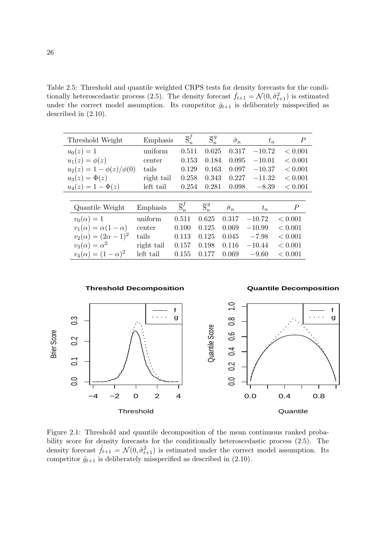Table 2.5: Threshold and quantile weighted CRPS tests for density forecasts for the conditionally heteroscedastic process (2.5). The density forecast  $\hat{f}_{t+1} = \mathcal{N}(0, \hat{\sigma}_{t+1}^2)$  is estimated under the correct model assumption. Its competitor  $\hat{g}_{t+1}$  is deliberately misspecified as described in (2.10).

| Threshold Weight                 | Emphasis   | $\overline{S}_n^f$ | $\overline{S}_n^g$ | $\hat{\sigma}_n$ | $t_n$    | Р       |
|----------------------------------|------------|--------------------|--------------------|------------------|----------|---------|
| $u_0(z) = 1$                     | uniform    | 0.511              | 0.625              | 0.317            | $-10.72$ | < 0.001 |
| $u_1(z) = \phi(z)$               | center     | 0.153              | 0.184              | 0.095            | $-10.01$ | < 0.001 |
| $u_2(z) = 1 - \phi(z)/\phi(0)$   | tails      | 0.129              | 0.163              | 0.097            | $-10.37$ | < 0.001 |
| $u_3(z) = \Phi(z)$               | right tail | 0.258              | 0.343              | 0.227            | $-11.32$ | < 0.001 |
| $u_4(z) = 1 - \Phi(z)$           | left tail  | 0.254              | 0.281              | 0.098            | $-8.39$  | < 0.001 |
|                                  |            |                    |                    |                  |          |         |
| Quantile Weight                  | Emphasis   | $\overline{S}_n^f$ | $\overline{S}_n^g$ | $\hat{\sigma}_n$ | $t_n$    | ₽       |
| $v_0(\alpha)=1$                  | uniform    | 0.511              | 0.625              | 0.317            | $-10.72$ | < 0.001 |
| $v_1(\alpha) = \alpha(1-\alpha)$ | center     | 0.100              | 0.125              | 0.069            | $-10.99$ | < 0.001 |
| $v_2(\alpha) = (2\alpha - 1)^2$  | tails      | 0.113              | 0.125              | 0.045            | $-7.98$  | < 0.001 |
| $v_3(\alpha) = \alpha^2$         | right tail | 0.157              | 0.198              | 0.116            | $-10.44$ | < 0.001 |
| $v_4(\alpha) = (1 - \alpha)^2$   | left tail  | 0.155              | 0.177              | 0.069            | $-9.60$  | < 0.001 |



Figure 2.1: Threshold and quantile decomposition of the mean continuous ranked probability score for density forecasts for the conditionally heteroscedastic process (2.5). The density forecast  $\hat{f}_{t+1} = \mathcal{N}(0, \hat{\sigma}_{t+1}^2)$  is estimated under the correct model assumption. Its competitor  $\hat{g}_{t+1}$  is deliberately misspecified as described in (2.10).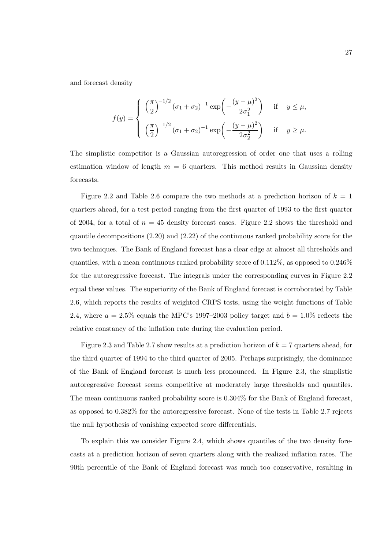and forecast density

$$
f(y) = \begin{cases} \left(\frac{\pi}{2}\right)^{-1/2} (\sigma_1 + \sigma_2)^{-1} \exp\left(-\frac{(y-\mu)^2}{2\sigma_1^2}\right) & \text{if } y \le \mu, \\ \left(\frac{\pi}{2}\right)^{-1/2} (\sigma_1 + \sigma_2)^{-1} \exp\left(-\frac{(y-\mu)^2}{2\sigma_2^2}\right) & \text{if } y \ge \mu. \end{cases}
$$

The simplistic competitor is a Gaussian autoregression of order one that uses a rolling estimation window of length  $m = 6$  quarters. This method results in Gaussian density forecasts.

Figure 2.2 and Table 2.6 compare the two methods at a prediction horizon of  $k = 1$ quarters ahead, for a test period ranging from the first quarter of 1993 to the first quarter of 2004, for a total of  $n = 45$  density forecast cases. Figure 2.2 shows the threshold and quantile decompositions (2.20) and (2.22) of the continuous ranked probability score for the two techniques. The Bank of England forecast has a clear edge at almost all thresholds and quantiles, with a mean continuous ranked probability score of 0.112%, as opposed to 0.246% for the autoregressive forecast. The integrals under the corresponding curves in Figure 2.2 equal these values. The superiority of the Bank of England forecast is corroborated by Table 2.6, which reports the results of weighted CRPS tests, using the weight functions of Table 2.4, where  $a = 2.5\%$  equals the MPC's 1997–2003 policy target and  $b = 1.0\%$  reflects the relative constancy of the inflation rate during the evaluation period.

Figure 2.3 and Table 2.7 show results at a prediction horizon of  $k = 7$  quarters ahead, for the third quarter of 1994 to the third quarter of 2005. Perhaps surprisingly, the dominance of the Bank of England forecast is much less pronounced. In Figure 2.3, the simplistic autoregressive forecast seems competitive at moderately large thresholds and quantiles. The mean continuous ranked probability score is 0.304% for the Bank of England forecast, as opposed to 0.382% for the autoregressive forecast. None of the tests in Table 2.7 rejects the null hypothesis of vanishing expected score differentials.

To explain this we consider Figure 2.4, which shows quantiles of the two density forecasts at a prediction horizon of seven quarters along with the realized inflation rates. The 90th percentile of the Bank of England forecast was much too conservative, resulting in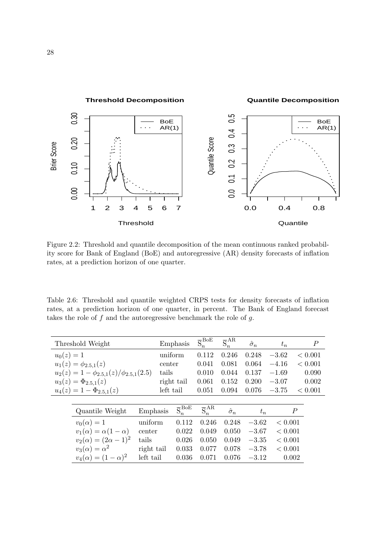

Figure 2.2: Threshold and quantile decomposition of the mean continuous ranked probability score for Bank of England (BoE) and autoregressive (AR) density forecasts of inflation rates, at a prediction horizon of one quarter.

Table 2.6: Threshold and quantile weighted CRPS tests for density forecasts of inflation rates, at a prediction horizon of one quarter, in percent. The Bank of England forecast takes the role of  $f$  and the autoregressive benchmark the role of  $g$ .

|              | Threshold Weight                                 |            |           | Emphasis                        | $\overline{S}_{n}^{\text{BoE}}$ | $\overline{S}_{n}^{AR}$ | $\hat{\sigma}_n$ | $t_n$   |         | $\boldsymbol{P}$ |
|--------------|--------------------------------------------------|------------|-----------|---------------------------------|---------------------------------|-------------------------|------------------|---------|---------|------------------|
| $u_0(z) = 1$ |                                                  |            | uniform   |                                 | 0.112                           | 0.246                   | 0.248            | $-3.62$ | < 0.001 |                  |
|              | $u_1(z) = \phi_{2.5,1}(z)$                       |            | center    |                                 | 0.041                           | 0.081                   | 0.064            | $-4.16$ | < 0.001 |                  |
|              | $u_2(z) = 1 - \phi_{2.5,1}(z)/\phi_{2.5,1}(2.5)$ |            | tails     |                                 | 0.010                           | 0.044                   | 0.137            | $-1.69$ | 0.090   |                  |
|              | $u_3(z) = \Phi_{2.5,1}(z)$                       |            |           | right tail                      | 0.061                           | 0.152                   | 0.200            | $-3.07$ | 0.002   |                  |
|              | $u_4(z) = 1 - \Phi_{2.5,1}(z)$                   |            | left tail |                                 | 0.051                           | 0.094                   | 0.076            | $-3.75$ | < 0.001 |                  |
|              |                                                  |            |           |                                 |                                 |                         |                  |         |         |                  |
|              | Quantile Weight                                  | Emphasis   |           | $\overline{S}_{n}^{\text{BoE}}$ | $\overline{S}_{n}^{AR}$         | $\hat{\sigma}_n$        | $t_n$            |         | P       |                  |
|              | $v_0(\alpha)=1$                                  | uniform    |           | 0.112                           | 0.246                           | 0.248                   | $-3.62$          | < 0.001 |         |                  |
|              | $v_1(\alpha) = \alpha(1-\alpha)$                 | center     |           | 0.022                           | 0.049                           | 0.050                   | $-3.67$          | < 0.001 |         |                  |
|              | $v_2(\alpha) = (2\alpha - 1)^2$                  | tails      |           | 0.026                           | 0.050                           | 0.049                   | $-3.35$          | < 0.001 |         |                  |
|              | $v_3(\alpha) = \alpha^2$                         | right tail |           | 0.033                           | 0.077                           | 0.078                   | $-3.78$          | < 0.001 |         |                  |
|              | $v_4(\alpha) = (1 - \alpha)^2$                   | left tail  |           | 0.036                           | 0.071                           | 0.076                   | $-3.12$          |         | 0.002   |                  |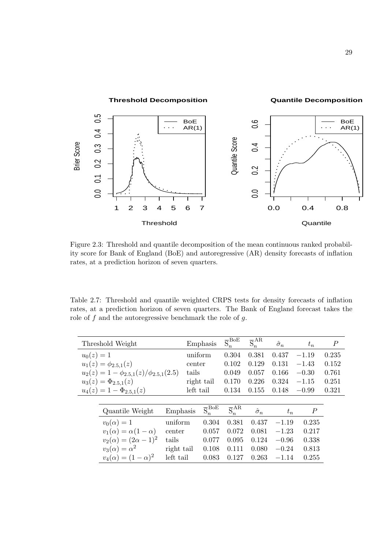

Figure 2.3: Threshold and quantile decomposition of the mean continuous ranked probability score for Bank of England (BoE) and autoregressive (AR) density forecasts of inflation rates, at a prediction horizon of seven quarters.

Table 2.7: Threshold and quantile weighted CRPS tests for density forecasts of inflation rates, at a prediction horizon of seven quarters. The Bank of England forecast takes the role of  $f$  and the autoregressive benchmark the role of  $g$ .

|              | Threshold Weight                                 |            |           | Emphasis                        | $\overline{\mathrm{S}}_{n}^{\mathrm{BoE}}$ | $\overline{S}_{n}^{AR}$ | $\hat{\sigma}_n$ | $t_n$     | $\boldsymbol{P}$ |
|--------------|--------------------------------------------------|------------|-----------|---------------------------------|--------------------------------------------|-------------------------|------------------|-----------|------------------|
| $u_0(z) = 1$ |                                                  |            | uniform   |                                 | 0.304                                      | 0.381                   | 0.437            | $-1.19$   | 0.235            |
|              | $u_1(z) = \phi_{2.5,1}(z)$                       |            | center    |                                 | 0.102                                      | 0.129                   | 0.131            | $-1.43$   | 0.152            |
|              | $u_2(z) = 1 - \phi_{2.5,1}(z)/\phi_{2.5,1}(2.5)$ |            | tails     |                                 | 0.049                                      | 0.057                   | 0.166            | $-0.30$   | 0.761            |
|              | $u_3(z) = \Phi_{2,5,1}(z)$                       |            |           | right tail                      | 0.170                                      | 0.226                   | 0.324            | $-1.15$   | 0.251            |
|              | $u_4(z) = 1 - \Phi_{2,5,1}(z)$                   |            | left tail |                                 | 0.134                                      | 0.155                   | 0.148            | $-0.99$   | 0.321            |
|              |                                                  |            |           |                                 |                                            |                         |                  |           |                  |
|              | Quantile Weight                                  | Emphasis   |           | $\overline{S}_{n}^{\text{BoE}}$ | $\overline{S}_{n}^{AR}$                    | $\hat{\sigma}_n$        | $t_n$            | $\, P \,$ |                  |
|              | $v_0(\alpha)=1$                                  | uniform    |           | 0.304                           | 0.381                                      | 0.437                   | $-1.19$          | 0.235     |                  |
|              | $v_1(\alpha) = \alpha(1-\alpha)$                 | center     |           | 0.057                           | 0.072                                      | 0.081                   | $-1.23$          | 0.217     |                  |
|              | $v_2(\alpha) = (2\alpha - 1)^2$                  | tails      |           | 0.077                           | 0.095                                      | 0.124                   | $-0.96$          | 0.338     |                  |
|              | $v_3(\alpha) = \alpha^2$                         | right tail |           | 0.108                           | 0.111                                      | 0.080                   | $-0.24$          | 0.813     |                  |
|              | $v_4(\alpha) = (1 - \alpha)^2$                   | left tail  |           | 0.083                           | 0.127                                      | 0.263                   | $-1.14$          | 0.255     |                  |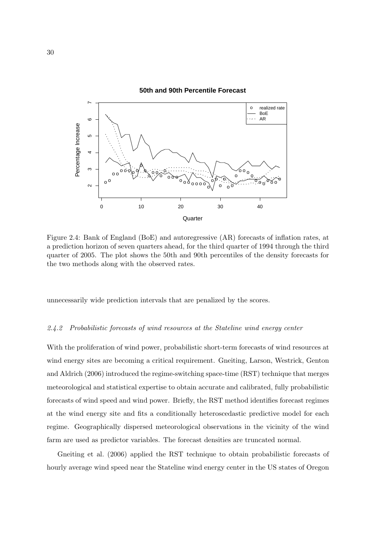

Figure 2.4: Bank of England (BoE) and autoregressive (AR) forecasts of inflation rates, at a prediction horizon of seven quarters ahead, for the third quarter of 1994 through the third quarter of 2005. The plot shows the 50th and 90th percentiles of the density forecasts for the two methods along with the observed rates.

unnecessarily wide prediction intervals that are penalized by the scores.

### 2.4.2 Probabilistic forecasts of wind resources at the Stateline wind energy center

With the proliferation of wind power, probabilistic short-term forecasts of wind resources at wind energy sites are becoming a critical requirement. Gneiting, Larson, Westrick, Genton and Aldrich (2006) introduced the regime-switching space-time (RST) technique that merges meteorological and statistical expertise to obtain accurate and calibrated, fully probabilistic forecasts of wind speed and wind power. Briefly, the RST method identifies forecast regimes at the wind energy site and fits a conditionally heteroscedastic predictive model for each regime. Geographically dispersed meteorological observations in the vicinity of the wind farm are used as predictor variables. The forecast densities are truncated normal.

Gneiting et al. (2006) applied the RST technique to obtain probabilistic forecasts of hourly average wind speed near the Stateline wind energy center in the US states of Oregon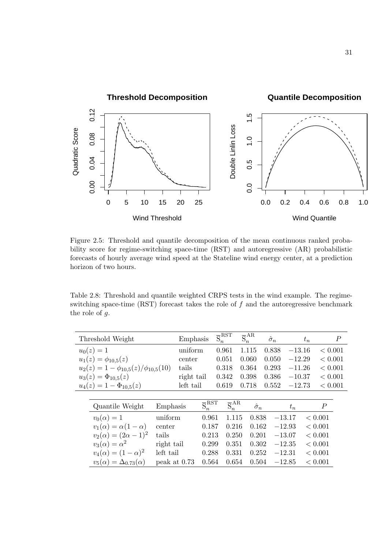

Figure 2.5: Threshold and quantile decomposition of the mean continuous ranked probability score for regime-switching space-time (RST) and autoregressive (AR) probabilistic forecasts of hourly average wind speed at the Stateline wind energy center, at a prediction horizon of two hours.

Table 2.8: Threshold and quantile weighted CRPS tests in the wind example. The regimeswitching space-time  $(RST)$  forecast takes the role of  $f$  and the autoregressive benchmark the role of g.

|           |                                               | $\overline{S}_n^{\rm RST}$                                                                             | $\overline{S}_{n}^{AR}$                                                 | $\hat{\sigma}_n$                                                     | $t_n$                                                         | $\boldsymbol{P}$                                         |                                                     |
|-----------|-----------------------------------------------|--------------------------------------------------------------------------------------------------------|-------------------------------------------------------------------------|----------------------------------------------------------------------|---------------------------------------------------------------|----------------------------------------------------------|-----------------------------------------------------|
|           |                                               | 0.961                                                                                                  | 1.115                                                                   | 0.838                                                                | $-13.16$                                                      | < 0.001                                                  |                                                     |
|           |                                               | 0.051                                                                                                  | 0.060                                                                   | 0.050                                                                | $-12.29$                                                      | < 0.001                                                  |                                                     |
|           |                                               | 0.318                                                                                                  | 0.364                                                                   | 0.293                                                                | $-11.26$                                                      | < 0.001                                                  |                                                     |
|           |                                               | 0.342                                                                                                  | 0.398                                                                   | 0.386                                                                | $-10.37$                                                      | < 0.001                                                  |                                                     |
|           |                                               | 0.619                                                                                                  | 0.718                                                                   | 0.552                                                                | $-12.73$                                                      | < 0.001                                                  |                                                     |
|           |                                               |                                                                                                        |                                                                         |                                                                      |                                                               |                                                          |                                                     |
|           |                                               |                                                                                                        |                                                                         |                                                                      | $t_n$                                                         | P                                                        |                                                     |
|           |                                               |                                                                                                        |                                                                         |                                                                      |                                                               |                                                          |                                                     |
| center    |                                               |                                                                                                        |                                                                         |                                                                      |                                                               |                                                          |                                                     |
| tails     |                                               |                                                                                                        |                                                                         |                                                                      |                                                               |                                                          |                                                     |
|           |                                               |                                                                                                        |                                                                         |                                                                      |                                                               |                                                          |                                                     |
| left tail |                                               |                                                                                                        |                                                                         |                                                                      |                                                               |                                                          |                                                     |
|           | $u_2(z) = 1 - \phi_{10,5}(z)/\phi_{10,5}(10)$ | Emphasis<br>uniform<br>center<br>tails<br>right tail<br>left tail<br>Emphasis<br>uniform<br>right tail | $\overline{S}_n^{\rm RST}$<br>0.961<br>0.187<br>0.213<br>0.299<br>0.288 | $\overline{S}_{n}^{AR}$<br>1.115<br>0.216<br>0.250<br>0.351<br>0.331 | $\hat{\sigma}_n$<br>0.838<br>0.162<br>0.201<br>0.302<br>0.252 | $-13.17$<br>$-12.93$<br>$-13.07$<br>$-12.35$<br>$-12.31$ | < 0.001<br>< 0.001<br>< 0.001<br>< 0.001<br>< 0.001 |

 $v_5(\alpha) = \Delta_{0.73}(\alpha)$  peak at 0.73 0.564 0.654 0.504 -12.85 < 0.001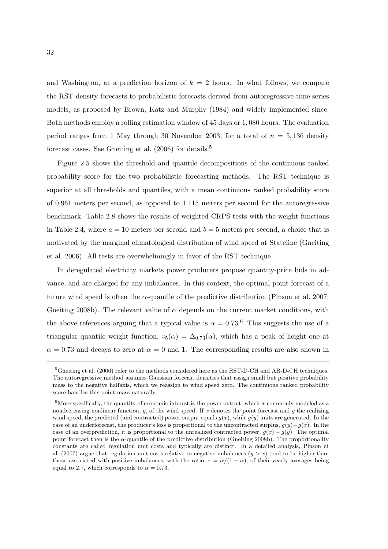and Washington, at a prediction horizon of  $k = 2$  hours. In what follows, we compare the RST density forecasts to probabilistic forecasts derived from autoregressive time series models, as proposed by Brown, Katz and Murphy (1984) and widely implemented since. Both methods employ a rolling estimation window of 45 days or 1, 080 hours. The evaluation period ranges from 1 May through 30 November 2003, for a total of  $n = 5,136$  density forecast cases. See Gneiting et al.  $(2006)$  for details.<sup>5</sup>

Figure 2.5 shows the threshold and quantile decompositions of the continuous ranked probability score for the two probabilistic forecasting methods. The RST technique is superior at all thresholds and quantiles, with a mean continuous ranked probability score of 0.961 meters per second, as opposed to 1.115 meters per second for the autoregressive benchmark. Table 2.8 shows the results of weighted CRPS tests with the weight functions in Table 2.4, where  $a = 10$  meters per second and  $b = 5$  meters per second, a choice that is motivated by the marginal climatological distribution of wind speed at Stateline (Gneiting et al. 2006). All tests are overwhelmingly in favor of the RST technique.

In deregulated electricity markets power producers propose quantity-price bids in advance, and are charged for any imbalances. In this context, the optimal point forecast of a future wind speed is often the  $\alpha$ -quantile of the predictive distribution (Pinson et al. 2007; Gneiting 2008b). The relevant value of  $\alpha$  depends on the current market conditions, with the above references arguing that a typical value is  $\alpha = 0.73$ .<sup>6</sup> This suggests the use of a triangular quantile weight function,  $v_5(\alpha) = \Delta_{0.73}(\alpha)$ , which has a peak of height one at  $\alpha = 0.73$  and decays to zero at  $\alpha = 0$  and 1. The corresponding results are also shown in

<sup>&</sup>lt;sup>5</sup>Gneiting et al. (2006) refer to the methods considered here as the RST-D-CH and AR-D-CH techniques. The autoregressive method assumes Gaussian forecast densities that assign small but positive probability mass to the negative halfaxis, which we reassign to wind speed zero. The continuous ranked probability score handles this point mass naturally.

 $6$ More specifically, the quantity of economic interest is the power output, which is commonly modeled as a nondecreasing nonlinear function,  $g$ , of the wind speed. If  $x$  denotes the point forecast and  $y$  the realizing wind speed, the predicted (and contracted) power output equals  $g(x)$ , while  $g(y)$  units are generated. In the case of an underforecast, the producer's loss is proportional to the uncontracted surplus,  $g(y)-g(x)$ . In the case of an overprediction, it is proportional to the unrealized contracted power,  $q(x) - q(y)$ . The optimal point forecast then is the  $\alpha$ -quantile of the predictive distribution (Gneiting 2008b). The proportionality constants are called regulation unit costs and typically are distinct. In a detailed analysis, Pinson et al. (2007) argue that regulation unit costs relative to negative imbalances  $(y > x)$  tend to be higher than those associated with positive imbalances, with the ratio,  $r = \alpha/(1 - \alpha)$ , of their yearly averages being equal to 2.7, which corresponds to  $\alpha = 0.73$ .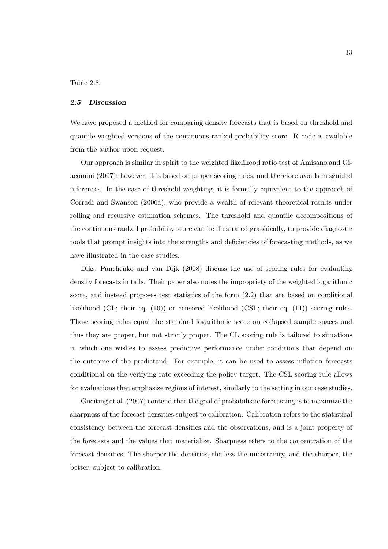Table 2.8.

#### 2.5 Discussion

We have proposed a method for comparing density forecasts that is based on threshold and quantile weighted versions of the continuous ranked probability score. R code is available from the author upon request.

Our approach is similar in spirit to the weighted likelihood ratio test of Amisano and Giacomini (2007); however, it is based on proper scoring rules, and therefore avoids misguided inferences. In the case of threshold weighting, it is formally equivalent to the approach of Corradi and Swanson (2006a), who provide a wealth of relevant theoretical results under rolling and recursive estimation schemes. The threshold and quantile decompositions of the continuous ranked probability score can be illustrated graphically, to provide diagnostic tools that prompt insights into the strengths and deficiencies of forecasting methods, as we have illustrated in the case studies.

Diks, Panchenko and van Dijk (2008) discuss the use of scoring rules for evaluating density forecasts in tails. Their paper also notes the impropriety of the weighted logarithmic score, and instead proposes test statistics of the form (2.2) that are based on conditional likelihood (CL; their eq. (10)) or censored likelihood (CSL; their eq. (11)) scoring rules. These scoring rules equal the standard logarithmic score on collapsed sample spaces and thus they are proper, but not strictly proper. The CL scoring rule is tailored to situations in which one wishes to assess predictive performance under conditions that depend on the outcome of the predictand. For example, it can be used to assess inflation forecasts conditional on the verifying rate exceeding the policy target. The CSL scoring rule allows for evaluations that emphasize regions of interest, similarly to the setting in our case studies.

Gneiting et al. (2007) contend that the goal of probabilistic forecasting is to maximize the sharpness of the forecast densities subject to calibration. Calibration refers to the statistical consistency between the forecast densities and the observations, and is a joint property of the forecasts and the values that materialize. Sharpness refers to the concentration of the forecast densities: The sharper the densities, the less the uncertainty, and the sharper, the better, subject to calibration.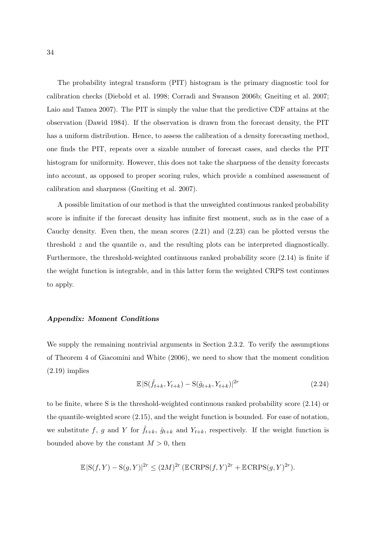The probability integral transform (PIT) histogram is the primary diagnostic tool for calibration checks (Diebold et al. 1998; Corradi and Swanson 2006b; Gneiting et al. 2007; Laio and Tamea 2007). The PIT is simply the value that the predictive CDF attains at the observation (Dawid 1984). If the observation is drawn from the forecast density, the PIT has a uniform distribution. Hence, to assess the calibration of a density forecasting method, one finds the PIT, repeats over a sizable number of forecast cases, and checks the PIT histogram for uniformity. However, this does not take the sharpness of the density forecasts into account, as opposed to proper scoring rules, which provide a combined assessment of calibration and sharpness (Gneiting et al. 2007).

A possible limitation of our method is that the unweighted continuous ranked probability score is infinite if the forecast density has infinite first moment, such as in the case of a Cauchy density. Even then, the mean scores (2.21) and (2.23) can be plotted versus the threshold z and the quantile  $\alpha$ , and the resulting plots can be interpreted diagnostically. Furthermore, the threshold-weighted continuous ranked probability score (2.14) is finite if the weight function is integrable, and in this latter form the weighted CRPS test continues to apply.

# Appendix: Moment Conditions

We supply the remaining nontrivial arguments in Section 2.3.2. To verify the assumptions of Theorem 4 of Giacomini and White (2006), we need to show that the moment condition  $(2.19)$  implies

$$
\mathbb{E}|S(\hat{f}_{t+k}, Y_{t+k}) - S(\hat{g}_{t+k}, Y_{t+k})|^{2r}
$$
\n(2.24)

to be finite, where S is the threshold-weighted continuous ranked probability score (2.14) or the quantile-weighted score (2.15), and the weight function is bounded. For ease of notation, we substitute f, g and Y for  $\hat{f}_{t+k}$ ,  $\hat{g}_{t+k}$  and  $Y_{t+k}$ , respectively. If the weight function is bounded above by the constant  $M > 0$ , then

$$
\mathbb{E}|\mathcal{S}(f,Y) - \mathcal{S}(g,Y)|^{2r} \le (2M)^{2r} \left(\mathbb{E} \mathbb{C} \mathbb{R} \mathbb{P} \mathbb{S}(f,Y)^{2r} + \mathbb{E} \mathbb{C} \mathbb{R} \mathbb{P} \mathbb{S}(g,Y)^{2r}\right).
$$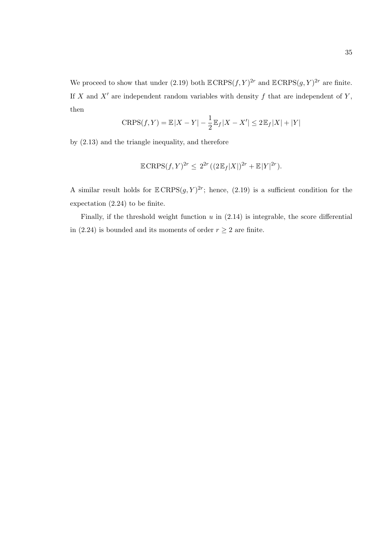We proceed to show that under (2.19) both  $\mathbb{ECRPS}(f, Y)^{2r}$  and  $\mathbb{ECRPS}(g, Y)^{2r}$  are finite. If X and  $X'$  are independent random variables with density f that are independent of Y, then

$$
CRPS(f, Y) = \mathbb{E}|X - Y| - \frac{1}{2}\mathbb{E}_f|X - X'| \le 2\mathbb{E}_f|X| + |Y|
$$

by (2.13) and the triangle inequality, and therefore

$$
\mathbb{E} \, \text{CRPS}(f, Y)^{2r} \leq 2^{2r} \left( (2\, \mathbb{E}_f |X|)^{2r} + \mathbb{E} |Y|^{2r} \right).
$$

A similar result holds for  $\mathbb{E} \text{CRPS}(g, Y)^{2r}$ ; hence, (2.19) is a sufficient condition for the expectation (2.24) to be finite.

Finally, if the threshold weight function  $u$  in  $(2.14)$  is integrable, the score differential in (2.24) is bounded and its moments of order  $r \geq 2$  are finite.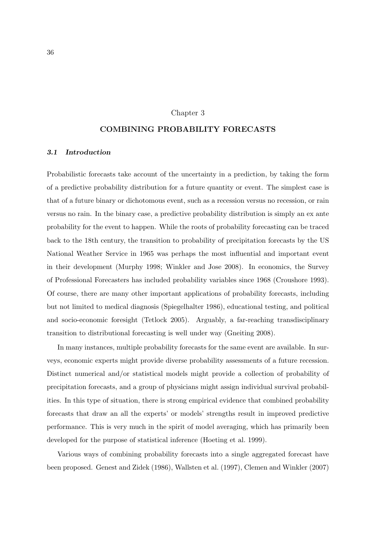# Chapter 3

# COMBINING PROBABILITY FORECASTS

# 3.1 Introduction

Probabilistic forecasts take account of the uncertainty in a prediction, by taking the form of a predictive probability distribution for a future quantity or event. The simplest case is that of a future binary or dichotomous event, such as a recession versus no recession, or rain versus no rain. In the binary case, a predictive probability distribution is simply an ex ante probability for the event to happen. While the roots of probability forecasting can be traced back to the 18th century, the transition to probability of precipitation forecasts by the US National Weather Service in 1965 was perhaps the most influential and important event in their development (Murphy 1998; Winkler and Jose 2008). In economics, the Survey of Professional Forecasters has included probability variables since 1968 (Croushore 1993). Of course, there are many other important applications of probability forecasts, including but not limited to medical diagnosis (Spiegelhalter 1986), educational testing, and political and socio-economic foresight (Tetlock 2005). Arguably, a far-reaching transdisciplinary transition to distributional forecasting is well under way (Gneiting 2008).

In many instances, multiple probability forecasts for the same event are available. In surveys, economic experts might provide diverse probability assessments of a future recession. Distinct numerical and/or statistical models might provide a collection of probability of precipitation forecasts, and a group of physicians might assign individual survival probabilities. In this type of situation, there is strong empirical evidence that combined probability forecasts that draw an all the experts' or models' strengths result in improved predictive performance. This is very much in the spirit of model averaging, which has primarily been developed for the purpose of statistical inference (Hoeting et al. 1999).

Various ways of combining probability forecasts into a single aggregated forecast have been proposed. Genest and Zidek (1986), Wallsten et al. (1997), Clemen and Winkler (2007)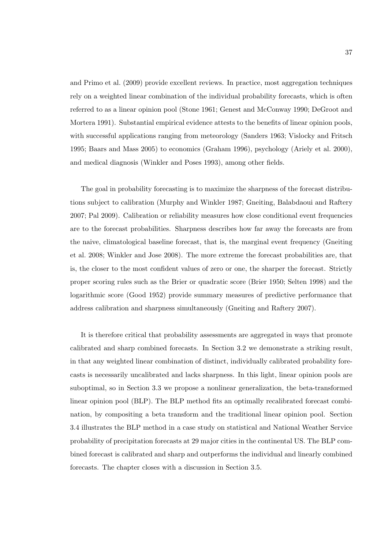and Primo et al. (2009) provide excellent reviews. In practice, most aggregation techniques rely on a weighted linear combination of the individual probability forecasts, which is often referred to as a linear opinion pool (Stone 1961; Genest and McConway 1990; DeGroot and Mortera 1991). Substantial empirical evidence attests to the benefits of linear opinion pools, with successful applications ranging from meteorology (Sanders 1963; Vislocky and Fritsch 1995; Baars and Mass 2005) to economics (Graham 1996), psychology (Ariely et al. 2000), and medical diagnosis (Winkler and Poses 1993), among other fields.

The goal in probability forecasting is to maximize the sharpness of the forecast distributions subject to calibration (Murphy and Winkler 1987; Gneiting, Balabdaoui and Raftery 2007; Pal 2009). Calibration or reliability measures how close conditional event frequencies are to the forecast probabilities. Sharpness describes how far away the forecasts are from the naive, climatological baseline forecast, that is, the marginal event frequency (Gneiting et al. 2008; Winkler and Jose 2008). The more extreme the forecast probabilities are, that is, the closer to the most confident values of zero or one, the sharper the forecast. Strictly proper scoring rules such as the Brier or quadratic score (Brier 1950; Selten 1998) and the logarithmic score (Good 1952) provide summary measures of predictive performance that address calibration and sharpness simultaneously (Gneiting and Raftery 2007).

It is therefore critical that probability assessments are aggregated in ways that promote calibrated and sharp combined forecasts. In Section 3.2 we demonstrate a striking result, in that any weighted linear combination of distinct, individually calibrated probability forecasts is necessarily uncalibrated and lacks sharpness. In this light, linear opinion pools are suboptimal, so in Section 3.3 we propose a nonlinear generalization, the beta-transformed linear opinion pool (BLP). The BLP method fits an optimally recalibrated forecast combination, by compositing a beta transform and the traditional linear opinion pool. Section 3.4 illustrates the BLP method in a case study on statistical and National Weather Service probability of precipitation forecasts at 29 major cities in the continental US. The BLP combined forecast is calibrated and sharp and outperforms the individual and linearly combined forecasts. The chapter closes with a discussion in Section 3.5.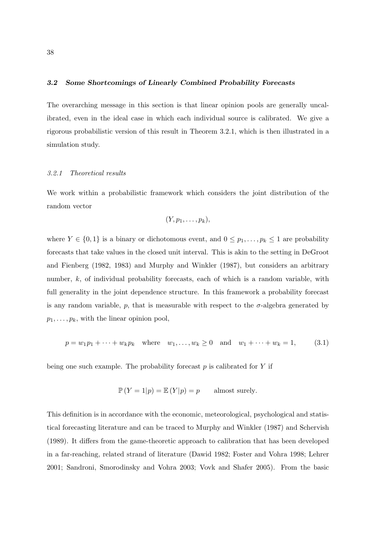### 3.2 Some Shortcomings of Linearly Combined Probability Forecasts

The overarching message in this section is that linear opinion pools are generally uncalibrated, even in the ideal case in which each individual source is calibrated. We give a rigorous probabilistic version of this result in Theorem 3.2.1, which is then illustrated in a simulation study.

#### 3.2.1 Theoretical results

We work within a probabilistic framework which considers the joint distribution of the random vector

$$
(Y, p_1, \ldots, p_k),
$$

where  $Y \in \{0,1\}$  is a binary or dichotomous event, and  $0 \leq p_1, \ldots, p_k \leq 1$  are probability forecasts that take values in the closed unit interval. This is akin to the setting in DeGroot and Fienberg (1982, 1983) and Murphy and Winkler (1987), but considers an arbitrary number, k, of individual probability forecasts, each of which is a random variable, with full generality in the joint dependence structure. In this framework a probability forecast is any random variable, p, that is measurable with respect to the  $\sigma$ -algebra generated by  $p_1, \ldots, p_k$ , with the linear opinion pool,

$$
p = w_1 p_1 + \dots + w_k p_k
$$
 where  $w_1, \dots, w_k \ge 0$  and  $w_1 + \dots + w_k = 1$ , (3.1)

being one such example. The probability forecast  $p$  is calibrated for  $Y$  if

$$
\mathbb{P}(Y=1|p) = \mathbb{E}(Y|p) = p \qquad \text{almost surely.}
$$

This definition is in accordance with the economic, meteorological, psychological and statistical forecasting literature and can be traced to Murphy and Winkler (1987) and Schervish (1989). It differs from the game-theoretic approach to calibration that has been developed in a far-reaching, related strand of literature (Dawid 1982; Foster and Vohra 1998; Lehrer 2001; Sandroni, Smorodinsky and Vohra 2003; Vovk and Shafer 2005). From the basic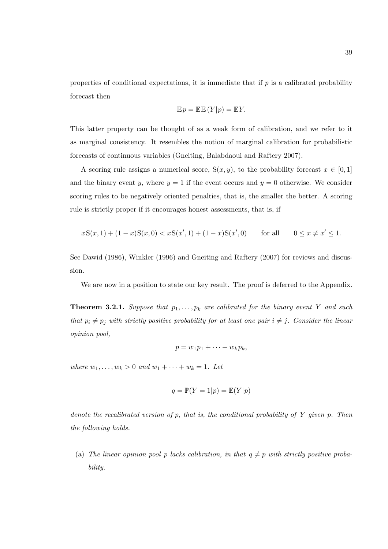properties of conditional expectations, it is immediate that if  $p$  is a calibrated probability forecast then

$$
\mathbb{E} p = \mathbb{E} \mathbb{E} (Y|p) = \mathbb{E} Y.
$$

This latter property can be thought of as a weak form of calibration, and we refer to it as marginal consistency. It resembles the notion of marginal calibration for probabilistic forecasts of continuous variables (Gneiting, Balabdaoui and Raftery 2007).

A scoring rule assigns a numerical score,  $S(x, y)$ , to the probability forecast  $x \in [0, 1]$ and the binary event y, where  $y = 1$  if the event occurs and  $y = 0$  otherwise. We consider scoring rules to be negatively oriented penalties, that is, the smaller the better. A scoring rule is strictly proper if it encourages honest assessments, that is, if

$$
xS(x,1) + (1-x)S(x,0) < xS(x',1) + (1-x)S(x',0) \qquad \text{for all} \qquad 0 \le x \ne x' \le 1.
$$

See Dawid (1986), Winkler (1996) and Gneiting and Raftery (2007) for reviews and discussion.

We are now in a position to state our key result. The proof is deferred to the Appendix.

**Theorem 3.2.1.** Suppose that  $p_1, \ldots, p_k$  are calibrated for the binary event Y and such that  $p_i \neq p_j$  with strictly positive probability for at least one pair  $i \neq j$ . Consider the linear opinion pool,

$$
p = w_1 p_1 + \cdots + w_k p_k,
$$

where  $w_1, ..., w_k > 0$  and  $w_1 + ... + w_k = 1$ . Let

$$
q = \mathbb{P}(Y = 1|p) = \mathbb{E}(Y|p)
$$

denote the recalibrated version of  $p$ , that is, the conditional probability of  $Y$  given  $p$ . Then the following holds.

(a) The linear opinion pool p lacks calibration, in that  $q \neq p$  with strictly positive probability.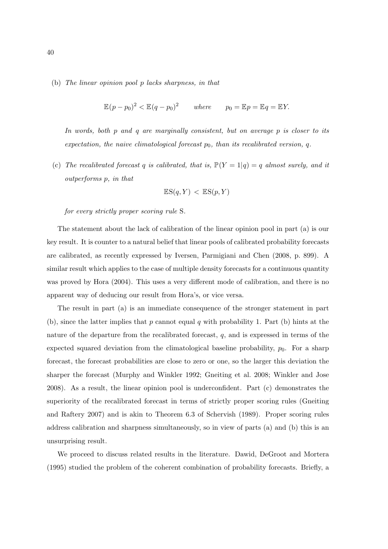(b) The linear opinion pool p lacks sharpness, in that

$$
\mathbb{E}(p - p_0)^2 < \mathbb{E}(q - p_0)^2 \quad \text{where} \quad p_0 = \mathbb{E}p = \mathbb{E}q = \mathbb{E}Y.
$$

In words, both p and q are marginally consistent, but on average p is closer to its expectation, the naive climatological forecast  $p_0$ , than its recalibrated version, q.

(c) The recalibrated forecast q is calibrated, that is,  $\mathbb{P}(Y = 1|q) = q$  almost surely, and it outperforms p, in that

$$
\mathbb{E}\mathrm{S}(q, Y) < \mathbb{E}\mathrm{S}(p, Y)
$$

for every strictly proper scoring rule S.

The statement about the lack of calibration of the linear opinion pool in part (a) is our key result. It is counter to a natural belief that linear pools of calibrated probability forecasts are calibrated, as recently expressed by Iversen, Parmigiani and Chen (2008, p. 899). A similar result which applies to the case of multiple density forecasts for a continuous quantity was proved by Hora (2004). This uses a very different mode of calibration, and there is no apparent way of deducing our result from Hora's, or vice versa.

The result in part (a) is an immediate consequence of the stronger statement in part (b), since the latter implies that p cannot equal q with probability 1. Part (b) hints at the nature of the departure from the recalibrated forecast,  $q$ , and is expressed in terms of the expected squared deviation from the climatological baseline probability,  $p_0$ . For a sharp forecast, the forecast probabilities are close to zero or one, so the larger this deviation the sharper the forecast (Murphy and Winkler 1992; Gneiting et al. 2008; Winkler and Jose 2008). As a result, the linear opinion pool is underconfident. Part (c) demonstrates the superiority of the recalibrated forecast in terms of strictly proper scoring rules (Gneiting and Raftery 2007) and is akin to Theorem 6.3 of Schervish (1989). Proper scoring rules address calibration and sharpness simultaneously, so in view of parts (a) and (b) this is an unsurprising result.

We proceed to discuss related results in the literature. Dawid, DeGroot and Mortera (1995) studied the problem of the coherent combination of probability forecasts. Briefly, a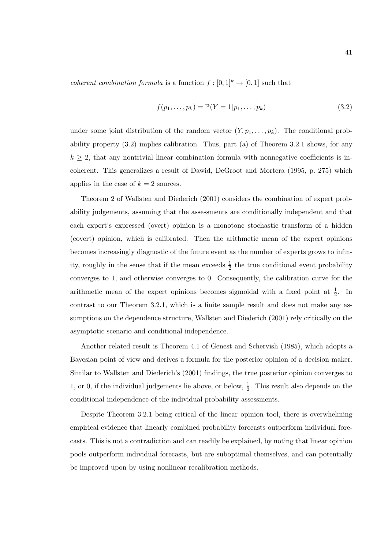*coherent combination formula* is a function  $f : [0, 1]^k \to [0, 1]$  such that

$$
f(p_1, ..., p_k) = \mathbb{P}(Y = 1 | p_1, ..., p_k)
$$
\n(3.2)

under some joint distribution of the random vector  $(Y, p_1, \ldots, p_k)$ . The conditional probability property  $(3.2)$  implies calibration. Thus, part (a) of Theorem 3.2.1 shows, for any  $k \geq 2$ , that any nontrivial linear combination formula with nonnegative coefficients is incoherent. This generalizes a result of Dawid, DeGroot and Mortera (1995, p. 275) which applies in the case of  $k = 2$  sources.

Theorem 2 of Wallsten and Diederich (2001) considers the combination of expert probability judgements, assuming that the assessments are conditionally independent and that each expert's expressed (overt) opinion is a monotone stochastic transform of a hidden (covert) opinion, which is calibrated. Then the arithmetic mean of the expert opinions becomes increasingly diagnostic of the future event as the number of experts grows to infinity, roughly in the sense that if the mean exceeds  $\frac{1}{2}$  the true conditional event probability converges to 1, and otherwise converges to 0. Consequently, the calibration curve for the arithmetic mean of the expert opinions becomes sigmoidal with a fixed point at  $\frac{1}{2}$ . In contrast to our Theorem 3.2.1, which is a finite sample result and does not make any assumptions on the dependence structure, Wallsten and Diederich (2001) rely critically on the asymptotic scenario and conditional independence.

Another related result is Theorem 4.1 of Genest and Schervish (1985), which adopts a Bayesian point of view and derives a formula for the posterior opinion of a decision maker. Similar to Wallsten and Diederich's (2001) findings, the true posterior opinion converges to 1, or 0, if the individual judgements lie above, or below,  $\frac{1}{2}$ . This result also depends on the conditional independence of the individual probability assessments.

Despite Theorem 3.2.1 being critical of the linear opinion tool, there is overwhelming empirical evidence that linearly combined probability forecasts outperform individual forecasts. This is not a contradiction and can readily be explained, by noting that linear opinion pools outperform individual forecasts, but are suboptimal themselves, and can potentially be improved upon by using nonlinear recalibration methods.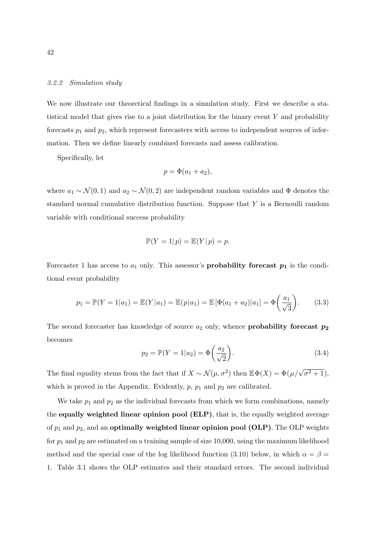### 3.2.2 Simulation study

We now illustrate our theoretical findings in a simulation study. First we describe a statistical model that gives rise to a joint distribution for the binary event  $Y$  and probability forecasts  $p_1$  and  $p_2$ , which represent forecasters with access to independent sources of information. Then we define linearly combined forecasts and assess calibration.

Specifically, let

$$
p = \Phi(a_1 + a_2),
$$

where  $a_1 \sim \mathcal{N}(0, 1)$  and  $a_2 \sim \mathcal{N}(0, 2)$  are independent random variables and  $\Phi$  denotes the standard normal cumulative distribution function. Suppose that Y is a Bernoulli random variable with conditional success probability

$$
\mathbb{P}(Y=1|p) = \mathbb{E}(Y|p) = p.
$$

Forecaster 1 has access to  $a_1$  only. This assessor's **probability forecast**  $p_1$  is the conditional event probability

$$
p_1 = \mathbb{P}(Y = 1|a_1) = \mathbb{E}(Y|a_1) = \mathbb{E}(p|a_1) = \mathbb{E}[\Phi(a_1 + a_2)|a_1] = \Phi\left(\frac{a_1}{\sqrt{3}}\right).
$$
 (3.3)

The second forecaster has knowledge of source  $a_2$  only, whence **probability forecast**  $p_2$ becomes  $\mathbf{r}$ 

$$
p_2 = \mathbb{P}(Y = 1 | a_2) = \Phi\left(\frac{a_2}{\sqrt{2}}\right).
$$
 (3.4)

The final equality stems from the fact that if  $X \sim \mathcal{N}(\mu, \sigma^2)$  then  $\mathbb{E} \Phi(X) = \Phi(\mu/\sqrt{\sigma^2 + 1})$ , which is proved in the Appendix. Evidently,  $p$ ,  $p_1$  and  $p_2$  are calibrated.

We take  $p_1$  and  $p_2$  as the individual forecasts from which we form combinations, namely the equally weighted linear opinion pool (ELP), that is, the equally weighted average of  $p_1$  and  $p_2$ , and an **optimally weighted linear opinion pool (OLP)**. The OLP weights for  $p_1$  and  $p_2$  are estimated on a training sample of size 10,000, using the maximum likelihood method and the special case of the log likelihood function (3.10) below, in which  $\alpha = \beta =$ 1. Table 3.1 shows the OLP estimates and their standard errors. The second individual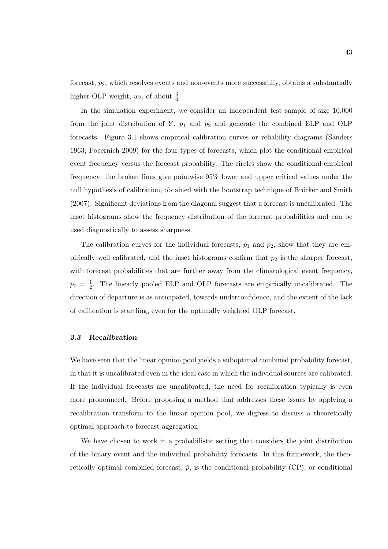forecast,  $p_2$ , which resolves events and non-events more successfully, obtains a substantially higher OLP weight,  $w_2$ , of about  $\frac{3}{4}$ .

In the simulation experiment, we consider an independent test sample of size 10,000 from the joint distribution of  $Y$ ,  $p_1$  and  $p_2$  and generate the combined ELP and OLP forecasts. Figure 3.1 shows empirical calibration curves or reliability diagrams (Sanders 1963; Pocernich 2009) for the four types of forecasts, which plot the conditional empirical event frequency versus the forecast probability. The circles show the conditional empirical frequency; the broken lines give pointwise 95% lower and upper critical values under the null hypothesis of calibration, obtained with the bootstrap technique of Bröcker and Smith (2007). Significant deviations from the diagonal suggest that a forecast is uncalibrated. The inset histograms show the frequency distribution of the forecast probabilities and can be used diagnostically to assess sharpness.

The calibration curves for the individual forecasts,  $p_1$  and  $p_2$ , show that they are empirically well calibrated, and the inset histograms confirm that  $p_2$  is the sharper forecast, with forecast probabilities that are further away from the climatological event frequency,  $p_0 = \frac{1}{2}$  $\frac{1}{2}$ . The linearly pooled ELP and OLP forecasts are empirically uncalibrated. The direction of departure is as anticipated, towards underconfidence, and the extent of the lack of calibration is startling, even for the optimally weighted OLP forecast.

#### 3.3 Recalibration

We have seen that the linear opinion pool yields a suboptimal combined probability forecast, in that it is uncalibrated even in the ideal case in which the individual sources are calibrated. If the individual forecasts are uncalibrated, the need for recalibration typically is even more pronounced. Before proposing a method that addresses these issues by applying a recalibration transform to the linear opinion pool, we digress to discuss a theoretically optimal approach to forecast aggregation.

We have chosen to work in a probabilistic setting that considers the joint distribution of the binary event and the individual probability forecasts. In this framework, the theoretically optimal combined forecast,  $\hat{p}$ , is the conditional probability (CP), or conditional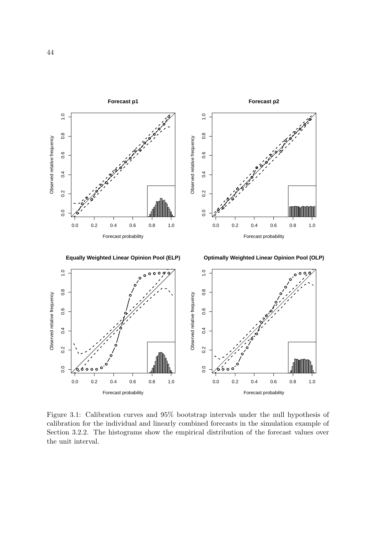

Figure 3.1: Calibration curves and 95% bootstrap intervals under the null hypothesis of calibration for the individual and linearly combined forecasts in the simulation example of Section 3.2.2. The histograms show the empirical distribution of the forecast values over the unit interval.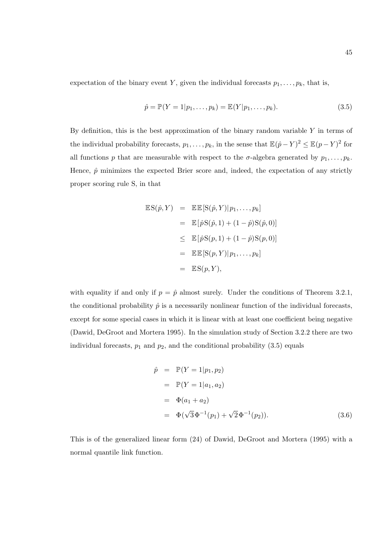expectation of the binary event Y, given the individual forecasts  $p_1, \ldots, p_k$ , that is,

$$
\hat{p} = \mathbb{P}(Y = 1 | p_1, \dots, p_k) = \mathbb{E}(Y | p_1, \dots, p_k).
$$
\n(3.5)

By definition, this is the best approximation of the binary random variable  $Y$  in terms of the individual probability forecasts,  $p_1, \ldots, p_k$ , in the sense that  $\mathbb{E}(\hat{p} - Y)^2 \leq \mathbb{E}(p - Y)^2$  for all functions p that are measurable with respect to the  $\sigma$ -algebra generated by  $p_1, \ldots, p_k$ . Hence,  $\hat{p}$  minimizes the expected Brier score and, indeed, the expectation of any strictly proper scoring rule S, in that

$$
\mathbb{E}S(\hat{p}, Y) = \mathbb{E}E[S(\hat{p}, Y)|p_1, \dots, p_k]
$$
  
\n
$$
= \mathbb{E}[\hat{p}S(\hat{p}, 1) + (1 - \hat{p})S(\hat{p}, 0)]
$$
  
\n
$$
\leq \mathbb{E}[\hat{p}S(p, 1) + (1 - \hat{p})S(p, 0)]
$$
  
\n
$$
= \mathbb{E}E[S(p, Y)|p_1, \dots, p_k]
$$
  
\n
$$
= \mathbb{E}S(p, Y),
$$

with equality if and only if  $p = \hat{p}$  almost surely. Under the conditions of Theorem 3.2.1, the conditional probability  $\hat{p}$  is a necessarily nonlinear function of the individual forecasts, except for some special cases in which it is linear with at least one coefficient being negative (Dawid, DeGroot and Mortera 1995). In the simulation study of Section 3.2.2 there are two individual forecasts,  $p_1$  and  $p_2$ , and the conditional probability (3.5) equals

$$
\hat{p} = \mathbb{P}(Y = 1 | p_1, p_2) \n= \mathbb{P}(Y = 1 | a_1, a_2) \n= \Phi(a_1 + a_2) \n= \Phi(\sqrt{3}\Phi^{-1}(p_1) + \sqrt{2}\Phi^{-1}(p_2)).
$$
\n(3.6)

This is of the generalized linear form (24) of Dawid, DeGroot and Mortera (1995) with a normal quantile link function.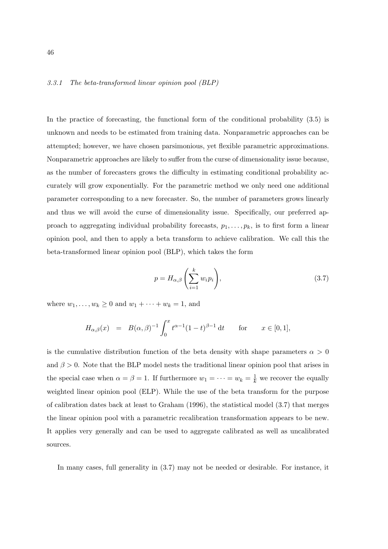### 3.3.1 The beta-transformed linear opinion pool (BLP)

In the practice of forecasting, the functional form of the conditional probability (3.5) is unknown and needs to be estimated from training data. Nonparametric approaches can be attempted; however, we have chosen parsimonious, yet flexible parametric approximations. Nonparametric approaches are likely to suffer from the curse of dimensionality issue because, as the number of forecasters grows the difficulty in estimating conditional probability accurately will grow exponentially. For the parametric method we only need one additional parameter corresponding to a new forecaster. So, the number of parameters grows linearly and thus we will avoid the curse of dimensionality issue. Specifically, our preferred approach to aggregating individual probability forecasts,  $p_1, \ldots, p_k$ , is to first form a linear opinion pool, and then to apply a beta transform to achieve calibration. We call this the beta-transformed linear opinion pool (BLP), which takes the form

$$
p = H_{\alpha,\beta}\left(\sum_{i=1}^{k} w_i p_i\right),\tag{3.7}
$$

where  $w_1, ..., w_k \ge 0$  and  $w_1 + ... + w_k = 1$ , and

$$
H_{\alpha,\beta}(x) = B(\alpha,\beta)^{-1} \int_0^x t^{\alpha-1} (1-t)^{\beta-1} dt \quad \text{for} \quad x \in [0,1],
$$

is the cumulative distribution function of the beta density with shape parameters  $\alpha > 0$ and  $\beta > 0$ . Note that the BLP model nests the traditional linear opinion pool that arises in the special case when  $\alpha = \beta = 1$ . If furthermore  $w_1 = \cdots = w_k = \frac{1}{k}$  we recover the equally weighted linear opinion pool (ELP). While the use of the beta transform for the purpose of calibration dates back at least to Graham (1996), the statistical model (3.7) that merges the linear opinion pool with a parametric recalibration transformation appears to be new. It applies very generally and can be used to aggregate calibrated as well as uncalibrated sources.

In many cases, full generality in (3.7) may not be needed or desirable. For instance, it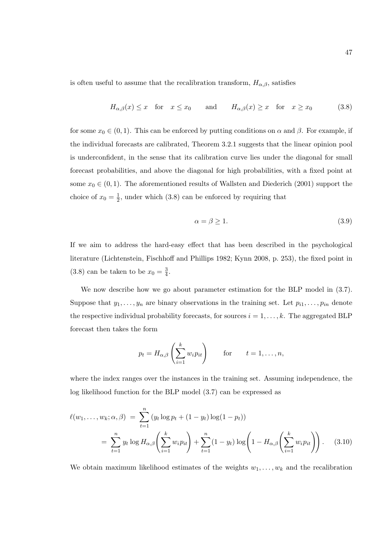is often useful to assume that the recalibration transform,  $H_{\alpha,\beta}$ , satisfies

$$
H_{\alpha,\beta}(x) \leq x
$$
 for  $x \leq x_0$  and  $H_{\alpha,\beta}(x) \geq x$  for  $x \geq x_0$  (3.8)

for some  $x_0 \in (0,1)$ . This can be enforced by putting conditions on  $\alpha$  and  $\beta$ . For example, if the individual forecasts are calibrated, Theorem 3.2.1 suggests that the linear opinion pool is underconfident, in the sense that its calibration curve lies under the diagonal for small forecast probabilities, and above the diagonal for high probabilities, with a fixed point at some  $x_0 \in (0, 1)$ . The aforementioned results of Wallsten and Diederich (2001) support the choice of  $x_0 = \frac{1}{2}$  $\frac{1}{2}$ , under which (3.8) can be enforced by requiring that

$$
\alpha = \beta \ge 1. \tag{3.9}
$$

If we aim to address the hard-easy effect that has been described in the psychological literature (Lichtenstein, Fischhoff and Phillips 1982; Kynn 2008, p. 253), the fixed point in (3.8) can be taken to be  $x_0 = \frac{3}{4}$  $\frac{3}{4}$ .

We now describe how we go about parameter estimation for the BLP model in (3.7). Suppose that  $y_1, \ldots, y_n$  are binary observations in the training set. Let  $p_{i1}, \ldots, p_{in}$  denote the respective individual probability forecasts, for sources  $i = 1, \ldots, k$ . The aggregated BLP forecast then takes the form

$$
p_t = H_{\alpha,\beta}\left(\sum_{i=1}^k w_i p_{it}\right)
$$
 for  $t = 1,\ldots,n$ ,

where the index ranges over the instances in the training set. Assuming independence, the log likelihood function for the BLP model (3.7) can be expressed as

$$
\ell(w_1, ..., w_k; \alpha, \beta) = \sum_{t=1}^n (y_t \log p_t + (1 - y_t) \log(1 - p_t))
$$
  
= 
$$
\sum_{t=1}^n y_t \log H_{\alpha, \beta} \left( \sum_{i=1}^k w_i p_{it} \right) + \sum_{t=1}^n (1 - y_t) \log \left( 1 - H_{\alpha, \beta} \left( \sum_{i=1}^k w_i p_{it} \right) \right).
$$
 (3.10)

We obtain maximum likelihood estimates of the weights  $w_1, \ldots, w_k$  and the recalibration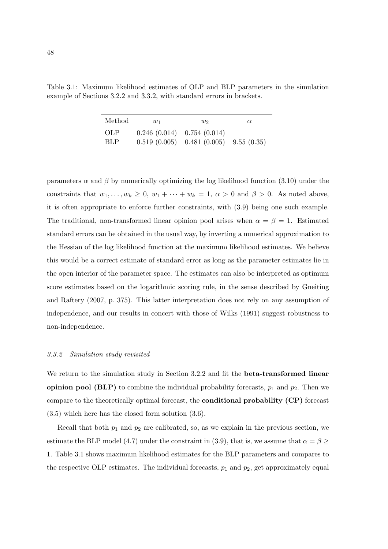|                                                                        |  |  | Table 3.1: Maximum likelihood estimates of OLP and BLP parameters in the simulation |  |
|------------------------------------------------------------------------|--|--|-------------------------------------------------------------------------------------|--|
| example of Sections 3.2.2 and 3.3.2, with standard errors in brackets. |  |  |                                                                                     |  |

| Method     | $w_1$                        | $w_2$                                      | $\alpha$ |
|------------|------------------------------|--------------------------------------------|----------|
| <b>OLP</b> | $0.246(0.014)$ 0.754 (0.014) |                                            |          |
| <b>BLP</b> |                              | $0.519(0.005)$ $0.481(0.005)$ $9.55(0.35)$ |          |

parameters  $\alpha$  and  $\beta$  by numerically optimizing the log likelihood function (3.10) under the constraints that  $w_1, \ldots, w_k \geq 0$ ,  $w_1 + \cdots + w_k = 1$ ,  $\alpha > 0$  and  $\beta > 0$ . As noted above, it is often appropriate to enforce further constraints, with (3.9) being one such example. The traditional, non-transformed linear opinion pool arises when  $\alpha = \beta = 1$ . Estimated standard errors can be obtained in the usual way, by inverting a numerical approximation to the Hessian of the log likelihood function at the maximum likelihood estimates. We believe this would be a correct estimate of standard error as long as the parameter estimates lie in the open interior of the parameter space. The estimates can also be interpreted as optimum score estimates based on the logarithmic scoring rule, in the sense described by Gneiting and Raftery (2007, p. 375). This latter interpretation does not rely on any assumption of independence, and our results in concert with those of Wilks (1991) suggest robustness to non-independence.

#### 3.3.2 Simulation study revisited

We return to the simulation study in Section 3.2.2 and fit the beta-transformed linear **opinion pool (BLP)** to combine the individual probability forecasts,  $p_1$  and  $p_2$ . Then we compare to the theoretically optimal forecast, the conditional probability (CP) forecast (3.5) which here has the closed form solution (3.6).

Recall that both  $p_1$  and  $p_2$  are calibrated, so, as we explain in the previous section, we estimate the BLP model (4.7) under the constraint in (3.9), that is, we assume that  $\alpha = \beta \geq$ 1. Table 3.1 shows maximum likelihood estimates for the BLP parameters and compares to the respective OLP estimates. The individual forecasts,  $p_1$  and  $p_2$ , get approximately equal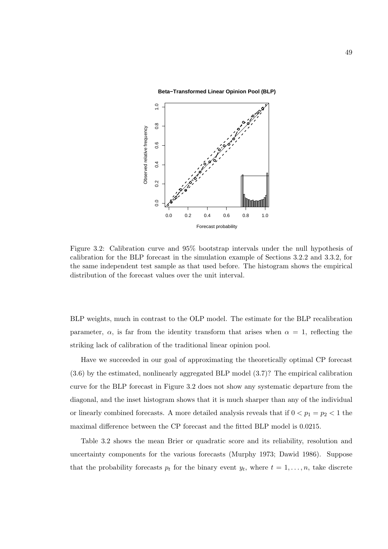**Beta−Transformed Linear Opinion Pool (BLP)**



Figure 3.2: Calibration curve and 95% bootstrap intervals under the null hypothesis of calibration for the BLP forecast in the simulation example of Sections 3.2.2 and 3.3.2, for the same independent test sample as that used before. The histogram shows the empirical distribution of the forecast values over the unit interval.

BLP weights, much in contrast to the OLP model. The estimate for the BLP recalibration parameter,  $\alpha$ , is far from the identity transform that arises when  $\alpha = 1$ , reflecting the striking lack of calibration of the traditional linear opinion pool.

Have we succeeded in our goal of approximating the theoretically optimal CP forecast (3.6) by the estimated, nonlinearly aggregated BLP model (3.7)? The empirical calibration curve for the BLP forecast in Figure 3.2 does not show any systematic departure from the diagonal, and the inset histogram shows that it is much sharper than any of the individual or linearly combined forecasts. A more detailed analysis reveals that if  $0 < p_1 = p_2 < 1$  the maximal difference between the CP forecast and the fitted BLP model is 0.0215.

Table 3.2 shows the mean Brier or quadratic score and its reliability, resolution and uncertainty components for the various forecasts (Murphy 1973; Dawid 1986). Suppose that the probability forecasts  $p_t$  for the binary event  $y_t$ , where  $t = 1, \ldots, n$ , take discrete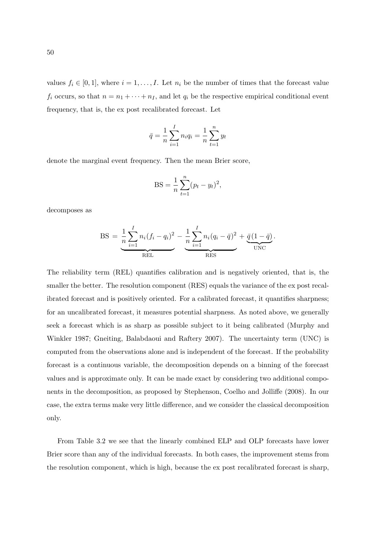values  $f_i \in [0,1]$ , where  $i = 1, \ldots, I$ . Let  $n_i$  be the number of times that the forecast value  $f_i$  occurs, so that  $n = n_1 + \cdots + n_I$ , and let  $q_i$  be the respective empirical conditional event frequency, that is, the ex post recalibrated forecast. Let

$$
\bar{q} = \frac{1}{n} \sum_{i=1}^{I} n_i q_i = \frac{1}{n} \sum_{t=1}^{n} y_t
$$

denote the marginal event frequency. Then the mean Brier score,

$$
BS = \frac{1}{n} \sum_{t=1}^{n} (p_t - y_t)^2,
$$

decomposes as

BS = 
$$
\underbrace{\frac{1}{n} \sum_{i=1}^{I} n_i (f_i - q_i)^2}_{\text{REL}} - \underbrace{\frac{1}{n} \sum_{i=1}^{I} n_i (q_i - \bar{q})^2}_{\text{RES}} + \underbrace{\bar{q} (1 - \bar{q})}_{\text{UNC}}.
$$

The reliability term (REL) quantifies calibration and is negatively oriented, that is, the smaller the better. The resolution component (RES) equals the variance of the ex post recalibrated forecast and is positively oriented. For a calibrated forecast, it quantifies sharpness; for an uncalibrated forecast, it measures potential sharpness. As noted above, we generally seek a forecast which is as sharp as possible subject to it being calibrated (Murphy and Winkler 1987; Gneiting, Balabdaoui and Raftery 2007). The uncertainty term (UNC) is computed from the observations alone and is independent of the forecast. If the probability forecast is a continuous variable, the decomposition depends on a binning of the forecast values and is approximate only. It can be made exact by considering two additional components in the decomposition, as proposed by Stephenson, Coelho and Jolliffe (2008). In our case, the extra terms make very little difference, and we consider the classical decomposition only.

From Table 3.2 we see that the linearly combined ELP and OLP forecasts have lower Brier score than any of the individual forecasts. In both cases, the improvement stems from the resolution component, which is high, because the ex post recalibrated forecast is sharp,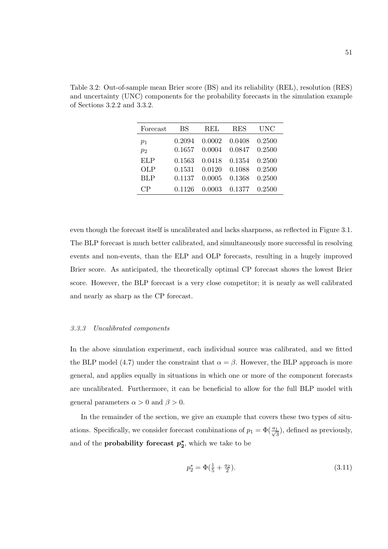| Forecast   | BS     | REL    | <b>RES</b> | UNC    |
|------------|--------|--------|------------|--------|
| $p_1$      | 0.2094 | 0.0002 | 0.0408     | 0.2500 |
| $p_2$      | 0.1657 | 0.0004 | 0.0847     | 0.2500 |
| ELP        | 0.1563 | 0.0418 | 0.1354     | 0.2500 |
| OLP        | 0.1531 | 0.0120 | 0.1088     | 0.2500 |
| <b>BLP</b> | 0.1137 | 0.0005 | 0.1368     | 0.2500 |
| CР         | 0.1126 | 0.0003 | 0.1377     | 0.2500 |

Table 3.2: Out-of-sample mean Brier score (BS) and its reliability (REL), resolution (RES) and uncertainty (UNC) components for the probability forecasts in the simulation example of Sections 3.2.2 and 3.3.2.

even though the forecast itself is uncalibrated and lacks sharpness, as reflected in Figure 3.1. The BLP forecast is much better calibrated, and simultaneously more successful in resolving events and non-events, than the ELP and OLP forecasts, resulting in a hugely improved Brier score. As anticipated, the theoretically optimal CP forecast shows the lowest Brier score. However, the BLP forecast is a very close competitor; it is nearly as well calibrated and nearly as sharp as the CP forecast.

#### 3.3.3 Uncalibrated components

In the above simulation experiment, each individual source was calibrated, and we fitted the BLP model (4.7) under the constraint that  $\alpha = \beta$ . However, the BLP approach is more general, and applies equally in situations in which one or more of the component forecasts are uncalibrated. Furthermore, it can be beneficial to allow for the full BLP model with general parameters  $\alpha > 0$  and  $\beta > 0$ .

In the remainder of the section, we give an example that covers these two types of situations. Specifically, we consider forecast combinations of  $p_1 = \Phi(\frac{a_1}{\sqrt{3}})$ , defined as previously, and of the **probability forecast**  $p_2^*$ , which we take to be

$$
p_2^* = \Phi\left(\frac{1}{5} + \frac{a_2}{2}\right). \tag{3.11}
$$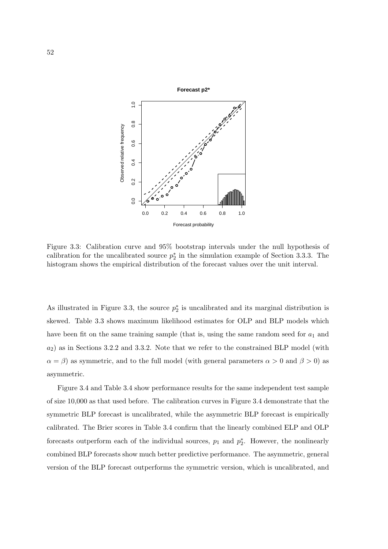

Figure 3.3: Calibration curve and 95% bootstrap intervals under the null hypothesis of calibration for the uncalibrated source  $p_2^*$  in the simulation example of Section 3.3.3. The histogram shows the empirical distribution of the forecast values over the unit interval.

As illustrated in Figure 3.3, the source  $p_2^*$  is uncalibrated and its marginal distribution is skewed. Table 3.3 shows maximum likelihood estimates for OLP and BLP models which have been fit on the same training sample (that is, using the same random seed for  $a_1$  and  $a_2$ ) as in Sections 3.2.2 and 3.3.2. Note that we refer to the constrained BLP model (with  $\alpha = \beta$ ) as symmetric, and to the full model (with general parameters  $\alpha > 0$  and  $\beta > 0$ ) as asymmetric.

Figure 3.4 and Table 3.4 show performance results for the same independent test sample of size 10,000 as that used before. The calibration curves in Figure 3.4 demonstrate that the symmetric BLP forecast is uncalibrated, while the asymmetric BLP forecast is empirically calibrated. The Brier scores in Table 3.4 confirm that the linearly combined ELP and OLP forecasts outperform each of the individual sources,  $p_1$  and  $p_2^*$ . However, the nonlinearly combined BLP forecasts show much better predictive performance. The asymmetric, general version of the BLP forecast outperforms the symmetric version, which is uncalibrated, and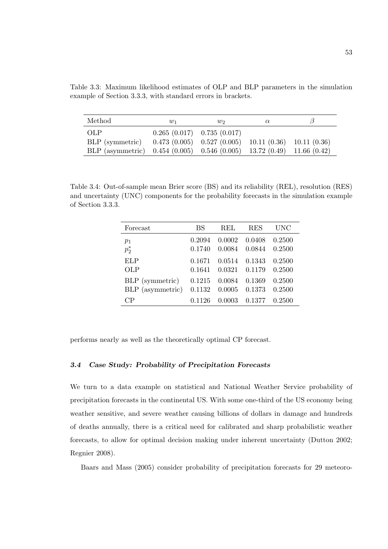Table 3.3: Maximum likelihood estimates of OLP and BLP parameters in the simulation example of Section 3.3.3, with standard errors in brackets.

| Method<br>$w_1$                                                        |  | W                                                         | $\alpha$ |  |
|------------------------------------------------------------------------|--|-----------------------------------------------------------|----------|--|
| <b>OLP</b>                                                             |  | $0.265(0.017)$ 0.735 $(0.017)$                            |          |  |
| BLP (symmetric)                                                        |  | $0.473(0.005)$ $0.527(0.005)$ $10.11(0.36)$ $10.11(0.36)$ |          |  |
| BLP (asymmetric) 0.454 (0.005) 0.546 (0.005) 13.72 (0.49) 11.66 (0.42) |  |                                                           |          |  |

Table 3.4: Out-of-sample mean Brier score (BS) and its reliability (REL), resolution (RES) and uncertainty (UNC) components for the probability forecasts in the simulation example of Section 3.3.3.

| Forecast         | BS     | <b>REL</b> | <b>RES</b> | <b>UNC</b> |
|------------------|--------|------------|------------|------------|
| $p_1$            | 0.2094 | 0.0002     | 0.0408     | 0.2500     |
| $p_2^*$          | 0.1740 | 0.0084     | 0.0844     | 0.2500     |
| ELP              | 0.1671 | 0.0514     | 0.1343     | 0.2500     |
| <b>OLP</b>       | 0.1641 | 0.0321     | 0.1179     | 0.2500     |
| BLP (symmetric)  | 0.1215 | 0.0084     | 0.1369     | 0.2500     |
| BLP (asymmetric) | 0.1132 | 0.0005     | 0.1373     | 0.2500     |
| CP               | 0.1126 | 0.0003     | 0.1377     | 0.2500     |

performs nearly as well as the theoretically optimal CP forecast.

# 3.4 Case Study: Probability of Precipitation Forecasts

We turn to a data example on statistical and National Weather Service probability of precipitation forecasts in the continental US. With some one-third of the US economy being weather sensitive, and severe weather causing billions of dollars in damage and hundreds of deaths annually, there is a critical need for calibrated and sharp probabilistic weather forecasts, to allow for optimal decision making under inherent uncertainty (Dutton 2002; Regnier 2008).

Baars and Mass (2005) consider probability of precipitation forecasts for 29 meteoro-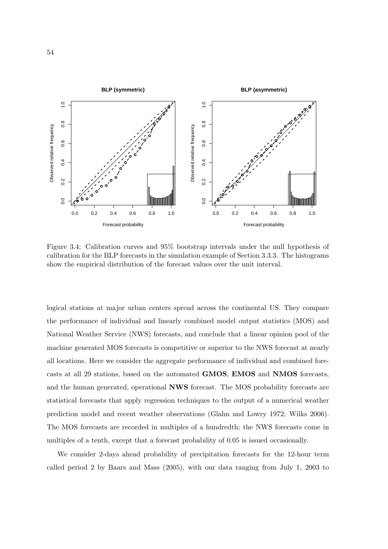

Figure 3.4: Calibration curves and 95% bootstrap intervals under the null hypothesis of calibration for the BLP forecasts in the simulation example of Section 3.3.3. The histograms show the empirical distribution of the forecast values over the unit interval.

logical stations at major urban centers spread across the continental US. They compare the performance of individual and linearly combined model output statistics (MOS) and National Weather Service (NWS) forecasts, and conclude that a linear opinion pool of the machine generated MOS forecasts is competitive or superior to the NWS forecast at nearly all locations. Here we consider the aggregate performance of individual and combined forecasts at all 29 stations, based on the automated GMOS, EMOS and NMOS forecasts, and the human generated, operational NWS forecast. The MOS probability forecasts are statistical forecasts that apply regression techniques to the output of a numerical weather prediction model and recent weather observations (Glahn and Lowry 1972; Wilks 2006). The MOS forecasts are recorded in multiples of a hundredth; the NWS forecasts come in multiples of a tenth, except that a forecast probability of 0.05 is issued occasionally.

We consider 2-days ahead probability of precipitation forecasts for the 12-hour term called period 2 by Baars and Mass (2005), with our data ranging from July 1, 2003 to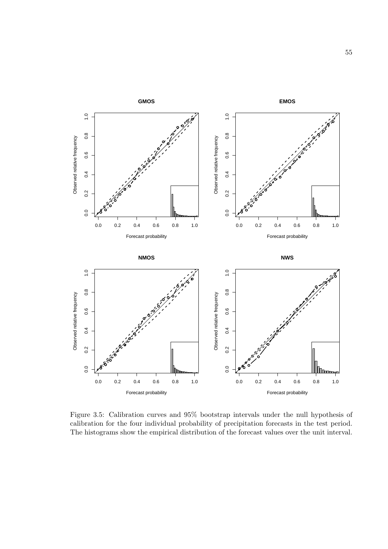

Figure 3.5: Calibration curves and 95% bootstrap intervals under the null hypothesis of calibration for the four individual probability of precipitation forecasts in the test period. The histograms show the empirical distribution of the forecast values over the unit interval.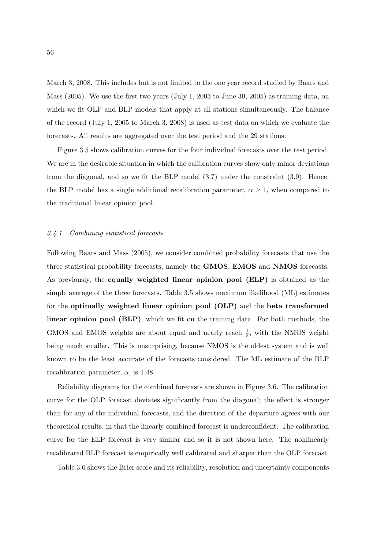March 3, 2008. This includes but is not limited to the one year record studied by Baars and Mass (2005). We use the first two years (July 1, 2003 to June 30, 2005) as training data, on which we fit OLP and BLP models that apply at all stations simultaneously. The balance of the record (July 1, 2005 to March 3, 2008) is used as test data on which we evaluate the forecasts. All results are aggregated over the test period and the 29 stations.

Figure 3.5 shows calibration curves for the four individual forecasts over the test period. We are in the desirable situation in which the calibration curves show only minor deviations from the diagonal, and so we fit the BLP model (3.7) under the constraint (3.9). Hence, the BLP model has a single additional recalibration parameter,  $\alpha \geq 1$ , when compared to the traditional linear opinion pool.

### 3.4.1 Combining statistical forecasts

Following Baars and Mass (2005), we consider combined probability forecasts that use the three statistical probability forecasts, namely the GMOS, EMOS and NMOS forecasts. As previously, the equally weighted linear opinion pool (ELP) is obtained as the simple average of the three forecasts. Table 3.5 shows maximum likelihood (ML) estimates for the optimally weighted linear opinion pool (OLP) and the beta transformed linear opinion pool (BLP), which we fit on the training data. For both methods, the GMOS and EMOS weights are about equal and nearly reach  $\frac{1}{2}$ , with the NMOS weight being much smaller. This is unsurprising, because NMOS is the oldest system and is well known to be the least accurate of the forecasts considered. The ML estimate of the BLP recalibration parameter,  $\alpha$ , is 1.48.

Reliability diagrams for the combined forecasts are shown in Figure 3.6. The calibration curve for the OLP forecast deviates significantly from the diagonal; the effect is stronger than for any of the individual forecasts, and the direction of the departure agrees with our theoretical results, in that the linearly combined forecast is underconfident. The calibration curve for the ELP forecast is very similar and so it is not shown here. The nonlinearly recalibrated BLP forecast is empirically well calibrated and sharper than the OLP forecast.

Table 3.6 shows the Brier score and its reliability, resolution and uncertainty components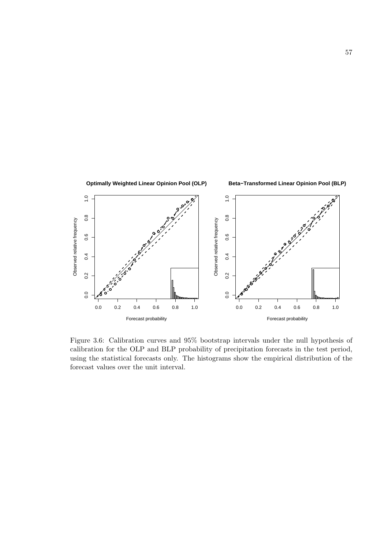

Figure 3.6: Calibration curves and 95% bootstrap intervals under the null hypothesis of calibration for the OLP and BLP probability of precipitation forecasts in the test period, using the statistical forecasts only. The histograms show the empirical distribution of the forecast values over the unit interval.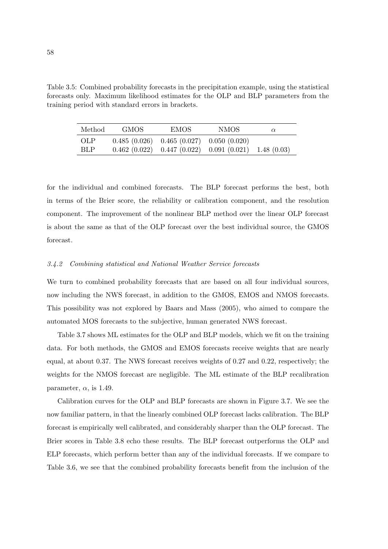Table 3.5: Combined probability forecasts in the precipitation example, using the statistical forecasts only. Maximum likelihood estimates for the OLP and BLP parameters from the training period with standard errors in brackets.

| Method.    | GMOS. | EMOS.                                        | <b>NMOS</b>                                               | $\alpha$ |
|------------|-------|----------------------------------------------|-----------------------------------------------------------|----------|
| <b>OLP</b> |       | $0.485(0.026)$ $0.465(0.027)$ $0.050(0.020)$ |                                                           |          |
| <b>BLP</b> |       |                                              | $0.462(0.022)$ $0.447(0.022)$ $0.091(0.021)$ $1.48(0.03)$ |          |

for the individual and combined forecasts. The BLP forecast performs the best, both in terms of the Brier score, the reliability or calibration component, and the resolution component. The improvement of the nonlinear BLP method over the linear OLP forecast is about the same as that of the OLP forecast over the best individual source, the GMOS forecast.

# 3.4.2 Combining statistical and National Weather Service forecasts

We turn to combined probability forecasts that are based on all four individual sources, now including the NWS forecast, in addition to the GMOS, EMOS and NMOS forecasts. This possibility was not explored by Baars and Mass (2005), who aimed to compare the automated MOS forecasts to the subjective, human generated NWS forecast.

Table 3.7 shows ML estimates for the OLP and BLP models, which we fit on the training data. For both methods, the GMOS and EMOS forecasts receive weights that are nearly equal, at about 0.37. The NWS forecast receives weights of 0.27 and 0.22, respectively; the weights for the NMOS forecast are negligible. The ML estimate of the BLP recalibration parameter,  $\alpha$ , is 1.49.

Calibration curves for the OLP and BLP forecasts are shown in Figure 3.7. We see the now familiar pattern, in that the linearly combined OLP forecast lacks calibration. The BLP forecast is empirically well calibrated, and considerably sharper than the OLP forecast. The Brier scores in Table 3.8 echo these results. The BLP forecast outperforms the OLP and ELP forecasts, which perform better than any of the individual forecasts. If we compare to Table 3.6, we see that the combined probability forecasts benefit from the inclusion of the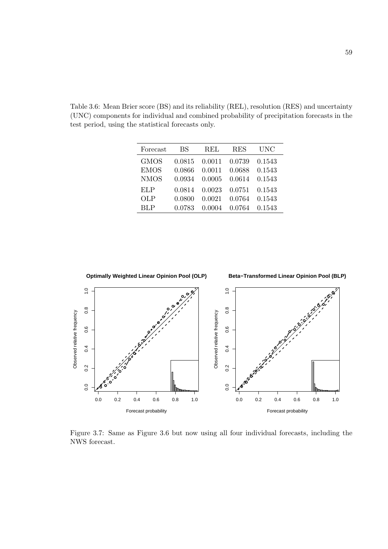Table 3.6: Mean Brier score (BS) and its reliability (REL), resolution (RES) and uncertainty (UNC) components for individual and combined probability of precipitation forecasts in the test period, using the statistical forecasts only.

| Forecast    | BS     | REL    | <b>RES</b> | UNC    |
|-------------|--------|--------|------------|--------|
| <b>GMOS</b> | 0.0815 | 0.0011 | 0.0739     | 0.1543 |
| <b>EMOS</b> | 0.0866 | 0.0011 | 0.0688     | 0.1543 |
| <b>NMOS</b> | 0.0934 | 0.0005 | 0.0614     | 0.1543 |
| ELP         | 0.0814 | 0.0023 | 0.0751     | 0.1543 |
| <b>OLP</b>  | 0.0800 | 0.0021 | 0.0764     | 0.1543 |
| <b>BLP</b>  | 0.0783 | 0.0004 | 0.0764     | 0.1543 |



Figure 3.7: Same as Figure 3.6 but now using all four individual forecasts, including the NWS forecast.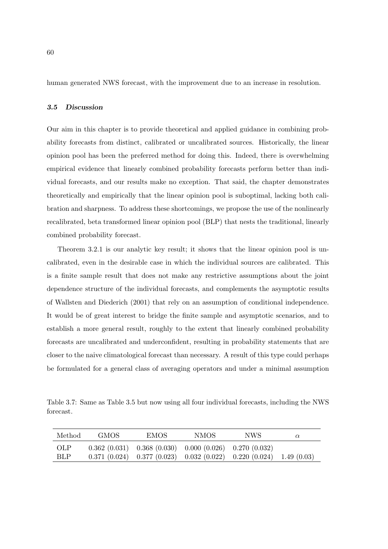human generated NWS forecast, with the improvement due to an increase in resolution.

### 3.5 Discussion

Our aim in this chapter is to provide theoretical and applied guidance in combining probability forecasts from distinct, calibrated or uncalibrated sources. Historically, the linear opinion pool has been the preferred method for doing this. Indeed, there is overwhelming empirical evidence that linearly combined probability forecasts perform better than individual forecasts, and our results make no exception. That said, the chapter demonstrates theoretically and empirically that the linear opinion pool is suboptimal, lacking both calibration and sharpness. To address these shortcomings, we propose the use of the nonlinearly recalibrated, beta transformed linear opinion pool (BLP) that nests the traditional, linearly combined probability forecast.

Theorem 3.2.1 is our analytic key result; it shows that the linear opinion pool is uncalibrated, even in the desirable case in which the individual sources are calibrated. This is a finite sample result that does not make any restrictive assumptions about the joint dependence structure of the individual forecasts, and complements the asymptotic results of Wallsten and Diederich (2001) that rely on an assumption of conditional independence. It would be of great interest to bridge the finite sample and asymptotic scenarios, and to establish a more general result, roughly to the extent that linearly combined probability forecasts are uncalibrated and underconfident, resulting in probability statements that are closer to the naive climatological forecast than necessary. A result of this type could perhaps be formulated for a general class of averaging operators and under a minimal assumption

Table 3.7: Same as Table 3.5 but now using all four individual forecasts, including the NWS forecast.

| Method.    | GMOS. | EMOS- | NMOS.                                                       | NWS.                                                                     | $\alpha$ |
|------------|-------|-------|-------------------------------------------------------------|--------------------------------------------------------------------------|----------|
| <b>OLP</b> |       |       | $0.362(0.031)$ $0.368(0.030)$ $0.000(0.026)$ $0.270(0.032)$ |                                                                          |          |
| <b>BLP</b> |       |       |                                                             | $0.371(0.024)$ $0.377(0.023)$ $0.032(0.022)$ $0.220(0.024)$ $1.49(0.03)$ |          |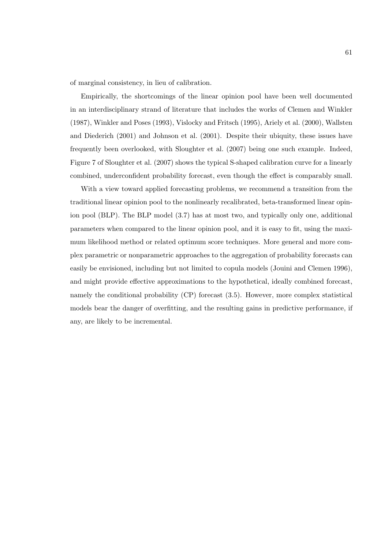of marginal consistency, in lieu of calibration.

Empirically, the shortcomings of the linear opinion pool have been well documented in an interdisciplinary strand of literature that includes the works of Clemen and Winkler (1987), Winkler and Poses (1993), Vislocky and Fritsch (1995), Ariely et al. (2000), Wallsten and Diederich (2001) and Johnson et al. (2001). Despite their ubiquity, these issues have frequently been overlooked, with Sloughter et al. (2007) being one such example. Indeed, Figure 7 of Sloughter et al. (2007) shows the typical S-shaped calibration curve for a linearly combined, underconfident probability forecast, even though the effect is comparably small.

With a view toward applied forecasting problems, we recommend a transition from the traditional linear opinion pool to the nonlinearly recalibrated, beta-transformed linear opinion pool (BLP). The BLP model (3.7) has at most two, and typically only one, additional parameters when compared to the linear opinion pool, and it is easy to fit, using the maximum likelihood method or related optimum score techniques. More general and more complex parametric or nonparametric approaches to the aggregation of probability forecasts can easily be envisioned, including but not limited to copula models (Jouini and Clemen 1996), and might provide effective approximations to the hypothetical, ideally combined forecast, namely the conditional probability (CP) forecast (3.5). However, more complex statistical models bear the danger of overfitting, and the resulting gains in predictive performance, if any, are likely to be incremental.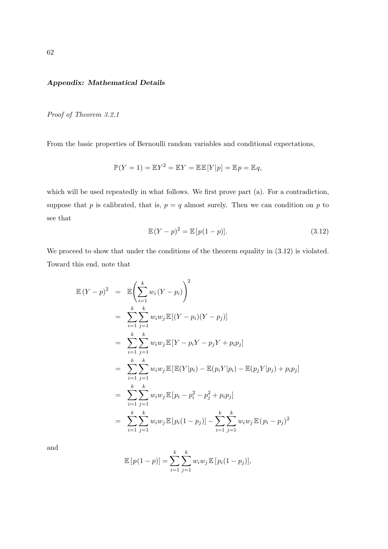# Appendix: Mathematical Details

Proof of Theorem 3.2.1

From the basic properties of Bernoulli random variables and conditional expectations,

$$
\mathbb{P}(Y=1) = \mathbb{E}Y^2 = \mathbb{E}Y = \mathbb{E}\mathbb{E}[Y|p] = \mathbb{E}p = \mathbb{E}q,
$$

which will be used repeatedly in what follows. We first prove part (a). For a contradiction, suppose that p is calibrated, that is,  $p = q$  almost surely. Then we can condition on p to see that

$$
\mathbb{E}(Y-p)^2 = \mathbb{E}[p(1-p)].\tag{3.12}
$$

We proceed to show that under the conditions of the theorem equality in  $(3.12)$  is violated. Toward this end, note that

$$
\mathbb{E}(Y-p)^2 = \mathbb{E}\left(\sum_{i=1}^k w_i (Y-p_i)\right)^2
$$
  
\n
$$
= \sum_{i=1}^k \sum_{j=1}^k w_i w_j \mathbb{E}[(Y-p_i)(Y-p_j)]
$$
  
\n
$$
= \sum_{i=1}^k \sum_{j=1}^k w_i w_j \mathbb{E}[Y-p_iY-p_jY+p_i p_j]
$$
  
\n
$$
= \sum_{i=1}^k \sum_{j=1}^k w_i w_j \mathbb{E}[\mathbb{E}(Y|p_i) - \mathbb{E}(p_i Y|p_i) - \mathbb{E}(p_j Y|p_j) + p_i p_j]
$$
  
\n
$$
= \sum_{i=1}^k \sum_{j=1}^k w_i w_j \mathbb{E}[p_i - p_i^2 - p_j^2 + p_i p_j]
$$
  
\n
$$
= \sum_{i=1}^k \sum_{j=1}^k w_i w_j \mathbb{E}[p_i(1-p_j)] - \sum_{i=1}^k \sum_{j=1}^k w_i w_j \mathbb{E}(p_i - p_j)^2
$$

and

$$
\mathbb{E}[p(1-p)] = \sum_{i=1}^{k} \sum_{j=1}^{k} w_i w_j \mathbb{E}[p_i(1-p_j)],
$$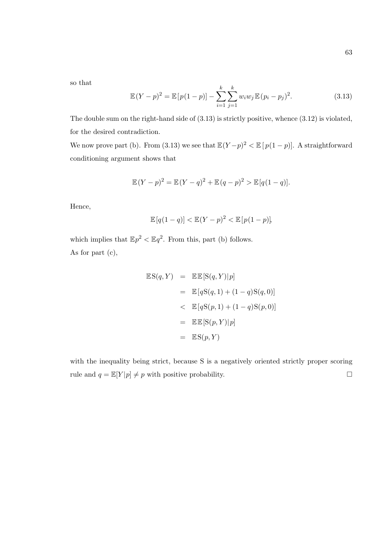so that

$$
\mathbb{E}(Y-p)^2 = \mathbb{E}[p(1-p)] - \sum_{i=1}^{k} \sum_{j=1}^{k} w_i w_j \mathbb{E}(p_i-p_j)^2.
$$
 (3.13)

The double sum on the right-hand side of (3.13) is strictly positive, whence (3.12) is violated, for the desired contradiction.

We now prove part (b). From (3.13) we see that  $\mathbb{E}(Y-p)^2 < \mathbb{E}[p(1-p)]$ . A straightforward conditioning argument shows that

$$
\mathbb{E}(Y - p)^2 = \mathbb{E}(Y - q)^2 + \mathbb{E}(q - p)^2 > \mathbb{E}[q(1 - q)].
$$

Hence,

$$
\mathbb{E}[q(1-q)] < \mathbb{E}(Y-p)^2 < \mathbb{E}[p(1-p)],
$$

which implies that  $\mathbb{E}p^2 < \mathbb{E}q^2$ . From this, part (b) follows. As for part (c),

$$
\mathbb{E}S(q, Y) = \mathbb{E}E[S(q, Y)|p]
$$
  
=  $\mathbb{E}[qS(q, 1) + (1 - q)S(q, 0)]$   
<  $\mathbb{E}[qS(p, 1) + (1 - q)S(p, 0)]$   
=  $\mathbb{E}E[S(p, Y)|p]$   
=  $\mathbb{E}S(p, Y)$ 

with the inequality being strict, because S is a negatively oriented strictly proper scoring rule and  $q = \mathbb{E}[Y|p] \neq p$  with positive probability.  $\Box$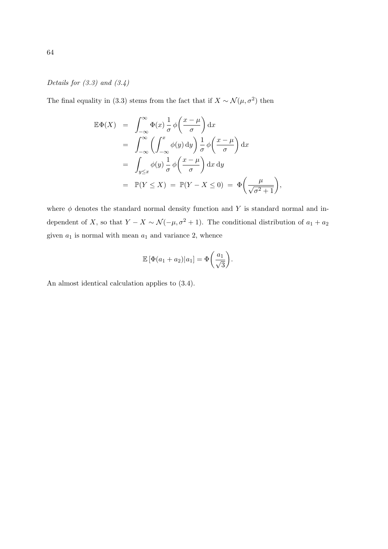Details for  $(3.3)$  and  $(3.4)$ 

The final equality in (3.3) stems from the fact that if  $X \sim \mathcal{N}(\mu, \sigma^2)$  then

$$
\mathbb{E}\Phi(X) = \int_{-\infty}^{\infty} \Phi(x) \frac{1}{\sigma} \phi\left(\frac{x-\mu}{\sigma}\right) dx
$$
  
\n
$$
= \int_{-\infty}^{\infty} \left(\int_{-\infty}^{x} \phi(y) dy\right) \frac{1}{\sigma} \phi\left(\frac{x-\mu}{\sigma}\right) dx
$$
  
\n
$$
= \int_{y\leq x} \phi(y) \frac{1}{\sigma} \phi\left(\frac{x-\mu}{\sigma}\right) dx dy
$$
  
\n
$$
= \mathbb{P}(Y \leq X) = \mathbb{P}(Y - X \leq 0) = \Phi\left(\frac{\mu}{\sqrt{\sigma^2 + 1}}\right),
$$

where  $\phi$  denotes the standard normal density function and Y is standard normal and independent of X, so that  $Y - X \sim \mathcal{N}(-\mu, \sigma^2 + 1)$ . The conditional distribution of  $a_1 + a_2$ given  $a_1$  is normal with mean  $a_1$  and variance 2, whence

$$
\mathbb{E}\left[\Phi(a_1+a_2)|a_1\right] = \Phi\left(\frac{a_1}{\sqrt{3}}\right).
$$

An almost identical calculation applies to (3.4).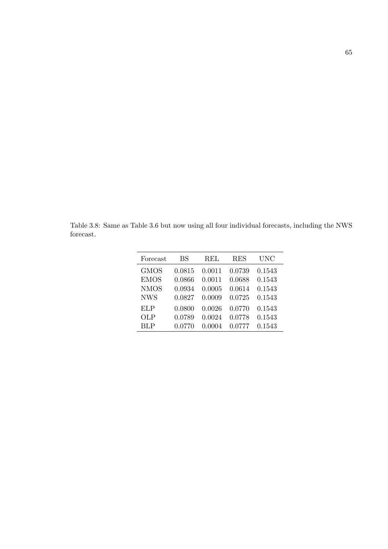Table 3.8: Same as Table 3.6 but now using all four individual forecasts, including the NWS forecast.

| Forecast    | BS     | <b>REL</b> | <b>RES</b> | UNC    |
|-------------|--------|------------|------------|--------|
| <b>GMOS</b> | 0.0815 | 0.0011     | 0.0739     | 0.1543 |
| <b>EMOS</b> | 0.0866 | 0.0011     | 0.0688     | 0.1543 |
| <b>NMOS</b> | 0.0934 | 0.0005     | 0.0614     | 0.1543 |
| <b>NWS</b>  | 0.0827 | 0.0009     | 0.0725     | 0.1543 |
| ELP         | 0.0800 | 0.0026     | 0.0770     | 0.1543 |
| OLP         | 0.0789 | 0.0024     | 0.0778     | 0.1543 |
| BLP         | 0.0770 | 0.0004     | በ በ777     | 0.1543 |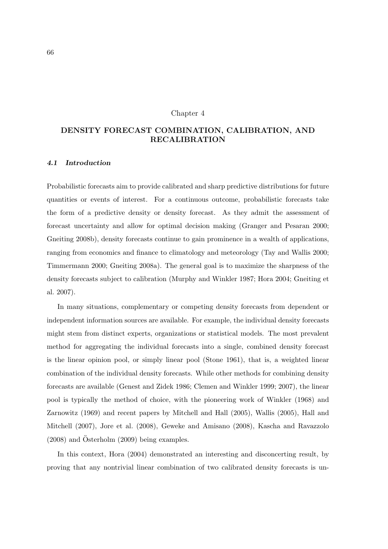#### Chapter 4

# DENSITY FORECAST COMBINATION, CALIBRATION, AND RECALIBRATION

## 4.1 Introduction

Probabilistic forecasts aim to provide calibrated and sharp predictive distributions for future quantities or events of interest. For a continuous outcome, probabilistic forecasts take the form of a predictive density or density forecast. As they admit the assessment of forecast uncertainty and allow for optimal decision making (Granger and Pesaran 2000; Gneiting 2008b), density forecasts continue to gain prominence in a wealth of applications, ranging from economics and finance to climatology and meteorology (Tay and Wallis 2000; Timmermann 2000; Gneiting 2008a). The general goal is to maximize the sharpness of the density forecasts subject to calibration (Murphy and Winkler 1987; Hora 2004; Gneiting et al. 2007).

In many situations, complementary or competing density forecasts from dependent or independent information sources are available. For example, the individual density forecasts might stem from distinct experts, organizations or statistical models. The most prevalent method for aggregating the individual forecasts into a single, combined density forecast is the linear opinion pool, or simply linear pool (Stone 1961), that is, a weighted linear combination of the individual density forecasts. While other methods for combining density forecasts are available (Genest and Zidek 1986; Clemen and Winkler 1999; 2007), the linear pool is typically the method of choice, with the pioneering work of Winkler (1968) and Zarnowitz (1969) and recent papers by Mitchell and Hall (2005), Wallis (2005), Hall and Mitchell (2007), Jore et al. (2008), Geweke and Amisano (2008), Kascha and Ravazzolo  $(2008)$  and  $Osterholm (2009)$  being examples.

In this context, Hora (2004) demonstrated an interesting and disconcerting result, by proving that any nontrivial linear combination of two calibrated density forecasts is un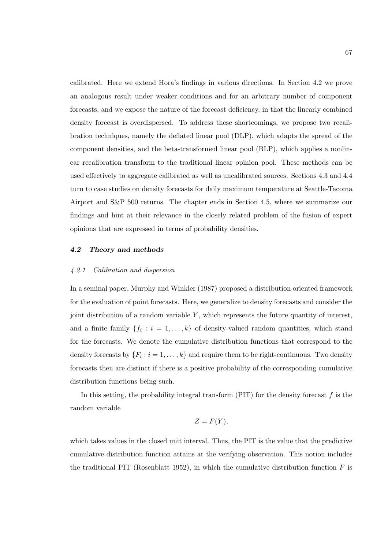calibrated. Here we extend Hora's findings in various directions. In Section 4.2 we prove an analogous result under weaker conditions and for an arbitrary number of component forecasts, and we expose the nature of the forecast deficiency, in that the linearly combined density forecast is overdispersed. To address these shortcomings, we propose two recalibration techniques, namely the deflated linear pool (DLP), which adapts the spread of the component densities, and the beta-transformed linear pool (BLP), which applies a nonlinear recalibration transform to the traditional linear opinion pool. These methods can be used effectively to aggregate calibrated as well as uncalibrated sources. Sections 4.3 and 4.4 turn to case studies on density forecasts for daily maximum temperature at Seattle-Tacoma Airport and S&P 500 returns. The chapter ends in Section 4.5, where we summarize our findings and hint at their relevance in the closely related problem of the fusion of expert opinions that are expressed in terms of probability densities.

# 4.2 Theory and methods

#### 4.2.1 Calibration and dispersion

In a seminal paper, Murphy and Winkler (1987) proposed a distribution oriented framework for the evaluation of point forecasts. Here, we generalize to density forecasts and consider the joint distribution of a random variable  $Y$ , which represents the future quantity of interest, and a finite family  $\{f_i : i = 1, \ldots, k\}$  of density-valued random quantities, which stand for the forecasts. We denote the cumulative distribution functions that correspond to the density forecasts by  $\{F_i : i = 1, \ldots, k\}$  and require them to be right-continuous. Two density forecasts then are distinct if there is a positive probability of the corresponding cumulative distribution functions being such.

In this setting, the probability integral transform  $(PIT)$  for the density forecast f is the random variable

$$
Z=F(Y),
$$

which takes values in the closed unit interval. Thus, the PIT is the value that the predictive cumulative distribution function attains at the verifying observation. This notion includes the traditional PIT (Rosenblatt 1952), in which the cumulative distribution function  $F$  is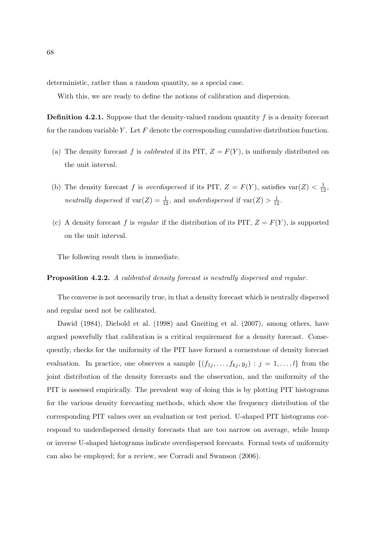deterministic, rather than a random quantity, as a special case.

With this, we are ready to define the notions of calibration and dispersion.

**Definition 4.2.1.** Suppose that the density-valued random quantity  $f$  is a density forecast for the random variable Y. Let  $F$  denote the corresponding cumulative distribution function.

- (a) The density forecast f is *calibrated* if its PIT,  $Z = F(Y)$ , is uniformly distributed on the unit interval.
- (b) The density forecast f is overdispersed if its PIT,  $Z = F(Y)$ , satisfies var $(Z) < \frac{1}{12}$ , neutrally dispersed if  $\text{var}(Z) = \frac{1}{12}$ , and underdispersed if  $\text{var}(Z) > \frac{1}{12}$ .
- (c) A density forecast f is regular if the distribution of its PIT,  $Z = F(Y)$ , is supported on the unit interval.

The following result then is immediate.

#### Proposition 4.2.2. A calibrated density forecast is neutrally dispersed and regular.

The converse is not necessarily true, in that a density forecast which is neutrally dispersed and regular need not be calibrated.

Dawid (1984), Diebold et al. (1998) and Gneiting et al. (2007), among others, have argued powerfully that calibration is a critical requirement for a density forecast. Consequently, checks for the uniformity of the PIT have formed a cornerstone of density forecast evaluation. In practice, one observes a sample  $\{(f_{1j},...,f_{kj},y_j): j = 1,...,l\}$  from the joint distribution of the density forecasts and the observation, and the uniformity of the PIT is assessed empirically. The prevalent way of doing this is by plotting PIT histograms for the various density forecasting methods, which show the frequency distribution of the corresponding PIT values over an evaluation or test period. U-shaped PIT histograms correspond to underdispersed density forecasts that are too narrow on average, while hump or inverse U-shaped histograms indicate overdispersed forecasts. Formal tests of uniformity can also be employed; for a review, see Corradi and Swanson (2006).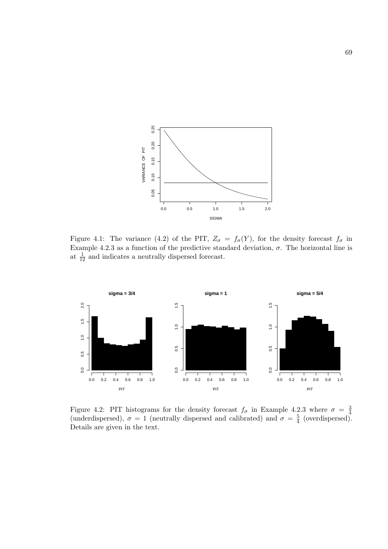

Figure 4.1: The variance (4.2) of the PIT,  $Z_{\sigma} = f_{\sigma}(Y)$ , for the density forecast  $f_{\sigma}$  in Example 4.2.3 as a function of the predictive standard deviation,  $\sigma$ . The horizontal line is at  $\frac{1}{12}$  and indicates a neutrally dispersed forecast.



Figure 4.2: PIT histograms for the density forecast  $f_{\sigma}$  in Example 4.2.3 where  $\sigma = \frac{3}{4}$ 4 (underdispersed),  $\sigma = 1$  (neutrally dispersed and calibrated) and  $\sigma = \frac{5}{4}$  $\frac{5}{4}$  (overdispersed). Details are given in the text.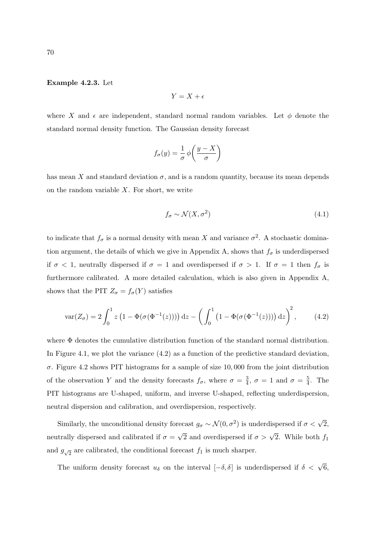# Example 4.2.3. Let

$$
Y = X + \epsilon
$$

where X and  $\epsilon$  are independent, standard normal random variables. Let  $\phi$  denote the standard normal density function. The Gaussian density forecast

$$
f_{\sigma}(y) = \frac{1}{\sigma} \phi\left(\frac{y - X}{\sigma}\right)
$$

has mean X and standard deviation  $\sigma$ , and is a random quantity, because its mean depends on the random variable  $X$ . For short, we write

$$
f_{\sigma} \sim \mathcal{N}(X, \sigma^2) \tag{4.1}
$$

to indicate that  $f_{\sigma}$  is a normal density with mean X and variance  $\sigma^2$ . A stochastic domination argument, the details of which we give in Appendix A, shows that  $f_{\sigma}$  is underdispersed if  $\sigma$  < 1, neutrally dispersed if  $\sigma = 1$  and overdispersed if  $\sigma > 1$ . If  $\sigma = 1$  then  $f_{\sigma}$  is furthermore calibrated. A more detailed calculation, which is also given in Appendix A, shows that the PIT  $Z_{\sigma} = f_{\sigma}(Y)$  satisfies

$$
\text{var}(Z_{\sigma}) = 2 \int_0^1 z \left( 1 - \Phi(\sigma(\Phi^{-1}(z))) \right) dz - \left( \int_0^1 \left( 1 - \Phi(\sigma(\Phi^{-1}(z))) \right) dz \right)^2, \tag{4.2}
$$

where Φ denotes the cumulative distribution function of the standard normal distribution. In Figure 4.1, we plot the variance (4.2) as a function of the predictive standard deviation, σ. Figure 4.2 shows PIT histograms for a sample of size 10, 000 from the joint distribution of the observation Y and the density forecasts  $f_{\sigma}$ , where  $\sigma = \frac{3}{4}$  $\frac{3}{4}$ ,  $\sigma = 1$  and  $\sigma = \frac{5}{4}$  $\frac{5}{4}$ . The PIT histograms are U-shaped, uniform, and inverse U-shaped, reflecting underdispersion, neutral dispersion and calibration, and overdispersion, respectively.

Similarly, the unconditional density forecast  $g_{\sigma} \sim \mathcal{N}(0, \sigma^2)$  is underdispersed if  $\sigma < \sqrt{2}$ , neutrally dispersed and calibrated if  $\sigma =$  $\sqrt{2}$  and overdispersed if  $\sigma > \sqrt{2}$ . While both  $f_1$ and  $g_{\sqrt{2}}$  are calibrated, the conditional forecast  $f_1$  is much sharper.

The uniform density forecast  $u_{\delta}$  on the interval  $[-\delta, \delta]$  is underdispersed if  $\delta < \sqrt{6}$ ,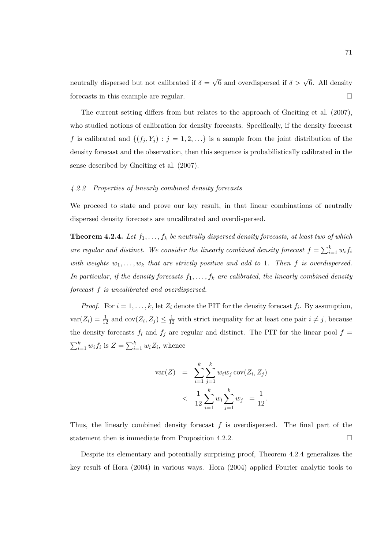neutrally dispersed but not calibrated if  $\delta =$  $\sqrt{6}$  and overdispersed if  $\delta > \sqrt{6}$ . All density forecasts in this example are regular.  $\Box$ 

The current setting differs from but relates to the approach of Gneiting et al. (2007), who studied notions of calibration for density forecasts. Specifically, if the density forecast f is calibrated and  $\{(f_j, Y_j) : j = 1, 2, \ldots\}$  is a sample from the joint distribution of the density forecast and the observation, then this sequence is probabilistically calibrated in the sense described by Gneiting et al. (2007).

#### 4.2.2 Properties of linearly combined density forecasts

We proceed to state and prove our key result, in that linear combinations of neutrally dispersed density forecasts are uncalibrated and overdispersed.

**Theorem 4.2.4.** Let  $f_1, \ldots, f_k$  be neutrally dispersed density forecasts, at least two of which are regular and distinct. We consider the linearly combined density forecast  $f = \sum_{i=1}^{k} f(i)$  $\sum_{i=1}^k w_i f_i$ with weights  $w_1, \ldots, w_k$  that are strictly positive and add to 1. Then f is overdispersed. In particular, if the density forecasts  $f_1, \ldots, f_k$  are calibrated, the linearly combined density forecast f is uncalibrated and overdispersed.

*Proof.* For  $i = 1, ..., k$ , let  $Z_i$  denote the PIT for the density forecast  $f_i$ . By assumption,  $var(Z_i) = \frac{1}{12}$  and  $cov(Z_i, Z_j) \leq \frac{1}{12}$  with strict inequality for at least one pair  $i \neq j$ , because the density forecasts  $f_i$  and  $f_j$  are regular and distinct. The PIT for the linear pool  $f =$  $\bigtriangledown^k$  $_{i=1}^k w_i f_i$  is  $Z = \sum_{i=1}^k$  $_{i=1}^k w_i Z_i$ , whence

$$
\begin{array}{rcl} \text{var}(Z) & = & \sum_{i=1}^{k} \sum_{j=1}^{k} w_i w_j \, \text{cov}(Z_i, Z_j) \\ & < & \frac{1}{12} \sum_{i=1}^{k} w_i \sum_{j=1}^{k} w_j \, = \frac{1}{12}. \end{array}
$$

Thus, the linearly combined density forecast  $f$  is overdispersed. The final part of the statement then is immediate from Proposition 4.2.2.  $\Box$ 

Despite its elementary and potentially surprising proof, Theorem 4.2.4 generalizes the key result of Hora (2004) in various ways. Hora (2004) applied Fourier analytic tools to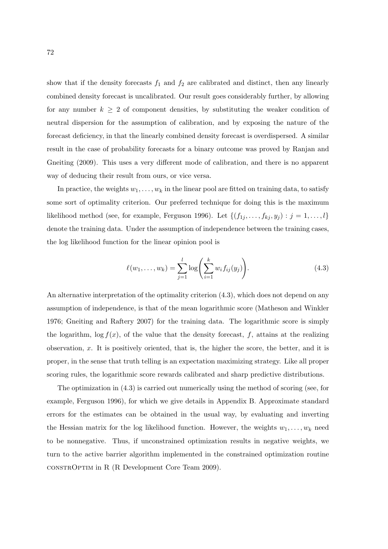show that if the density forecasts  $f_1$  and  $f_2$  are calibrated and distinct, then any linearly combined density forecast is uncalibrated. Our result goes considerably further, by allowing for any number  $k \geq 2$  of component densities, by substituting the weaker condition of neutral dispersion for the assumption of calibration, and by exposing the nature of the forecast deficiency, in that the linearly combined density forecast is overdispersed. A similar result in the case of probability forecasts for a binary outcome was proved by Ranjan and Gneiting (2009). This uses a very different mode of calibration, and there is no apparent way of deducing their result from ours, or vice versa.

In practice, the weights  $w_1, \ldots, w_k$  in the linear pool are fitted on training data, to satisfy some sort of optimality criterion. Our preferred technique for doing this is the maximum likelihood method (see, for example, Ferguson 1996). Let  $\{(f_{1j},...,f_{kj},y_j): j=1,...,l\}$ denote the training data. Under the assumption of independence between the training cases, the log likelihood function for the linear opinion pool is

$$
\ell(w_1, \dots, w_k) = \sum_{j=1}^l \log \left( \sum_{i=1}^k w_i f_{ij}(y_j) \right).
$$
 (4.3)

An alternative interpretation of the optimality criterion (4.3), which does not depend on any assumption of independence, is that of the mean logarithmic score (Matheson and Winkler 1976; Gneiting and Raftery 2007) for the training data. The logarithmic score is simply the logarithm,  $\log f(x)$ , of the value that the density forecast, f, attains at the realizing observation,  $x$ . It is positively oriented, that is, the higher the score, the better, and it is proper, in the sense that truth telling is an expectation maximizing strategy. Like all proper scoring rules, the logarithmic score rewards calibrated and sharp predictive distributions.

The optimization in (4.3) is carried out numerically using the method of scoring (see, for example, Ferguson 1996), for which we give details in Appendix B. Approximate standard errors for the estimates can be obtained in the usual way, by evaluating and inverting the Hessian matrix for the log likelihood function. However, the weights  $w_1, \ldots, w_k$  need to be nonnegative. Thus, if unconstrained optimization results in negative weights, we turn to the active barrier algorithm implemented in the constrained optimization routine constrOptim in R (R Development Core Team 2009).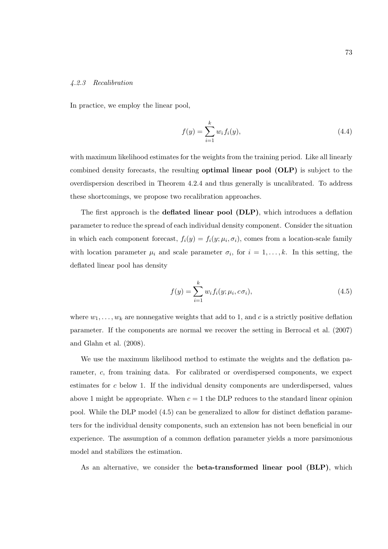### 4.2.3 Recalibration

In practice, we employ the linear pool,

$$
f(y) = \sum_{i=1}^{k} w_i f_i(y),
$$
\n(4.4)

with maximum likelihood estimates for the weights from the training period. Like all linearly combined density forecasts, the resulting optimal linear pool (OLP) is subject to the overdispersion described in Theorem 4.2.4 and thus generally is uncalibrated. To address these shortcomings, we propose two recalibration approaches.

The first approach is the deflated linear pool (DLP), which introduces a deflation parameter to reduce the spread of each individual density component. Consider the situation in which each component forecast,  $f_i(y) = f_i(y; \mu_i, \sigma_i)$ , comes from a location-scale family with location parameter  $\mu_i$  and scale parameter  $\sigma_i$ , for  $i = 1, \ldots, k$ . In this setting, the deflated linear pool has density

$$
f(y) = \sum_{i=1}^{k} w_i f_i(y; \mu_i, c\sigma_i),
$$
\n(4.5)

where  $w_1, \ldots, w_k$  are nonnegative weights that add to 1, and c is a strictly positive deflation parameter. If the components are normal we recover the setting in Berrocal et al. (2007) and Glahn et al. (2008).

We use the maximum likelihood method to estimate the weights and the deflation parameter, c, from training data. For calibrated or overdispersed components, we expect estimates for c below 1. If the individual density components are underdispersed, values above 1 might be appropriate. When  $c = 1$  the DLP reduces to the standard linear opinion pool. While the DLP model (4.5) can be generalized to allow for distinct deflation parameters for the individual density components, such an extension has not been beneficial in our experience. The assumption of a common deflation parameter yields a more parsimonious model and stabilizes the estimation.

As an alternative, we consider the beta-transformed linear pool (BLP), which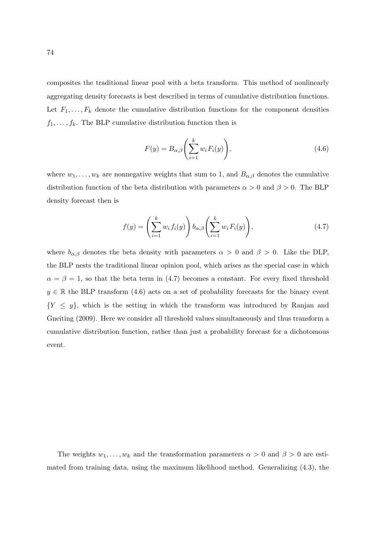composites the traditional linear pool with a beta transform. This method of nonlinearly aggregating density forecasts is best described in terms of cumulative distribution functions. Let  $F_1, \ldots, F_k$  denote the cumulative distribution functions for the component densities  $f_1, \ldots, f_k$ . The BLP cumulative distribution function then is

$$
F(y) = B_{\alpha,\beta} \left( \sum_{i=1}^{k} w_i F_i(y) \right), \tag{4.6}
$$

where  $w_1, \ldots, w_k$  are nonnegative weights that sum to 1, and  $B_{\alpha,\beta}$  denotes the cumulative distribution function of the beta distribution with parameters  $\alpha > 0$  and  $\beta > 0$ . The BLP density forecast then is

$$
f(y) = \left(\sum_{i=1}^{k} w_i f_i(y)\right) b_{\alpha,\beta} \left(\sum_{i=1}^{k} w_i F_i(y)\right),\tag{4.7}
$$

where  $b_{\alpha,\beta}$  denotes the beta density with parameters  $\alpha > 0$  and  $\beta > 0$ . Like the DLP, the BLP nests the traditional linear opinion pool, which arises as the special case in which  $\alpha = \beta = 1$ , so that the beta term in (4.7) becomes a constant. For every fixed threshold  $y \in \mathbb{R}$  the BLP transform (4.6) acts on a set of probability forecasts for the binary event  ${Y \leq y}$ , which is the setting in which the transform was introduced by Ranjan and Gneiting (2009). Here we consider all threshold values simultaneously and thus transform a cumulative distribution function, rather than just a probability forecast for a dichotomous event.

The weights  $w_1, \ldots, w_k$  and the transformation parameters  $\alpha > 0$  and  $\beta > 0$  are estimated from training data, using the maximum likelihood method. Generalizing (4.3), the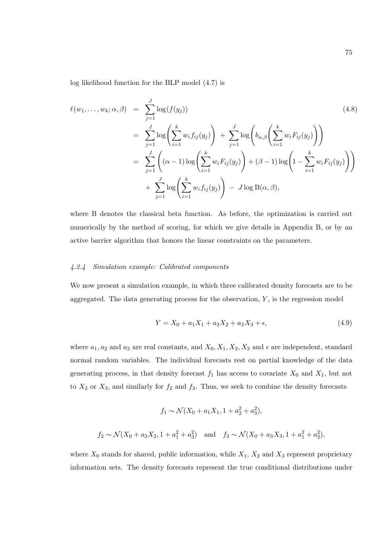log likelihood function for the BLP model (4.7) is

$$
\ell(w_1, ..., w_k; \alpha, \beta) = \sum_{j=1}^{J} \log(f(y_j))
$$
\n
$$
= \sum_{j=1}^{J} \log \left( \sum_{i=1}^{k} w_i f_{ij}(y_j) \right) + \sum_{j=1}^{J} \log \left( b_{\alpha, \beta} \left( \sum_{i=1}^{k} w_i F_{ij}(y_j) \right) \right)
$$
\n
$$
= \sum_{j=1}^{J} \left( (\alpha - 1) \log \left( \sum_{i=1}^{k} w_i F_{ij}(y_j) \right) + (\beta - 1) \log \left( 1 - \sum_{i=1}^{k} w_i F_{ij}(y_j) \right) \right)
$$
\n
$$
+ \sum_{j=1}^{J} \log \left( \sum_{i=1}^{k} w_i f_{ij}(y_j) \right) - J \log B(\alpha, \beta),
$$
\n(4.8)

where B denotes the classical beta function. As before, the optimization is carried out numerically by the method of scoring, for which we give details in Appendix B, or by an active barrier algorithm that honors the linear constraints on the parameters.

# 4.2.4 Simulation example: Calibrated components

We now present a simulation example, in which three calibrated density forecasts are to be aggregated. The data generating process for the observation,  $Y$ , is the regression model

$$
Y = X_0 + a_1 X_1 + a_2 X_2 + a_3 X_3 + \epsilon,\tag{4.9}
$$

where  $a_1, a_2$  and  $a_3$  are real constants, and  $X_0, X_1, X_2, X_3$  and  $\epsilon$  are independent, standard normal random variables. The individual forecasts rest on partial knowledge of the data generating process, in that density forecast  $f_1$  has access to covariate  $X_0$  and  $X_1$ , but not to  $X_2$  or  $X_3$ , and similarly for  $f_2$  and  $f_3$ . Thus, we seek to combine the density forecasts

$$
f_1 \sim \mathcal{N}(X_0 + a_1 X_1, 1 + a_2^2 + a_3^2),
$$
  

$$
f_2 \sim \mathcal{N}(X_0 + a_2 X_2, 1 + a_1^2 + a_3^2) \text{ and } f_3 \sim \mathcal{N}(X_0 + a_3 X_3, 1 + a_1^2 + a_2^2),
$$

where  $X_0$  stands for shared, public information, while  $X_1$ ,  $X_2$  and  $X_3$  represent proprietary information sets. The density forecasts represent the true conditional distributions under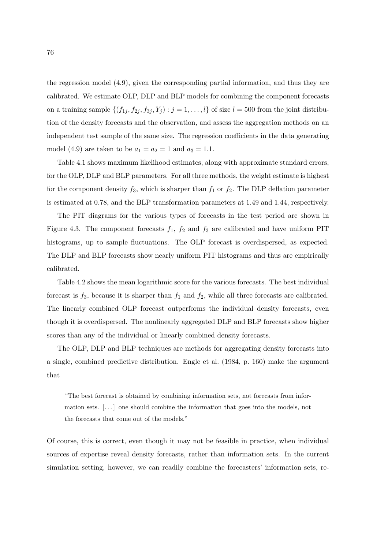the regression model (4.9), given the corresponding partial information, and thus they are calibrated. We estimate OLP, DLP and BLP models for combining the component forecasts on a training sample  $\{(f_{1j}, f_{2j}, f_{3j}, Y_j) : j = 1, \ldots, l\}$  of size  $l = 500$  from the joint distribution of the density forecasts and the observation, and assess the aggregation methods on an independent test sample of the same size. The regression coefficients in the data generating model (4.9) are taken to be  $a_1 = a_2 = 1$  and  $a_3 = 1.1$ .

Table 4.1 shows maximum likelihood estimates, along with approximate standard errors, for the OLP, DLP and BLP parameters. For all three methods, the weight estimate is highest for the component density  $f_3$ , which is sharper than  $f_1$  or  $f_2$ . The DLP deflation parameter is estimated at 0.78, and the BLP transformation parameters at 1.49 and 1.44, respectively.

The PIT diagrams for the various types of forecasts in the test period are shown in Figure 4.3. The component forecasts  $f_1$ ,  $f_2$  and  $f_3$  are calibrated and have uniform PIT histograms, up to sample fluctuations. The OLP forecast is overdispersed, as expected. The DLP and BLP forecasts show nearly uniform PIT histograms and thus are empirically calibrated.

Table 4.2 shows the mean logarithmic score for the various forecasts. The best individual forecast is  $f_3$ , because it is sharper than  $f_1$  and  $f_2$ , while all three forecasts are calibrated. The linearly combined OLP forecast outperforms the individual density forecasts, even though it is overdispersed. The nonlinearly aggregated DLP and BLP forecasts show higher scores than any of the individual or linearly combined density forecasts.

The OLP, DLP and BLP techniques are methods for aggregating density forecasts into a single, combined predictive distribution. Engle et al. (1984, p. 160) make the argument that

"The best forecast is obtained by combining information sets, not forecasts from information sets. [. . . ] one should combine the information that goes into the models, not the forecasts that come out of the models."

Of course, this is correct, even though it may not be feasible in practice, when individual sources of expertise reveal density forecasts, rather than information sets. In the current simulation setting, however, we can readily combine the forecasters' information sets, re-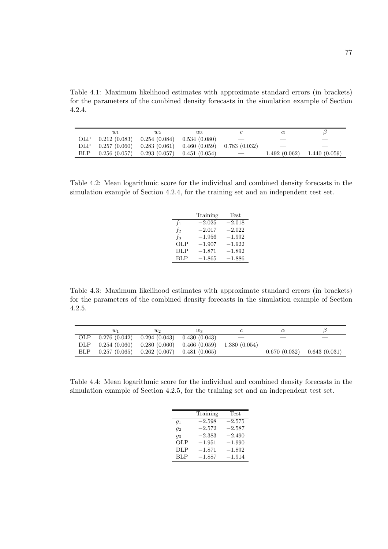Table 4.1: Maximum likelihood estimates with approximate standard errors (in brackets) for the parameters of the combined density forecasts in the simulation example of Section 4.2.4.

|      | $w_1$        | W2.                                          | $w_3$        |                          |                               |
|------|--------------|----------------------------------------------|--------------|--------------------------|-------------------------------|
| OLP. | 0.212(0.083) | 0.254(0.084)                                 | 0.534(0.080) |                          |                               |
| DLP. |              | $0.257(0.060)$ $0.283(0.061)$ $0.460(0.059)$ |              | 0.783(0.032)             |                               |
| BLP. |              | $0.256(0.057)$ $0.293(0.057)$ $0.451(0.054)$ |              | $\overline{\phantom{a}}$ | $1.492(0.062)$ $1.440(0.059)$ |

Table 4.2: Mean logarithmic score for the individual and combined density forecasts in the simulation example of Section 4.2.4, for the training set and an independent test set.

|                | Training | Test     |
|----------------|----------|----------|
| $f_1$          | $-2.025$ | $-2.018$ |
| f <sub>2</sub> | $-2.017$ | $-2.022$ |
| $f_3$          | $-1.956$ | $-1.992$ |
| <b>OLP</b>     | $-1.907$ | $-1.922$ |
| DLP            | $-1.871$ | $-1.892$ |
| <b>BLP</b>     | $-1.865$ | $-1.886$ |
|                |          |          |

Table 4.3: Maximum likelihood estimates with approximate standard errors (in brackets) for the parameters of the combined density forecasts in the simulation example of Section 4.2.5.

|              | $w_1$        | W2.                           | $w_3$        |                 |              |              |
|--------------|--------------|-------------------------------|--------------|-----------------|--------------|--------------|
| <b>OLP</b>   | 0.276(0.042) | 0.294(0.043)                  | 0.430(0.043) |                 |              |              |
| $_{\rm DLP}$ |              | $0.254(0.060)$ $0.280(0.060)$ | 0.466(0.059) | 1.380(0.054)    |              |              |
| BLP          | 0.257(0.065) | 0.262(0.067)                  | 0.481(0.065) | $\qquad \qquad$ | 0.670(0.032) | 0.643(0.031) |

Table 4.4: Mean logarithmic score for the individual and combined density forecasts in the simulation example of Section 4.2.5, for the training set and an independent test set.

|            | Training | Test     |
|------------|----------|----------|
| $g_1$      | $-2.598$ | $-2.575$ |
| $q_2$      | $-2.572$ | $-2.587$ |
| 93         | $-2.383$ | $-2.490$ |
| OLP        | $-1.951$ | $-1.990$ |
| <b>DLP</b> | $-1.871$ | $-1.892$ |
| <b>BLP</b> | $-1.887$ | $-1.914$ |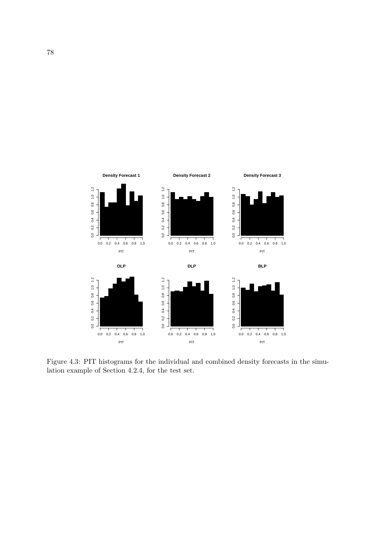

Figure 4.3: PIT histograms for the individual and combined density forecasts in the simulation example of Section 4.2.4, for the test set.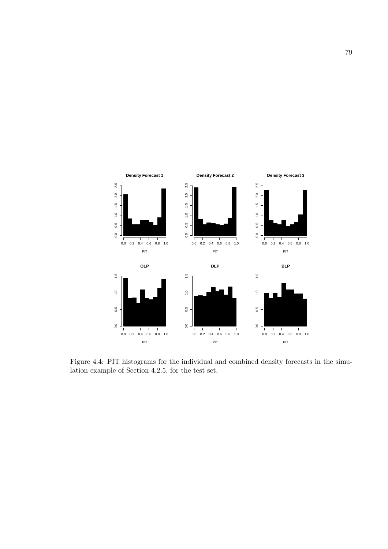

Figure 4.4: PIT histograms for the individual and combined density forecasts in the simulation example of Section 4.2.5, for the test set.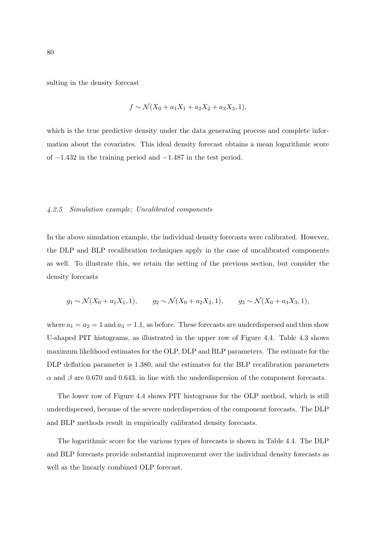sulting in the density forecast

$$
f \sim \mathcal{N}(X_0 + a_1 X_1 + a_2 X_2 + a_3 X_3, 1),
$$

which is the true predictive density under the data generating process and complete information about the covariates. This ideal density forecast obtains a mean logarithmic score of −1.432 in the training period and −1.487 in the test period.

# 4.2.5 Simulation example: Uncalibrated components

In the above simulation example, the individual density forecasts were calibrated. However, the DLP and BLP recalibration techniques apply in the case of uncalibrated components as well. To illustrate this, we retain the setting of the previous section, but consider the density forecasts

$$
g_1 \sim \mathcal{N}(X_0 + a_1 X_1, 1),
$$
  $g_2 \sim \mathcal{N}(X_0 + a_2 X_2, 1),$   $g_3 \sim \mathcal{N}(X_0 + a_3 X_3, 1),$ 

where  $a_1 = a_2 = 1$  and  $a_3 = 1.1$ , as before. These forecasts are underdispersed and thus show U-shaped PIT histograms, as illustrated in the upper row of Figure 4.4. Table 4.3 shows maximum likelihood estimates for the OLP, DLP and BLP parameters. The estimate for the DLP deflation parameter is 1.380, and the estimates for the BLP recalibration parameters  $\alpha$  and  $\beta$  are 0.670 and 0.643, in line with the underdispersion of the component forecasts.

The lower row of Figure 4.4 shows PIT histograms for the OLP method, which is still underdispersed, because of the severe underdispersion of the component forecasts. The DLP and BLP methods result in empirically calibrated density forecasts.

The logarithmic score for the various types of forecasts is shown in Table 4.4. The DLP and BLP forecasts provide substantial improvement over the individual density forecasts as well as the linearly combined OLP forecast.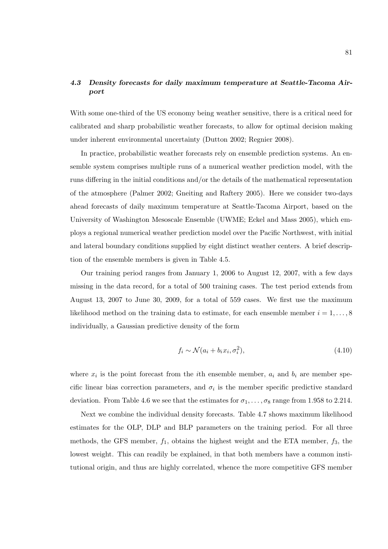# 4.3 Density forecasts for daily maximum temperature at Seattle-Tacoma Airport

With some one-third of the US economy being weather sensitive, there is a critical need for calibrated and sharp probabilistic weather forecasts, to allow for optimal decision making under inherent environmental uncertainty (Dutton 2002; Regnier 2008).

In practice, probabilistic weather forecasts rely on ensemble prediction systems. An ensemble system comprises multiple runs of a numerical weather prediction model, with the runs differing in the initial conditions and/or the details of the mathematical representation of the atmosphere (Palmer 2002; Gneiting and Raftery 2005). Here we consider two-days ahead forecasts of daily maximum temperature at Seattle-Tacoma Airport, based on the University of Washington Mesoscale Ensemble (UWME; Eckel and Mass 2005), which employs a regional numerical weather prediction model over the Pacific Northwest, with initial and lateral boundary conditions supplied by eight distinct weather centers. A brief description of the ensemble members is given in Table 4.5.

Our training period ranges from January 1, 2006 to August 12, 2007, with a few days missing in the data record, for a total of 500 training cases. The test period extends from August 13, 2007 to June 30, 2009, for a total of 559 cases. We first use the maximum likelihood method on the training data to estimate, for each ensemble member  $i = 1, \ldots, 8$ individually, a Gaussian predictive density of the form

$$
f_i \sim \mathcal{N}(a_i + b_i x_i, \sigma_i^2),\tag{4.10}
$$

where  $x_i$  is the point forecast from the *i*th ensemble member,  $a_i$  and  $b_i$  are member specific linear bias correction parameters, and  $\sigma_i$  is the member specific predictive standard deviation. From Table 4.6 we see that the estimates for  $\sigma_1, \ldots, \sigma_8$  range from 1.958 to 2.214.

Next we combine the individual density forecasts. Table 4.7 shows maximum likelihood estimates for the OLP, DLP and BLP parameters on the training period. For all three methods, the GFS member,  $f_1$ , obtains the highest weight and the ETA member,  $f_3$ , the lowest weight. This can readily be explained, in that both members have a common institutional origin, and thus are highly correlated, whence the more competitive GFS member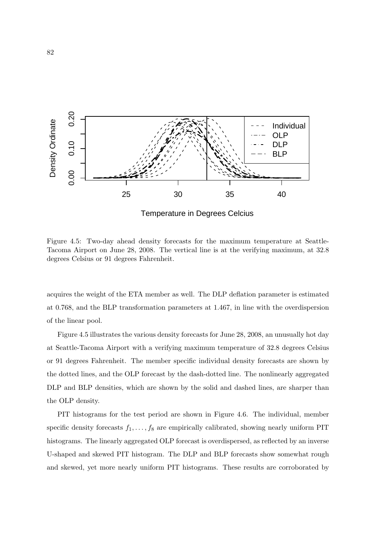

Figure 4.5: Two-day ahead density forecasts for the maximum temperature at Seattle-Tacoma Airport on June 28, 2008. The vertical line is at the verifying maximum, at 32.8 degrees Celsius or 91 degrees Fahrenheit.

acquires the weight of the ETA member as well. The DLP deflation parameter is estimated at 0.768, and the BLP transformation parameters at 1.467, in line with the overdispersion of the linear pool.

Figure 4.5 illustrates the various density forecasts for June 28, 2008, an unusually hot day at Seattle-Tacoma Airport with a verifying maximum temperature of 32.8 degrees Celsius or 91 degrees Fahrenheit. The member specific individual density forecasts are shown by the dotted lines, and the OLP forecast by the dash-dotted line. The nonlinearly aggregated DLP and BLP densities, which are shown by the solid and dashed lines, are sharper than the OLP density.

PIT histograms for the test period are shown in Figure 4.6. The individual, member specific density forecasts  $f_1, \ldots, f_8$  are empirically calibrated, showing nearly uniform PIT histograms. The linearly aggregated OLP forecast is overdispersed, as reflected by an inverse U-shaped and skewed PIT histogram. The DLP and BLP forecasts show somewhat rough and skewed, yet more nearly uniform PIT histograms. These results are corroborated by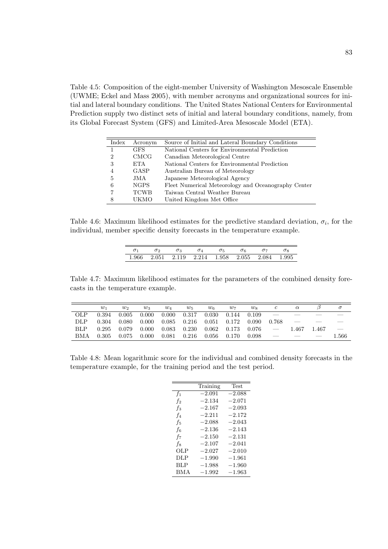Table 4.5: Composition of the eight-member University of Washington Mesoscale Ensemble (UWME; Eckel and Mass 2005), with member acronyms and organizational sources for initial and lateral boundary conditions. The United States National Centers for Environmental Prediction supply two distinct sets of initial and lateral boundary conditions, namely, from its Global Forecast System (GFS) and Limited-Area Mesoscale Model (ETA).

| Index | Acronym     | Source of Initial and Lateral Boundary Conditions   |
|-------|-------------|-----------------------------------------------------|
|       | <b>GFS</b>  | National Centers for Environmental Prediction       |
| 2     | <b>CMCG</b> | Canadian Meteorological Centre                      |
| 3     | ETA.        | National Centers for Environmental Prediction       |
|       | <b>GASP</b> | Australian Bureau of Meteorology                    |
| 5     | JMA.        | Japanese Meteorological Agency                      |
| 6     | <b>NGPS</b> | Fleet Numerical Meteorology and Oceanography Center |
|       | <b>TCWB</b> | Taiwan Central Weather Bureau                       |
| 8     | UKMO        | United Kingdom Met Office                           |

Table 4.6: Maximum likelihood estimates for the predictive standard deviation,  $\sigma_i$ , for the individual, member specific density forecasts in the temperature example.

| $\sigma$ <sup>2</sup> | $\sigma_3$                                      | $\sigma_4$ | $\sigma_5$ | $\sigma_6$ |  |
|-----------------------|-------------------------------------------------|------------|------------|------------|--|
|                       | 1.966 2.051 2.119 2.214 1.958 2.055 2.084 1.995 |            |            |            |  |

Table 4.7: Maximum likelihood estimates for the parameters of the combined density forecasts in the temperature example.

|     | $w_1$ | $w_2$ | $w_3$ | $w_4$ | $w_5$ | $w_6$ | $w_7$       | $w_8$   |                          | $\alpha$ |       | $\sigma$                 |
|-----|-------|-------|-------|-------|-------|-------|-------------|---------|--------------------------|----------|-------|--------------------------|
| OLP | 0.394 | 0.005 | 0.000 | 0.000 | 0.317 | 0.030 | 0.144 0.109 |         |                          |          |       |                          |
| DLP | 0.304 | 0.080 | 0.000 | 0.085 | 0.216 | 0.051 | 0.172       | -0.090- | 0.768                    |          |       |                          |
| BLP | 0.295 | 0.079 | 0.000 | 0.083 | 0.230 | 0.062 | 0.173       | 0.076   | $\overline{\phantom{a}}$ | 1.467    | 1.467 | $\overline{\phantom{m}}$ |
| BMA | 0.305 | 0.075 | 0.000 | 0.081 | 0.216 | 0.056 | 0.170       | 0.098   |                          |          |       | 1.566                    |

Table 4.8: Mean logarithmic score for the individual and combined density forecasts in the temperature example, for the training period and the test period.

|            | Training | <b>Test</b> |
|------------|----------|-------------|
| $f_1$      | $-2.091$ | $-2.088$    |
| $f_2$      | $-2.134$ | $-2.071$    |
| $f_3$      | $-2.167$ | $-2.093$    |
| $f_4$      | $-2.211$ | $-2.172$    |
| f5         | $-2.088$ | $-2.043$    |
| f6         | $-2.136$ | $-2.143$    |
| $f_7$      | $-2.150$ | $-2.131$    |
| f8         | $-2.107$ | $-2.041$    |
| OLP        | $-2.027$ | $-2.010$    |
| DLP        | $-1.990$ | $-1.961$    |
| <b>BLP</b> | $-1.988$ | $-1.960$    |
| <b>BMA</b> | $-1.992$ | $-1.963$    |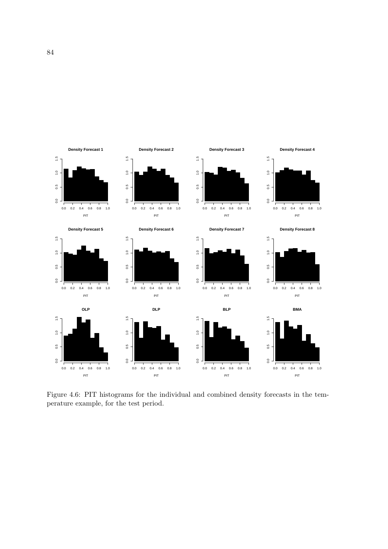

Figure 4.6: PIT histograms for the individual and combined density forecasts in the temperature example, for the test period.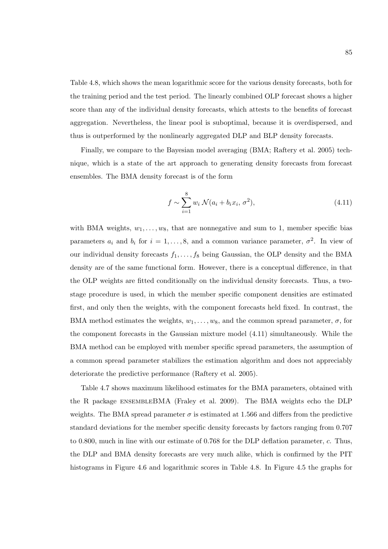Table 4.8, which shows the mean logarithmic score for the various density forecasts, both for the training period and the test period. The linearly combined OLP forecast shows a higher score than any of the individual density forecasts, which attests to the benefits of forecast aggregation. Nevertheless, the linear pool is suboptimal, because it is overdispersed, and thus is outperformed by the nonlinearly aggregated DLP and BLP density forecasts.

Finally, we compare to the Bayesian model averaging (BMA; Raftery et al. 2005) technique, which is a state of the art approach to generating density forecasts from forecast ensembles. The BMA density forecast is of the form

$$
f \sim \sum_{i=1}^{8} w_i \mathcal{N}(a_i + b_i x_i, \sigma^2),
$$
 (4.11)

with BMA weights,  $w_1, \ldots, w_8$ , that are nonnegative and sum to 1, member specific bias parameters  $a_i$  and  $b_i$  for  $i = 1, ..., 8$ , and a common variance parameter,  $\sigma^2$ . In view of our individual density forecasts  $f_1, \ldots, f_8$  being Gaussian, the OLP density and the BMA density are of the same functional form. However, there is a conceptual difference, in that the OLP weights are fitted conditionally on the individual density forecasts. Thus, a twostage procedure is used, in which the member specific component densities are estimated first, and only then the weights, with the component forecasts held fixed. In contrast, the BMA method estimates the weights,  $w_1, \ldots, w_8$ , and the common spread parameter,  $\sigma$ , for the component forecasts in the Gaussian mixture model (4.11) simultaneously. While the BMA method can be employed with member specific spread parameters, the assumption of a common spread parameter stabilizes the estimation algorithm and does not appreciably deteriorate the predictive performance (Raftery et al. 2005).

Table 4.7 shows maximum likelihood estimates for the BMA parameters, obtained with the R package ensembleBMA (Fraley et al. 2009). The BMA weights echo the DLP weights. The BMA spread parameter  $\sigma$  is estimated at 1.566 and differs from the predictive standard deviations for the member specific density forecasts by factors ranging from 0.707 to 0.800, much in line with our estimate of 0.768 for the DLP deflation parameter, c. Thus, the DLP and BMA density forecasts are very much alike, which is confirmed by the PIT histograms in Figure 4.6 and logarithmic scores in Table 4.8. In Figure 4.5 the graphs for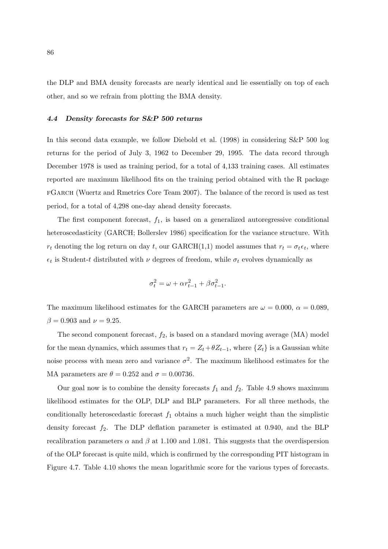the DLP and BMA density forecasts are nearly identical and lie essentially on top of each other, and so we refrain from plotting the BMA density.

# 4.4 Density forecasts for S&P 500 returns

In this second data example, we follow Diebold et al. (1998) in considering S&P 500 log returns for the period of July 3, 1962 to December 29, 1995. The data record through December 1978 is used as training period, for a total of 4,133 training cases. All estimates reported are maximum likelihood fits on the training period obtained with the R package fGarch (Wuertz and Rmetrics Core Team 2007). The balance of the record is used as test period, for a total of 4,298 one-day ahead density forecasts.

The first component forecast,  $f_1$ , is based on a generalized autoregressive conditional heteroscedasticity (GARCH; Bollerslev 1986) specification for the variance structure. With  $r_t$  denoting the log return on day t, our GARCH(1,1) model assumes that  $r_t = \sigma_t \epsilon_t$ , where  $\epsilon_t$  is Student-t distributed with  $\nu$  degrees of freedom, while  $\sigma_t$  evolves dynamically as

$$
\sigma_t^2 = \omega + \alpha r_{t-1}^2 + \beta \sigma_{t-1}^2.
$$

The maximum likelihood estimates for the GARCH parameters are  $\omega = 0.000$ ,  $\alpha = 0.089$ ,  $\beta = 0.903$  and  $\nu = 9.25$ .

The second component forecast,  $f_2$ , is based on a standard moving average (MA) model for the mean dynamics, which assumes that  $r_t = Z_t + \theta Z_{t-1}$ , where  $\{Z_t\}$  is a Gaussian white noise process with mean zero and variance  $\sigma^2$ . The maximum likelihood estimates for the MA parameters are  $\theta = 0.252$  and  $\sigma = 0.00736$ .

Our goal now is to combine the density forecasts  $f_1$  and  $f_2$ . Table 4.9 shows maximum likelihood estimates for the OLP, DLP and BLP parameters. For all three methods, the conditionally heteroscedastic forecast  $f_1$  obtains a much higher weight than the simplistic density forecast  $f_2$ . The DLP deflation parameter is estimated at 0.940, and the BLP recalibration parameters  $\alpha$  and  $\beta$  at 1.100 and 1.081. This suggests that the overdispersion of the OLP forecast is quite mild, which is confirmed by the corresponding PIT histogram in Figure 4.7. Table 4.10 shows the mean logarithmic score for the various types of forecasts.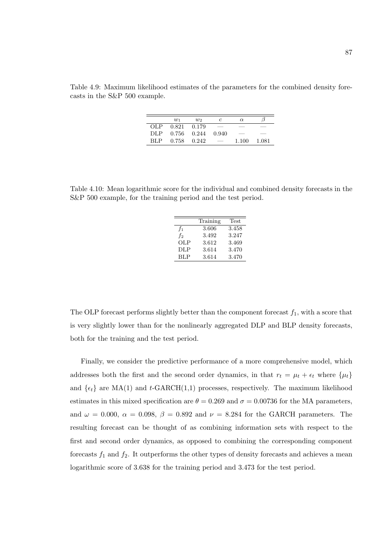Table 4.9: Maximum likelihood estimates of the parameters for the combined density forecasts in the S&P 500 example.

|      | $w_1$ | w               | с     | $\alpha$ |       |
|------|-------|-----------------|-------|----------|-------|
| OLP. | 0.821 | 0.179           |       |          |       |
| DLP. |       | $0.756$ $0.244$ | 0.940 | ___      | __    |
| RLP  | 0.758 | 0.242           |       | 1.100    | 1.081 |

Table 4.10: Mean logarithmic score for the individual and combined density forecasts in the S&P 500 example, for the training period and the test period.

|                | Training | Test  |
|----------------|----------|-------|
| $f_1$          | 3.606    | 3.458 |
| f <sub>2</sub> | 3.492    | 3.247 |
| OLP            | 3.612    | 3.469 |
| <b>DLP</b>     | 3.614    | 3.470 |
| <b>BLP</b>     | 3.614    | 3.470 |

The OLP forecast performs slightly better than the component forecast  $f_1$ , with a score that is very slightly lower than for the nonlinearly aggregated DLP and BLP density forecasts, both for the training and the test period.

Finally, we consider the predictive performance of a more comprehensive model, which addresses both the first and the second order dynamics, in that  $r_t = \mu_t + \epsilon_t$  where  $\{\mu_t\}$ and  $\{\epsilon_t\}$  are MA(1) and t-GARCH(1,1) processes, respectively. The maximum likelihood estimates in this mixed specification are  $\theta = 0.269$  and  $\sigma = 0.00736$  for the MA parameters, and  $\omega = 0.000, \ \alpha = 0.098, \ \beta = 0.892$  and  $\nu = 8.284$  for the GARCH parameters. The resulting forecast can be thought of as combining information sets with respect to the first and second order dynamics, as opposed to combining the corresponding component forecasts  $f_1$  and  $f_2$ . It outperforms the other types of density forecasts and achieves a mean logarithmic score of 3.638 for the training period and 3.473 for the test period.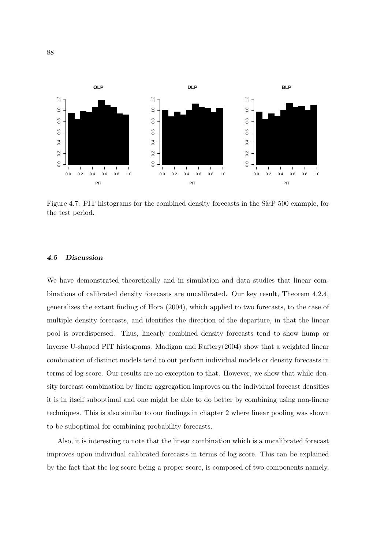

Figure 4.7: PIT histograms for the combined density forecasts in the S&P 500 example, for the test period.

#### 4.5 Discussion

We have demonstrated theoretically and in simulation and data studies that linear combinations of calibrated density forecasts are uncalibrated. Our key result, Theorem 4.2.4, generalizes the extant finding of Hora (2004), which applied to two forecasts, to the case of multiple density forecasts, and identifies the direction of the departure, in that the linear pool is overdispersed. Thus, linearly combined density forecasts tend to show hump or inverse U-shaped PIT histograms. Madigan and Raftery(2004) show that a weighted linear combination of distinct models tend to out perform individual models or density forecasts in terms of log score. Our results are no exception to that. However, we show that while density forecast combination by linear aggregation improves on the individual forecast densities it is in itself suboptimal and one might be able to do better by combining using non-linear techniques. This is also similar to our findings in chapter 2 where linear pooling was shown to be suboptimal for combining probability forecasts.

Also, it is interesting to note that the linear combination which is a uncalibrated forecast improves upon individual calibrated forecasts in terms of log score. This can be explained by the fact that the log score being a proper score, is composed of two components namely,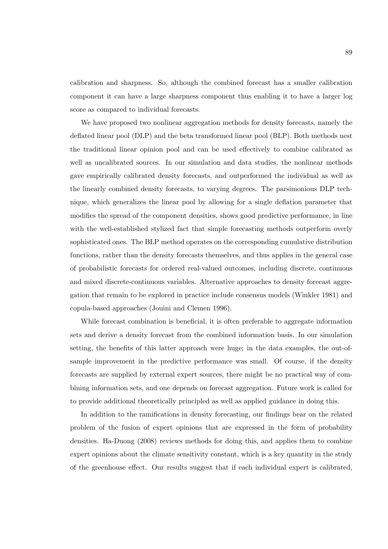calibration and sharpness. So, although the combined forecast has a smaller calibration component it can have a large sharpness component thus enabling it to have a larger log score as compared to individual forecasts.

We have proposed two nonlinear aggregation methods for density forecasts, namely the deflated linear pool (DLP) and the beta transformed linear pool (BLP). Both methods nest the traditional linear opinion pool and can be used effectively to combine calibrated as well as uncalibrated sources. In our simulation and data studies, the nonlinear methods gave empirically calibrated density forecasts, and outperformed the individual as well as the linearly combined density forecasts, to varying degrees. The parsimonious DLP technique, which generalizes the linear pool by allowing for a single deflation parameter that modifies the spread of the component densities, shows good predictive performance, in line with the well-established stylized fact that simple forecasting methods outperform overly sophisticated ones. The BLP method operates on the corresponding cumulative distribution functions, rather than the density forecasts themselves, and thus applies in the general case of probabilistic forecasts for ordered real-valued outcomes, including discrete, continuous and mixed discrete-continuous variables. Alternative approaches to density forecast aggregation that remain to be explored in practice include consensus models (Winkler 1981) and copula-based approaches (Jouini and Clemen 1996).

While forecast combination is beneficial, it is often preferable to aggregate information sets and derive a density forecast from the combined information basis. In our simulation setting, the benefits of this latter approach were huge; in the data examples, the out-ofsample improvement in the predictive performance was small. Of course, if the density forecasts are supplied by external expert sources, there might be no practical way of combining information sets, and one depends on forecast aggregation. Future work is called for to provide additional theoretically principled as well as applied guidance in doing this.

In addition to the ramifications in density forecasting, our findings bear on the related problem of the fusion of expert opinions that are expressed in the form of probability densities. Ha-Duong (2008) reviews methods for doing this, and applies them to combine expert opinions about the climate sensitivity constant, which is a key quantity in the study of the greenhouse effect. Our results suggest that if each individual expert is calibrated,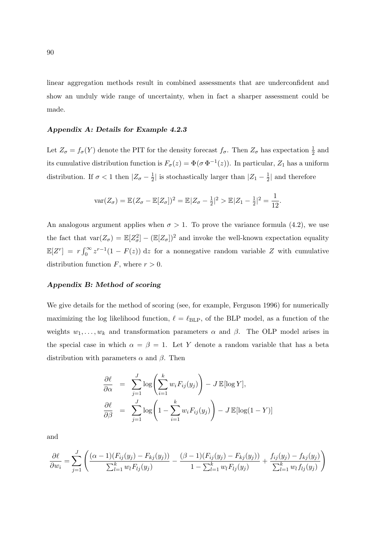linear aggregation methods result in combined assessments that are underconfident and show an unduly wide range of uncertainty, when in fact a sharper assessment could be made.

#### Appendix A: Details for Example 4.2.3

Let  $Z_{\sigma} = f_{\sigma}(Y)$  denote the PIT for the density forecast  $f_{\sigma}$ . Then  $Z_{\sigma}$  has expectation  $\frac{1}{2}$  and its cumulative distribution function is  $F_{\sigma}(z) = \Phi(\sigma \Phi^{-1}(z))$ . In particular,  $Z_1$  has a uniform distribution. If  $\sigma < 1$  then  $|Z_{\sigma} - \frac{1}{2}|$  $\frac{1}{2}$  is stochastically larger than  $|Z_1 - \frac{1}{2}|$  $\frac{1}{2}$  and therefore

$$
\text{var}(Z_{\sigma}) = \mathbb{E}(Z_{\sigma} - \mathbb{E}[Z_{\sigma}])^2 = \mathbb{E}|Z_{\sigma} - \frac{1}{2}|^2 > \mathbb{E}|Z_1 - \frac{1}{2}|^2 = \frac{1}{12}.
$$

An analogous argument applies when  $\sigma > 1$ . To prove the variance formula (4.2), we use the fact that  $\text{var}(Z_{\sigma}) = \mathbb{E}[Z_{\sigma}^2] - (\mathbb{E}[Z_{\sigma}])^2$  and invoke the well-known expectation equality  $\mathbb{E}[Z^r] = r \int_0^\infty$  $\int_0^\infty z^{r-1}(1 - F(z)) dz$  for a nonnegative random variable Z with cumulative distribution function  $F$ , where  $r > 0$ .

### Appendix B: Method of scoring

We give details for the method of scoring (see, for example, Ferguson 1996) for numerically maximizing the log likelihood function,  $\ell = \ell_{BLP}$ , of the BLP model, as a function of the weights  $w_1, \ldots, w_k$  and transformation parameters  $\alpha$  and  $\beta$ . The OLP model arises in the special case in which  $\alpha = \beta = 1$ . Let Y denote a random variable that has a beta distribution with parameters  $\alpha$  and  $\beta$ . Then

$$
\frac{\partial \ell}{\partial \alpha} = \sum_{j=1}^{J} \log \left( \sum_{i=1}^{k} w_i F_{ij}(y_j) \right) - J \mathbb{E}[\log Y],
$$

$$
\frac{\partial \ell}{\partial \beta} = \sum_{j=1}^{J} \log \left( 1 - \sum_{i=1}^{k} w_i F_{ij}(y_j) \right) - J \mathbb{E}[\log(1 - Y)]
$$

and

$$
\frac{\partial \ell}{\partial w_i} = \sum_{j=1}^J \left( \frac{(\alpha - 1)(F_{ij}(y_j) - F_{kj}(y_j))}{\sum_{l=1}^k w_l F_{lj}(y_j)} - \frac{(\beta - 1)(F_{ij}(y_j) - F_{kj}(y_j))}{1 - \sum_{l=1}^k w_l F_{lj}(y_j)} + \frac{f_{ij}(y_j) - f_{kj}(y_j)}{\sum_{l=1}^k w_l f_{lj}(y_j)} \right)
$$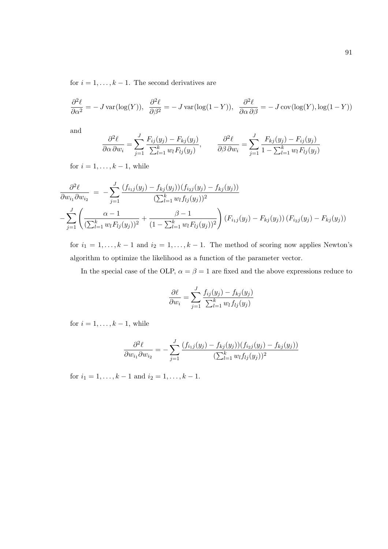for  $i = 1, \ldots, k - 1$ . The second derivatives are

$$
\frac{\partial^2 \ell}{\partial \alpha^2} = -J \operatorname{var}(\log(Y)), \quad \frac{\partial^2 \ell}{\partial \beta^2} = -J \operatorname{var}(\log(1-Y)), \quad \frac{\partial^2 \ell}{\partial \alpha \partial \beta} = -J \operatorname{cov}(\log(Y), \log(1-Y))
$$

and

$$
\frac{\partial^2 \ell}{\partial \alpha \partial w_i} = \sum_{j=1}^J \frac{F_{ij}(y_j) - F_{kj}(y_j)}{\sum_{l=1}^k w_l F_{lj}(y_j)}, \qquad \frac{\partial^2 \ell}{\partial \beta \partial w_i} = \sum_{j=1}^J \frac{F_{kj}(y_j) - F_{ij}(y_j)}{1 - \sum_{l=1}^k w_l F_{lj}(y_j)}
$$

for  $i = 1, \ldots, k - 1$ , while

$$
\frac{\partial^2 \ell}{\partial w_{i_1} \partial w_{i_2}} = -\sum_{j=1}^J \frac{(f_{i_1j}(y_j) - f_{kj}(y_j))(f_{i_2j}(y_j) - f_{kj}(y_j))}{(\sum_{l=1}^k w_l f_{lj}(y_j))^2} \n- \sum_{j=1}^J \left( \frac{\alpha - 1}{(\sum_{l=1}^k w_l F_{lj}(y_j))^2} + \frac{\beta - 1}{(1 - \sum_{l=1}^k w_l F_{lj}(y_j))^2} \right) (F_{i_1j}(y_j) - F_{kj}(y_j)) (F_{i_2j}(y_j) - F_{kj}(y_j))
$$

for  $i_1 = 1, \ldots, k - 1$  and  $i_2 = 1, \ldots, k - 1$ . The method of scoring now applies Newton's algorithm to optimize the likelihood as a function of the parameter vector.

In the special case of the OLP,  $\alpha = \beta = 1$  are fixed and the above expressions reduce to

$$
\frac{\partial \ell}{\partial w_i} = \sum_{j=1}^J \frac{f_{ij}(y_j) - f_{kj}(y_j)}{\sum_{l=1}^k w_l f_{lj}(y_j)}
$$

for  $i = 1, \ldots, k - 1$ , while

$$
\frac{\partial^2 \ell}{\partial w_{i_1} \partial w_{i_2}} = -\sum_{j=1}^J \frac{(f_{i_1j}(y_j) - f_{kj}(y_j))(f_{i_2j}(y_j) - f_{kj}(y_j))}{(\sum_{l=1}^k w_l f_{lj}(y_j))^2}
$$

for  $i_1 = 1, \ldots, k - 1$  and  $i_2 = 1, \ldots, k - 1$ .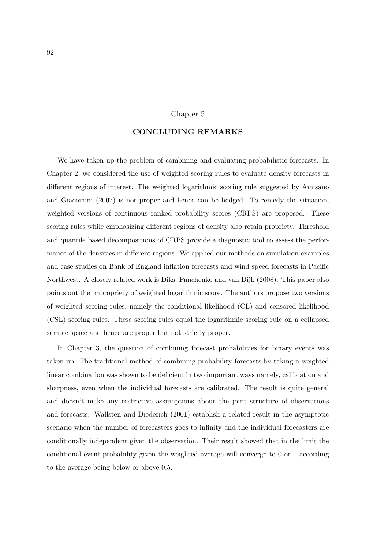#### Chapter 5

## CONCLUDING REMARKS

We have taken up the problem of combining and evaluating probabilistic forecasts. In Chapter 2, we considered the use of weighted scoring rules to evaluate density forecasts in different regions of interest. The weighted logarithmic scoring rule suggested by Amisano and Giacomini (2007) is not proper and hence can be hedged. To remedy the situation, weighted versions of continuous ranked probability scores (CRPS) are proposed. These scoring rules while emphasizing different regions of density also retain propriety. Threshold and quantile based decompositions of CRPS provide a diagnostic tool to assess the performance of the densities in different regions. We applied our methods on simulation examples and case studies on Bank of England inflation forecasts and wind speed forecasts in Pacific Northwest. A closely related work is Diks, Panchenko and van Dijk (2008). This paper also points out the impropriety of weighted logarithmic score. The authors propose two versions of weighted scoring rules, namely the conditional likelihood (CL) and censored likelihood (CSL) scoring rules. These scoring rules equal the logarithmic scoring rule on a collapsed sample space and hence are proper but not strictly proper.

In Chapter 3, the question of combining forecast probabilities for binary events was taken up. The traditional method of combining probability forecasts by taking a weighted linear combination was shown to be deficient in two important ways namely, calibration and sharpness, even when the individual forecasts are calibrated. The result is quite general and doesn't make any restrictive assumptions about the joint structure of observations and forecasts. Wallsten and Diederich (2001) establish a related result in the asymptotic scenario when the number of forecasters goes to infinity and the individual forecasters are conditionally independent given the observation. Their result showed that in the limit the conditional event probability given the weighted average will converge to 0 or 1 according to the average being below or above 0.5.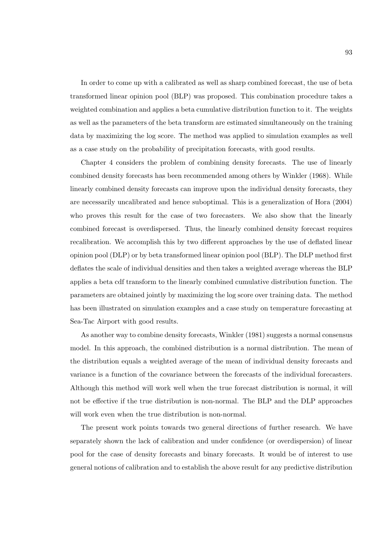In order to come up with a calibrated as well as sharp combined forecast, the use of beta transformed linear opinion pool (BLP) was proposed. This combination procedure takes a weighted combination and applies a beta cumulative distribution function to it. The weights as well as the parameters of the beta transform are estimated simultaneously on the training data by maximizing the log score. The method was applied to simulation examples as well as a case study on the probability of precipitation forecasts, with good results.

Chapter 4 considers the problem of combining density forecasts. The use of linearly combined density forecasts has been recommended among others by Winkler (1968). While linearly combined density forecasts can improve upon the individual density forecasts, they are necessarily uncalibrated and hence suboptimal. This is a generalization of Hora (2004) who proves this result for the case of two forecasters. We also show that the linearly combined forecast is overdispersed. Thus, the linearly combined density forecast requires recalibration. We accomplish this by two different approaches by the use of deflated linear opinion pool (DLP) or by beta transformed linear opinion pool (BLP). The DLP method first deflates the scale of individual densities and then takes a weighted average whereas the BLP applies a beta cdf transform to the linearly combined cumulative distribution function. The parameters are obtained jointly by maximizing the log score over training data. The method has been illustrated on simulation examples and a case study on temperature forecasting at Sea-Tac Airport with good results.

As another way to combine density forecasts, Winkler (1981) suggests a normal consensus model. In this approach, the combined distribution is a normal distribution. The mean of the distribution equals a weighted average of the mean of individual density forecasts and variance is a function of the covariance between the forecasts of the individual forecasters. Although this method will work well when the true forecast distribution is normal, it will not be effective if the true distribution is non-normal. The BLP and the DLP approaches will work even when the true distribution is non-normal.

The present work points towards two general directions of further research. We have separately shown the lack of calibration and under confidence (or overdispersion) of linear pool for the case of density forecasts and binary forecasts. It would be of interest to use general notions of calibration and to establish the above result for any predictive distribution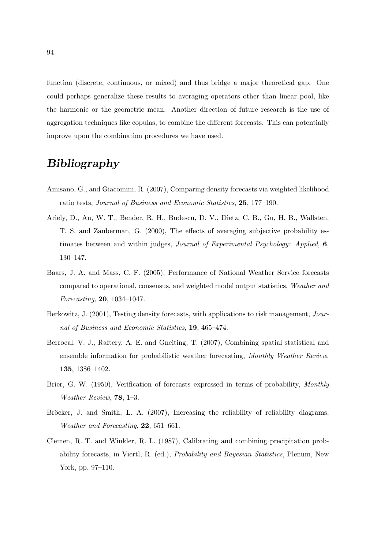function (discrete, continuous, or mixed) and thus bridge a major theoretical gap. One could perhaps generalize these results to averaging operators other than linear pool, like the harmonic or the geometric mean. Another direction of future research is the use of aggregation techniques like copulas, to combine the different forecasts. This can potentially improve upon the combination procedures we have used.

# Bibliography

- Amisano, G., and Giacomini, R. (2007), Comparing density forecasts via weighted likelihood ratio tests, Journal of Business and Economic Statistics, 25, 177–190.
- Ariely, D., Au, W. T., Bender, R. H., Budescu, D. V., Dietz, C. B., Gu, H. B., Wallsten, T. S. and Zauberman, G. (2000), The effects of averaging subjective probability estimates between and within judges, Journal of Experimental Psychology: Applied, 6, 130–147.
- Baars, J. A. and Mass, C. F. (2005), Performance of National Weather Service forecasts compared to operational, consensus, and weighted model output statistics, Weather and Forecasting, 20, 1034–1047.
- Berkowitz, J. (2001), Testing density forecasts, with applications to risk management, Journal of Business and Economic Statistics, 19, 465–474.
- Berrocal, V. J., Raftery, A. E. and Gneiting, T. (2007), Combining spatial statistical and ensemble information for probabilistic weather forecasting, Monthly Weather Review, 135, 1386–1402.
- Brier, G. W. (1950), Verification of forecasts expressed in terms of probability, Monthly Weather Review, 78, 1–3.
- Bröcker, J. and Smith, L. A. (2007), Increasing the reliability of reliability diagrams, Weather and Forecasting, 22, 651–661.
- Clemen, R. T. and Winkler, R. L. (1987), Calibrating and combining precipitation probability forecasts, in Viertl, R. (ed.), Probability and Bayesian Statistics, Plenum, New York, pp. 97–110.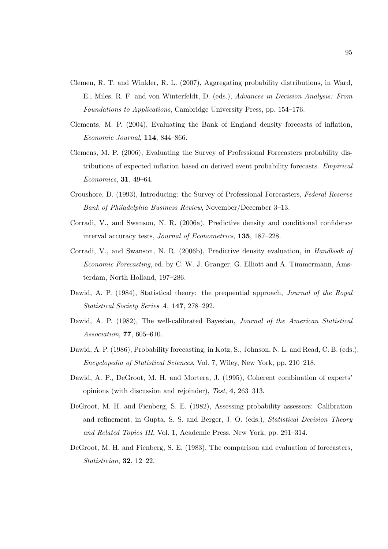- Clemen, R. T. and Winkler, R. L. (2007), Aggregating probability distributions, in Ward, E., Miles, R. F. and von Winterfeldt, D. (eds.), Advances in Decision Analysis: From Foundations to Applications, Cambridge University Press, pp. 154–176.
- Clements, M. P. (2004), Evaluating the Bank of England density forecasts of inflation, Economic Journal, 114, 844–866.
- Clemens, M. P. (2006), Evaluating the Survey of Professional Forecasters probability distributions of expected inflation based on derived event probability forecasts. Empirical Economics, 31, 49–64.
- Croushore, D. (1993), Introducing: the Survey of Professional Forecasters, Federal Reserve Bank of Philadelphia Business Review, November/December 3–13.
- Corradi, V., and Swanson, N. R. (2006a), Predictive density and conditional confidence interval accuracy tests, Journal of Econometrics, 135, 187–228.
- Corradi, V., and Swanson, N. R. (2006b), Predictive density evaluation, in Handbook of Economic Forecasting, ed. by C. W. J. Granger, G. Elliott and A. Timmermann, Amsterdam, North Holland, 197–286.
- Dawid, A. P. (1984), Statistical theory: the prequential approach, *Journal of the Royal* Statistical Society Series A, 147, 278–292.
- Dawid, A. P. (1982), The well-calibrated Bayesian, *Journal of the American Statistical* Association, 77, 605–610.
- Dawid, A. P. (1986), Probability forecasting, in Kotz, S., Johnson, N. L. and Read, C. B. (eds.), Encyclopedia of Statistical Sciences, Vol. 7, Wiley, New York, pp. 210–218.
- Dawid, A. P., DeGroot, M. H. and Mortera, J. (1995), Coherent combination of experts' opinions (with discussion and rejoinder), Test, 4, 263–313.
- DeGroot, M. H. and Fienberg, S. E. (1982), Assessing probability assessors: Calibration and refinement, in Gupta, S. S. and Berger, J. O. (eds.), Statistical Decision Theory and Related Topics III, Vol. 1, Academic Press, New York, pp. 291–314.
- DeGroot, M. H. and Fienberg, S. E. (1983), The comparison and evaluation of forecasters, Statistician, 32, 12–22.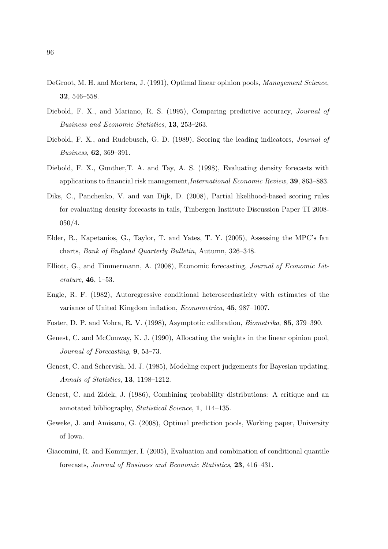- DeGroot, M. H. and Mortera, J. (1991), Optimal linear opinion pools, *Management Science*, 32, 546–558.
- Diebold, F. X., and Mariano, R. S. (1995), Comparing predictive accuracy, Journal of Business and Economic Statistics, 13, 253–263.
- Diebold, F. X., and Rudebusch, G. D. (1989), Scoring the leading indicators, *Journal of* Business, 62, 369–391.
- Diebold, F. X., Gunther,T. A. and Tay, A. S. (1998), Evaluating density forecasts with applications to financial risk management,International Economic Review, 39, 863–883.
- Diks, C., Panchenko, V. and van Dijk, D. (2008), Partial likelihood-based scoring rules for evaluating density forecasts in tails, Tinbergen Institute Discussion Paper TI 2008- 050/4.
- Elder, R., Kapetanios, G., Taylor, T. and Yates, T. Y. (2005), Assessing the MPC's fan charts, Bank of England Quarterly Bulletin, Autumn, 326–348.
- Elliott, G., and Timmermann, A. (2008), Economic forecasting, Journal of Economic Literature, 46, 1–53.
- Engle, R. F. (1982), Autoregressive conditional heteroscedasticity with estimates of the variance of United Kingdom inflation, Econometrica, 45, 987–1007.
- Foster, D. P. and Vohra, R. V. (1998), Asymptotic calibration, Biometrika, 85, 379–390.
- Genest, C. and McConway, K. J. (1990), Allocating the weights in the linear opinion pool, Journal of Forecasting, 9, 53–73.
- Genest, C. and Schervish, M. J. (1985), Modeling expert judgements for Bayesian updating, Annals of Statistics, 13, 1198–1212.
- Genest, C. and Zidek, J. (1986), Combining probability distributions: A critique and an annotated bibliography, Statistical Science, 1, 114–135.
- Geweke, J. and Amisano, G. (2008), Optimal prediction pools, Working paper, University of Iowa.
- Giacomini, R. and Komunjer, I. (2005), Evaluation and combination of conditional quantile forecasts, Journal of Business and Economic Statistics, 23, 416–431.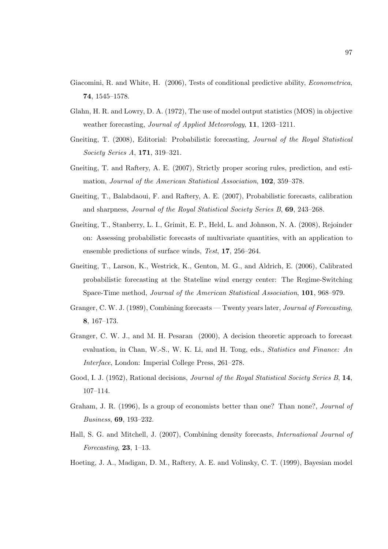- Giacomini, R. and White, H. (2006), Tests of conditional predictive ability, Econometrica, 74, 1545–1578.
- Glahn, H. R. and Lowry, D. A. (1972), The use of model output statistics (MOS) in objective weather forecasting, Journal of Applied Meteorology, 11, 1203–1211.
- Gneiting, T. (2008), Editorial: Probabilistic forecasting, Journal of the Royal Statistical Society Series A, 171, 319–321.
- Gneiting, T. and Raftery, A. E. (2007), Strictly proper scoring rules, prediction, and estimation, Journal of the American Statistical Association, 102, 359–378.
- Gneiting, T., Balabdaoui, F. and Raftery, A. E. (2007), Probabilistic forecasts, calibration and sharpness, Journal of the Royal Statistical Society Series B, 69, 243–268.
- Gneiting, T., Stanberry, L. I., Grimit, E. P., Held, L. and Johnson, N. A. (2008), Rejoinder on: Assessing probabilistic forecasts of multivariate quantities, with an application to ensemble predictions of surface winds, Test, 17, 256–264.
- Gneiting, T., Larson, K., Westrick, K., Genton, M. G., and Aldrich, E. (2006), Calibrated probabilistic forecasting at the Stateline wind energy center: The Regime-Switching Space-Time method, Journal of the American Statistical Association, 101, 968–979.
- Granger, C. W. J. (1989), Combining forecasts Twenty years later, Journal of Forecasting, 8, 167–173.
- Granger, C. W. J., and M. H. Pesaran (2000), A decision theoretic approach to forecast evaluation, in Chan, W.-S., W. K. Li, and H. Tong, eds., Statistics and Finance: An Interface, London: Imperial College Press, 261–278.
- Good, I. J. (1952), Rational decisions, *Journal of the Royal Statistical Society Series B*, 14, 107–114.
- Graham, J. R. (1996), Is a group of economists better than one? Than none?, Journal of Business, 69, 193–232.
- Hall, S. G. and Mitchell, J. (2007), Combining density forecasts, International Journal of Forecasting,  $23, 1-13$ .
- Hoeting, J. A., Madigan, D. M., Raftery, A. E. and Volinsky, C. T. (1999), Bayesian model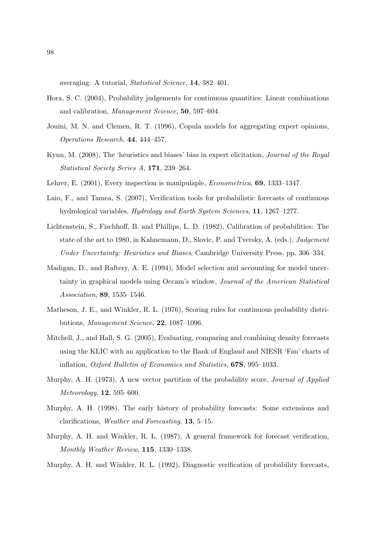averaging: A tutorial, Statistical Science, 14, 382–401.

- Hora, S. C. (2004), Probability judgements for continuous quantities: Linear combinations and calibration, Management Science, 50, 597–604.
- Jouini, M. N. and Clemen, R. T. (1996), Copula models for aggregating expert opinions, Operations Research, 44, 444–457.
- Kynn, M. (2008), The 'heuristics and biases' bias in expert elicitation, Journal of the Royal Statistical Society Series A, 171, 239–264.
- Lehrer, E. (2001), Every inspection is manipulaple, Econometrica, 69, 1333–1347.
- Laio, F., and Tamea, S. (2007), Verification tools for probabilistic forecasts of continuous hydrological variables, Hydrology and Earth System Sciences, 11, 1267–1277.
- Lichtenstein, S., Fischhoff, B. and Phillips, L. D. (1982), Calibration of probabilities: The state of the art to 1980, in Kahnemann, D., Slovic, P. and Tversky, A. (eds.), Judgement Under Uncertainty: Heuristics and Biases, Cambridge University Press, pp. 306–334.
- Madigan, D., and Raftery, A. E. (1994), Model selection and accounting for model uncertainty in graphical models using Occam's window, Journal of the American Statistical Association, 89, 1535–1546.
- Matheson, J. E., and Winkler, R. L. (1976), Scoring rules for continuous probability distributions, Management Science, 22, 1087–1096.
- Mitchell, J., and Hall, S. G. (2005), Evaluating, comparing and combining density forecasts using the KLIC with an application to the Bank of England and NIESR 'Fan' charts of inflation, Oxford Bulletin of Economics and Statistics, 67S, 995–1033.
- Murphy, A. H. (1973), A new vector partition of the probability score, *Journal of Applied* Meteorology, 12, 595–600.
- Murphy, A. H. (1998), The early history of probability forecasts: Some extensions and clarifications, Weather and Forecasting, 13, 5–15.
- Murphy, A. H. and Winkler, R. L. (1987), A general framework for forecast verification, Monthly Weather Review, 115, 1330–1338.
- Murphy, A. H. and Winkler, R. L. (1992), Diagnostic verification of probability forecasts,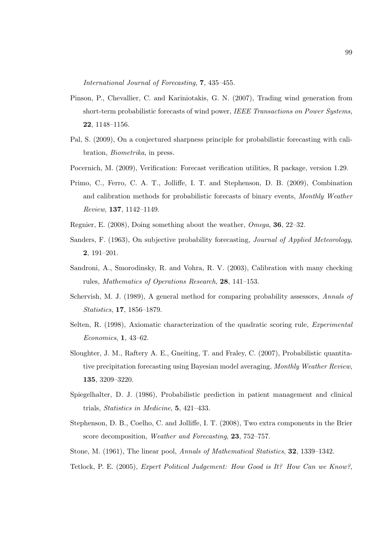International Journal of Forecasting, 7, 435–455.

- Pinson, P., Chevallier, C. and Kariniotakis, G. N. (2007), Trading wind generation from short-term probabilistic forecasts of wind power, IEEE Transactions on Power Systems, 22, 1148–1156.
- Pal, S. (2009), On a conjectured sharpness principle for probabilistic forecasting with calibration, Biometrika, in press.
- Pocernich, M. (2009), Verification: Forecast verification utilities, R package, version 1.29.
- Primo, C., Ferro, C. A. T., Jolliffe, I. T. and Stephenson, D. B. (2009), Combination and calibration methods for probabilistic forecasts of binary events, Monthly Weather Review, 137, 1142–1149.
- Regnier, E. (2008), Doing something about the weather, Omega, 36, 22–32.
- Sanders, F. (1963), On subjective probability forecasting, Journal of Applied Meteorology, 2, 191–201.
- Sandroni, A., Smorodinsky, R. and Vohra, R. V. (2003), Calibration with many checking rules, Mathematics of Operations Research, 28, 141–153.
- Schervish, M. J. (1989), A general method for comparing probability assessors, Annals of Statistics, 17, 1856–1879.
- Selten, R. (1998), Axiomatic characterization of the quadratic scoring rule, *Experimental* Economics, 1, 43–62.
- Sloughter, J. M., Raftery A. E., Gneiting, T. and Fraley, C. (2007), Probabilistic quantitative precipitation forecasting using Bayesian model averaging, Monthly Weather Review, 135, 3209–3220.
- Spiegelhalter, D. J. (1986), Probabilistic prediction in patient management and clinical trials, Statistics in Medicine, 5, 421–433.
- Stephenson, D. B., Coelho, C. and Jolliffe, I. T. (2008), Two extra components in the Brier score decomposition, Weather and Forecasting, 23, 752–757.
- Stone, M. (1961), The linear pool, Annals of Mathematical Statistics, 32, 1339–1342.
- Tetlock, P. E. (2005), Expert Political Judgement: How Good is It? How Can we Know?,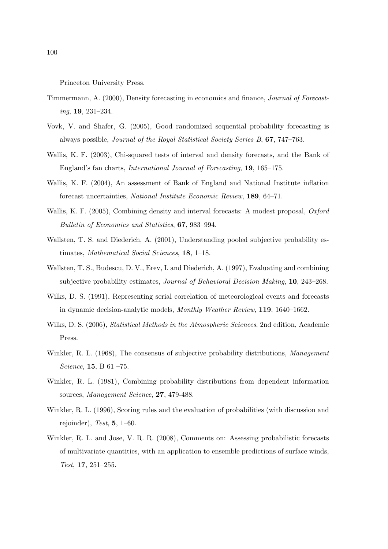Princeton University Press.

- Timmermann, A. (2000), Density forecasting in economics and finance, Journal of Forecasting, 19, 231–234.
- Vovk, V. and Shafer, G. (2005), Good randomized sequential probability forecasting is always possible, Journal of the Royal Statistical Society Series B, 67, 747–763.
- Wallis, K. F. (2003), Chi-squared tests of interval and density forecasts, and the Bank of England's fan charts, International Journal of Forecasting, 19, 165–175.
- Wallis, K. F. (2004), An assessment of Bank of England and National Institute inflation forecast uncertainties, National Institute Economic Review, 189, 64–71.
- Wallis, K. F. (2005), Combining density and interval forecasts: A modest proposal, *Oxford* Bulletin of Economics and Statistics, 67, 983–994.
- Wallsten, T. S. and Diederich, A. (2001), Understanding pooled subjective probability estimates, Mathematical Social Sciences, 18, 1–18.
- Wallsten, T. S., Budescu, D. V., Erev, I. and Diederich, A. (1997), Evaluating and combining subjective probability estimates, Journal of Behavioral Decision Making, 10, 243–268.
- Wilks, D. S. (1991), Representing serial correlation of meteorological events and forecasts in dynamic decision-analytic models, Monthly Weather Review, 119, 1640–1662.
- Wilks, D. S. (2006), *Statistical Methods in the Atmospheric Sciences*, 2nd edition, Academic Press.
- Winkler, R. L. (1968), The consensus of subjective probability distributions, *Management* Science, 15, B 61 –75.
- Winkler, R. L. (1981), Combining probability distributions from dependent information sources, *Management Science*, **27**, 479-488.
- Winkler, R. L. (1996), Scoring rules and the evaluation of probabilities (with discussion and rejoinder), Test,  $5, 1-60$ .
- Winkler, R. L. and Jose, V. R. R. (2008), Comments on: Assessing probabilistic forecasts of multivariate quantities, with an application to ensemble predictions of surface winds, Test, 17, 251–255.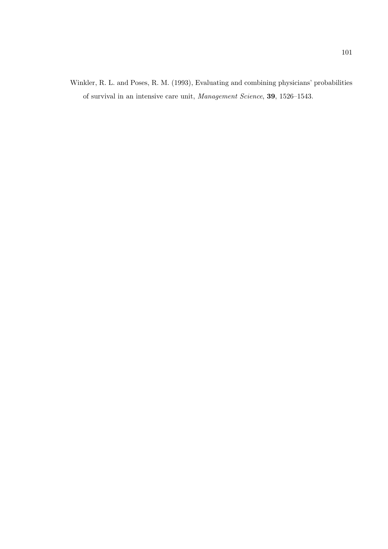Winkler, R. L. and Poses, R. M. (1993), Evaluating and combining physicians' probabilities of survival in an intensive care unit, Management Science, 39, 1526–1543.